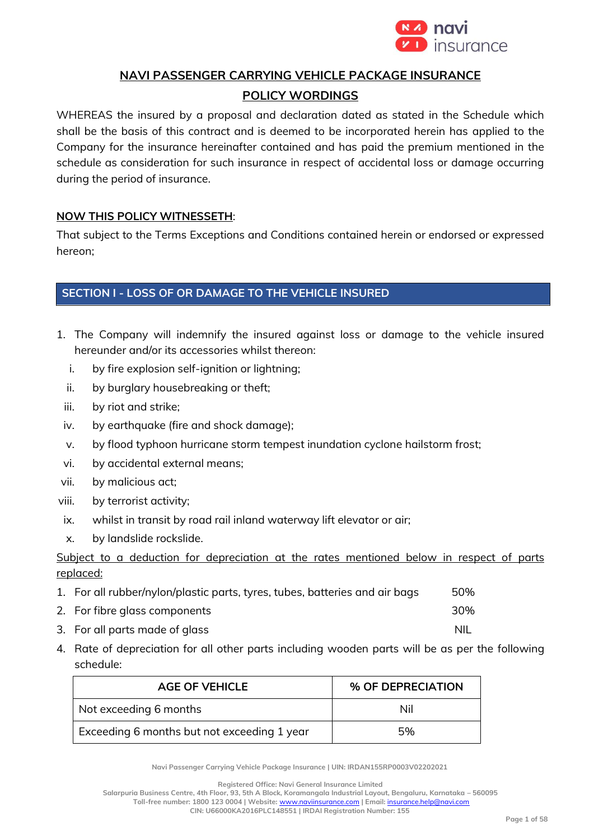

## **NAVI PASSENGER CARRYING VEHICLE PACKAGE INSURANCE**

## **POLICY WORDINGS**

WHEREAS the insured by a proposal and declaration dated as stated in the Schedule which shall be the basis of this contract and is deemed to be incorporated herein has applied to the Company for the insurance hereinafter contained and has paid the premium mentioned in the schedule as consideration for such insurance in respect of accidental loss or damage occurring during the period of insurance.

## **NOW THIS POLICY WITNESSETH**:

That subject to the Terms Exceptions and Conditions contained herein or endorsed or expressed hereon;

## **SECTION I - LOSS OF OR DAMAGE TO THE VEHICLE INSURED**

- 1. The Company will indemnify the insured against loss or damage to the vehicle insured hereunder and/or its accessories whilst thereon:
	- i. by fire explosion self-ignition or lightning;
	- ii. by burglary housebreaking or theft;
	- iii. by riot and strike;
	- iv. by earthquake (fire and shock damage);
	- v. by flood typhoon hurricane storm tempest inundation cyclone hailstorm frost;
- vi. by accidental external means;
- vii. by malicious act;
- viii. by terrorist activity;
- ix. whilst in transit by road rail inland waterway lift elevator or air;
- x. by landslide rockslide.

Subject to a deduction for depreciation at the rates mentioned below in respect of parts replaced:

- 1. For all rubber/nylon/plastic parts, tyres, tubes, batteries and air bags 50% 2. For fibre glass components 30%
- 3. For all parts made of glass and the set of the set of the NIL
- 4. Rate of depreciation for all other parts including wooden parts will be as per the following schedule:

| <b>AGE OF VEHICLE</b>                       | % OF DEPRECIATION |
|---------------------------------------------|-------------------|
| Not exceeding 6 months                      | Nil               |
| Exceeding 6 months but not exceeding 1 year | 5%                |

**Navi Passenger Carrying Vehicle Package Insurance | UIN: IRDAN155RP0003V02202021**

**Registered Office: Navi General Insurance Limited**

**Salarpuria Business Centre, 4th Floor, 93, 5th A Block, Koramangala Industrial Layout, Bengaluru, Karnataka – 560095 Toll-free number: 1800 123 0004 | Website:** [www.naviinsurance.com](http://www.naviinsurance.com/) **| Email:** [insurance.help@navi.com](mailto:insurance.help@navi.com)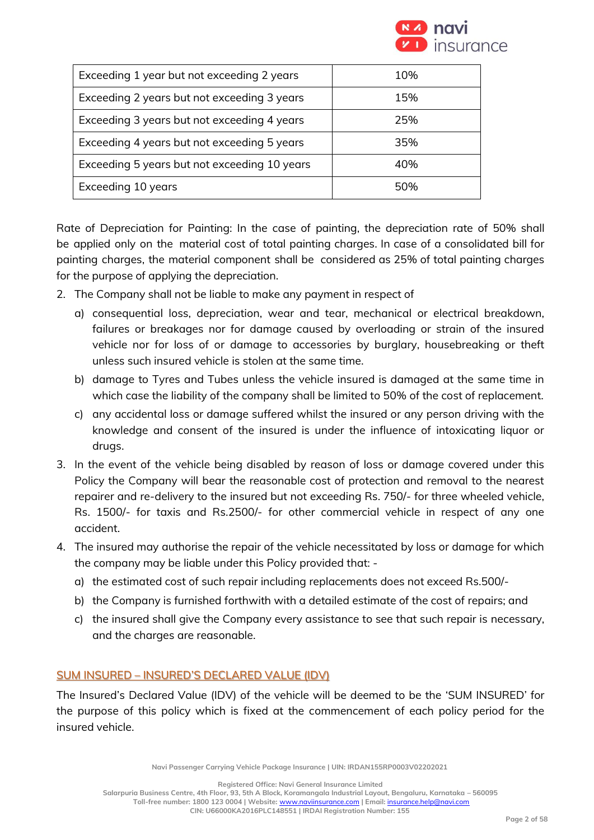

| Exceeding 1 year but not exceeding 2 years   | 10% |
|----------------------------------------------|-----|
| Exceeding 2 years but not exceeding 3 years  | 15% |
| Exceeding 3 years but not exceeding 4 years  | 25% |
| Exceeding 4 years but not exceeding 5 years  | 35% |
| Exceeding 5 years but not exceeding 10 years | 40% |
| Exceeding 10 years                           | 50% |

Rate of Depreciation for Painting: In the case of painting, the depreciation rate of 50% shall be applied only on the material cost of total painting charges. In case of a consolidated bill for painting charges, the material component shall be considered as 25% of total painting charges for the purpose of applying the depreciation.

- 2. The Company shall not be liable to make any payment in respect of
	- a) consequential loss, depreciation, wear and tear, mechanical or electrical breakdown, failures or breakages nor for damage caused by overloading or strain of the insured vehicle nor for loss of or damage to accessories by burglary, housebreaking or theft unless such insured vehicle is stolen at the same time.
	- b) damage to Tyres and Tubes unless the vehicle insured is damaged at the same time in which case the liability of the company shall be limited to 50% of the cost of replacement.
	- c) any accidental loss or damage suffered whilst the insured or any person driving with the knowledge and consent of the insured is under the influence of intoxicating liquor or drugs.
- 3. In the event of the vehicle being disabled by reason of loss or damage covered under this Policy the Company will bear the reasonable cost of protection and removal to the nearest repairer and re-delivery to the insured but not exceeding Rs. 750/- for three wheeled vehicle, Rs. 1500/- for taxis and Rs.2500/- for other commercial vehicle in respect of any one accident.
- 4. The insured may authorise the repair of the vehicle necessitated by loss or damage for which the company may be liable under this Policy provided that:
	- a) the estimated cost of such repair including replacements does not exceed Rs.500/-
	- b) the Company is furnished forthwith with a detailed estimate of the cost of repairs; and
	- c) the insured shall give the Company every assistance to see that such repair is necessary, and the charges are reasonable.

## SUM INSURED – INSURED'S DECLARED VALUE (IDV)

The Insured's Declared Value (IDV) of the vehicle will be deemed to be the 'SUM INSURED' for the purpose of this policy which is fixed at the commencement of each policy period for the insured vehicle.

**Navi Passenger Carrying Vehicle Package Insurance | UIN: IRDAN155RP0003V02202021**

**Registered Office: Navi General Insurance Limited**

**Salarpuria Business Centre, 4th Floor, 93, 5th A Block, Koramangala Industrial Layout, Bengaluru, Karnataka – 560095 Toll-free number: 1800 123 0004 | Website:** [www.naviinsurance.com](http://www.naviinsurance.com/) **| Email:** [insurance.help@navi.com](mailto:insurance.help@navi.com)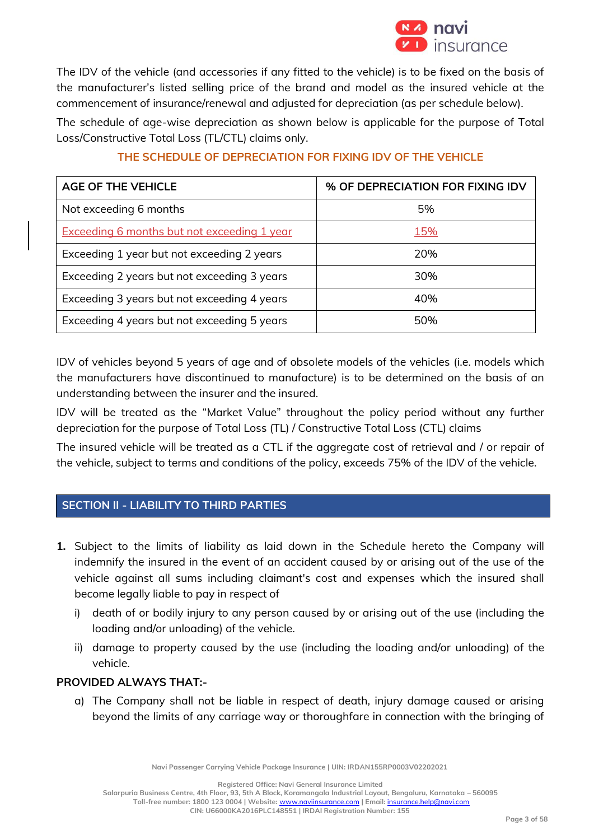

The IDV of the vehicle (and accessories if any fitted to the vehicle) is to be fixed on the basis of the manufacturer's listed selling price of the brand and model as the insured vehicle at the commencement of insurance/renewal and adjusted for depreciation (as per schedule below).

The schedule of age-wise depreciation as shown below is applicable for the purpose of Total Loss/Constructive Total Loss (TL/CTL) claims only.

| <b>AGE OF THE VEHICLE</b>                          | % OF DEPRECIATION FOR FIXING IDV |
|----------------------------------------------------|----------------------------------|
| Not exceeding 6 months                             | 5%                               |
| <b>Exceeding 6 months but not exceeding 1 year</b> | 15%                              |
| Exceeding 1 year but not exceeding 2 years         | 20%                              |
| Exceeding 2 years but not exceeding 3 years        | 30%                              |
| Exceeding 3 years but not exceeding 4 years        | 40%                              |
| Exceeding 4 years but not exceeding 5 years        | 50%                              |

## **THE SCHEDULE OF DEPRECIATION FOR FIXING IDV OF THE VEHICLE**

IDV of vehicles beyond 5 years of age and of obsolete models of the vehicles (i.e. models which the manufacturers have discontinued to manufacture) is to be determined on the basis of an understanding between the insurer and the insured.

IDV will be treated as the "Market Value" throughout the policy period without any further depreciation for the purpose of Total Loss (TL) / Constructive Total Loss (CTL) claims

The insured vehicle will be treated as a CTL if the aggregate cost of retrieval and / or repair of the vehicle, subject to terms and conditions of the policy, exceeds 75% of the IDV of the vehicle.

## **SECTION II - LIABILITY TO THIRD PARTIES**

- **1.** Subject to the limits of liability as laid down in the Schedule hereto the Company will indemnify the insured in the event of an accident caused by or arising out of the use of the vehicle against all sums including claimant's cost and expenses which the insured shall become legally liable to pay in respect of
	- i) death of or bodily injury to any person caused by or arising out of the use (including the loading and/or unloading) of the vehicle.
	- ii) damage to property caused by the use (including the loading and/or unloading) of the vehicle.

## **PROVIDED ALWAYS THAT:-**

a) The Company shall not be liable in respect of death, injury damage caused or arising beyond the limits of any carriage way or thoroughfare in connection with the bringing of

**Navi Passenger Carrying Vehicle Package Insurance | UIN: IRDAN155RP0003V02202021**

**Registered Office: Navi General Insurance Limited**

**Salarpuria Business Centre, 4th Floor, 93, 5th A Block, Koramangala Industrial Layout, Bengaluru, Karnataka – 560095 Toll-free number: 1800 123 0004 | Website:** [www.naviinsurance.com](http://www.naviinsurance.com/) **| Email:** [insurance.help@navi.com](mailto:insurance.help@navi.com)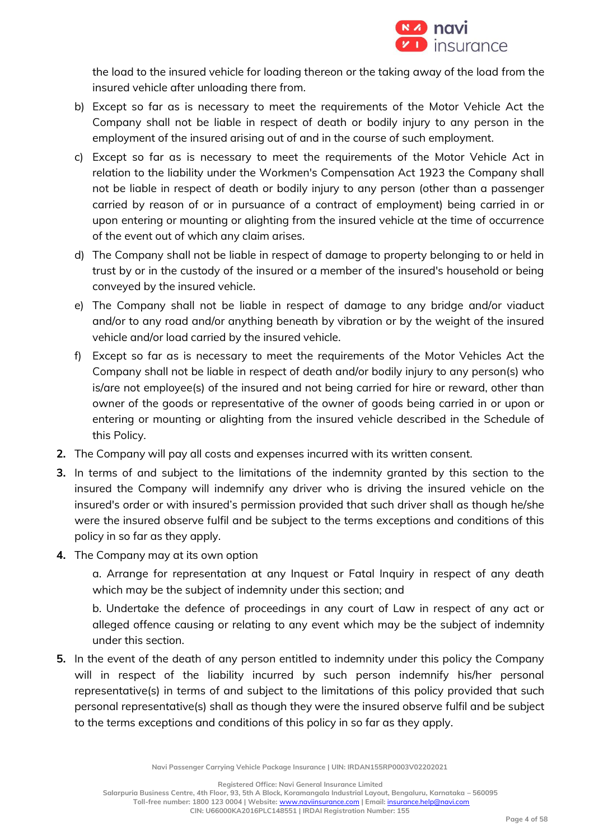

the load to the insured vehicle for loading thereon or the taking away of the load from the insured vehicle after unloading there from.

- b) Except so far as is necessary to meet the requirements of the Motor Vehicle Act the Company shall not be liable in respect of death or bodily injury to any person in the employment of the insured arising out of and in the course of such employment.
- c) Except so far as is necessary to meet the requirements of the Motor Vehicle Act in relation to the liability under the Workmen's Compensation Act 1923 the Company shall not be liable in respect of death or bodily injury to any person (other than a passenger carried by reason of or in pursuance of a contract of employment) being carried in or upon entering or mounting or alighting from the insured vehicle at the time of occurrence of the event out of which any claim arises.
- d) The Company shall not be liable in respect of damage to property belonging to or held in trust by or in the custody of the insured or a member of the insured's household or being conveyed by the insured vehicle.
- e) The Company shall not be liable in respect of damage to any bridge and/or viaduct and/or to any road and/or anything beneath by vibration or by the weight of the insured vehicle and/or load carried by the insured vehicle.
- f) Except so far as is necessary to meet the requirements of the Motor Vehicles Act the Company shall not be liable in respect of death and/or bodily injury to any person(s) who is/are not employee(s) of the insured and not being carried for hire or reward, other than owner of the goods or representative of the owner of goods being carried in or upon or entering or mounting or alighting from the insured vehicle described in the Schedule of this Policy.
- **2.** The Company will pay all costs and expenses incurred with its written consent.
- **3.** In terms of and subject to the limitations of the indemnity granted by this section to the insured the Company will indemnify any driver who is driving the insured vehicle on the insured's order or with insured's permission provided that such driver shall as though he/she were the insured observe fulfil and be subject to the terms exceptions and conditions of this policy in so far as they apply.
- **4.** The Company may at its own option

a. Arrange for representation at any Inquest or Fatal Inquiry in respect of any death which may be the subject of indemnity under this section; and

b. Undertake the defence of proceedings in any court of Law in respect of any act or alleged offence causing or relating to any event which may be the subject of indemnity under this section.

**5.** In the event of the death of any person entitled to indemnity under this policy the Company will in respect of the liability incurred by such person indemnify his/her personal representative(s) in terms of and subject to the limitations of this policy provided that such personal representative(s) shall as though they were the insured observe fulfil and be subject to the terms exceptions and conditions of this policy in so far as they apply.

**Navi Passenger Carrying Vehicle Package Insurance | UIN: IRDAN155RP0003V02202021**

**Registered Office: Navi General Insurance Limited**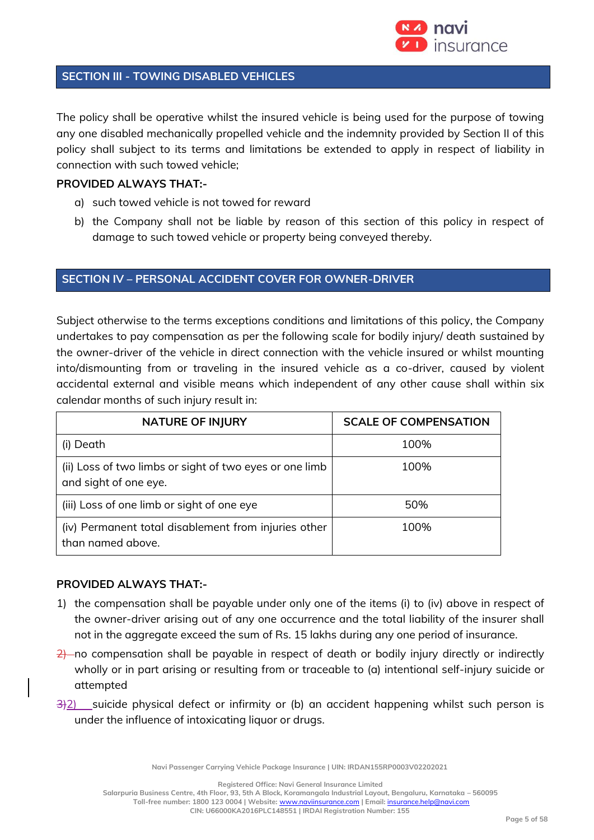

#### **SECTION III - TOWING DISABLED VEHICLES**

The policy shall be operative whilst the insured vehicle is being used for the purpose of towing any one disabled mechanically propelled vehicle and the indemnity provided by Section II of this policy shall subject to its terms and limitations be extended to apply in respect of liability in connection with such towed vehicle;

### **PROVIDED ALWAYS THAT:-**

- a) such towed vehicle is not towed for reward
- b) the Company shall not be liable by reason of this section of this policy in respect of damage to such towed vehicle or property being conveyed thereby.

### **SECTION IV – PERSONAL ACCIDENT COVER FOR OWNER-DRIVER**

Subject otherwise to the terms exceptions conditions and limitations of this policy, the Company undertakes to pay compensation as per the following scale for bodily injury/ death sustained by the owner-driver of the vehicle in direct connection with the vehicle insured or whilst mounting into/dismounting from or traveling in the insured vehicle as a co-driver, caused by violent accidental external and visible means which independent of any other cause shall within six calendar months of such injury result in:

| <b>NATURE OF INJURY</b>                                                          | <b>SCALE OF COMPENSATION</b> |
|----------------------------------------------------------------------------------|------------------------------|
| (i) Death                                                                        | 100%                         |
| (ii) Loss of two limbs or sight of two eyes or one limb<br>and sight of one eye. | 100%                         |
| (iii) Loss of one limb or sight of one eye                                       | 50%                          |
| (iv) Permanent total disablement from injuries other<br>than named above.        | 100%                         |

#### **PROVIDED ALWAYS THAT:-**

- 1) the compensation shall be payable under only one of the items (i) to (iv) above in respect of the owner-driver arising out of any one occurrence and the total liability of the insurer shall not in the aggregate exceed the sum of Rs. 15 lakhs during any one period of insurance.
- $\frac{2}{2}$  no compensation shall be payable in respect of death or bodily injury directly or indirectly wholly or in part arising or resulting from or traceable to (a) intentional self-injury suicide or attempted
- 3)2) suicide physical defect or infirmity or (b) an accident happening whilst such person is under the influence of intoxicating liquor or drugs.

**Navi Passenger Carrying Vehicle Package Insurance | UIN: IRDAN155RP0003V02202021**

**Registered Office: Navi General Insurance Limited**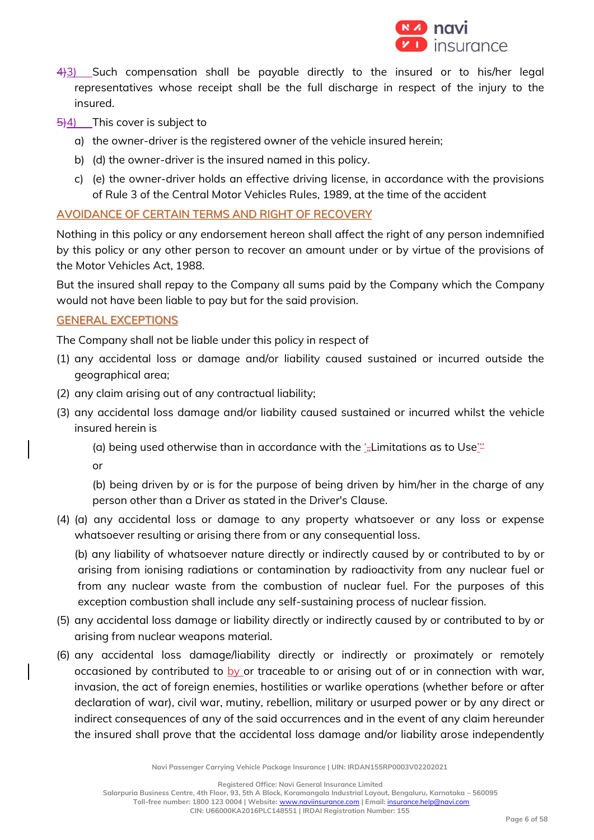

- 4)3) Such compensation shall be payable directly to the insured or to his/her legal representatives whose receipt shall be the full discharge in respect of the injury to the insured.
- 5)4) This cover is subject to
	- a) the owner-driver is the registered owner of the vehicle insured herein;
	- b) (d) the owner-driver is the insured named in this policy.
	- c) (e) the owner-driver holds an effective driving license, in accordance with the provisions of Rule 3 of the Central Motor Vehicles Rules, 1989, at the time of the accident

#### AVOIDANCE OF CERTAIN TERMS AND RIGHT OF RECOVERY

Nothing in this policy or any endorsement hereon shall affect the right of any person indemnified by this policy or any other person to recover an amount under or by virtue of the provisions of the Motor Vehicles Act, 1988.

But the insured shall repay to the Company all sums paid by the Company which the Company would not have been liable to pay but for the said provision.

#### GENERAL EXCEPTIONS

The Company shall not be liable under this policy in respect of

- (1) any accidental loss or damage and/or liability caused sustained or incurred outside the geographical area;
- (2) any claim arising out of any contractual liability;
- (3) any accidental loss damage and/or liability caused sustained or incurred whilst the vehicle insured herein is
	- (a) being used otherwise than in accordance with the  $\frac{1}{2}\pi$ Limitations as to Use<sup> $\frac{1}{2}$ </sup>

or

(b) being driven by or is for the purpose of being driven by him/her in the charge of any person other than a Driver as stated in the Driver's Clause.

(4) (a) any accidental loss or damage to any property whatsoever or any loss or expense whatsoever resulting or arising there from or any consequential loss.

(b) any liability of whatsoever nature directly or indirectly caused by or contributed to by or arising from ionising radiations or contamination by radioactivity from any nuclear fuel or from any nuclear waste from the combustion of nuclear fuel. For the purposes of this exception combustion shall include any self-sustaining process of nuclear fission.

- (5) any accidental loss damage or liability directly or indirectly caused by or contributed to by or arising from nuclear weapons material.
- (6) any accidental loss damage/liability directly or indirectly or proximately or remotely occasioned by contributed to by or traceable to or arising out of or in connection with war, invasion, the act of foreign enemies, hostilities or warlike operations (whether before or after declaration of war), civil war, mutiny, rebellion, military or usurped power or by any direct or indirect consequences of any of the said occurrences and in the event of any claim hereunder the insured shall prove that the accidental loss damage and/or liability arose independently

**Navi Passenger Carrying Vehicle Package Insurance | UIN: IRDAN155RP0003V02202021**

**Registered Office: Navi General Insurance Limited**

**Salarpuria Business Centre, 4th Floor, 93, 5th A Block, Koramangala Industrial Layout, Bengaluru, Karnataka – 560095 Toll-free number: 1800 123 0004 | Website:** [www.naviinsurance.com](http://www.naviinsurance.com/) **| Email:** [insurance.help@navi.com](mailto:insurance.help@navi.com)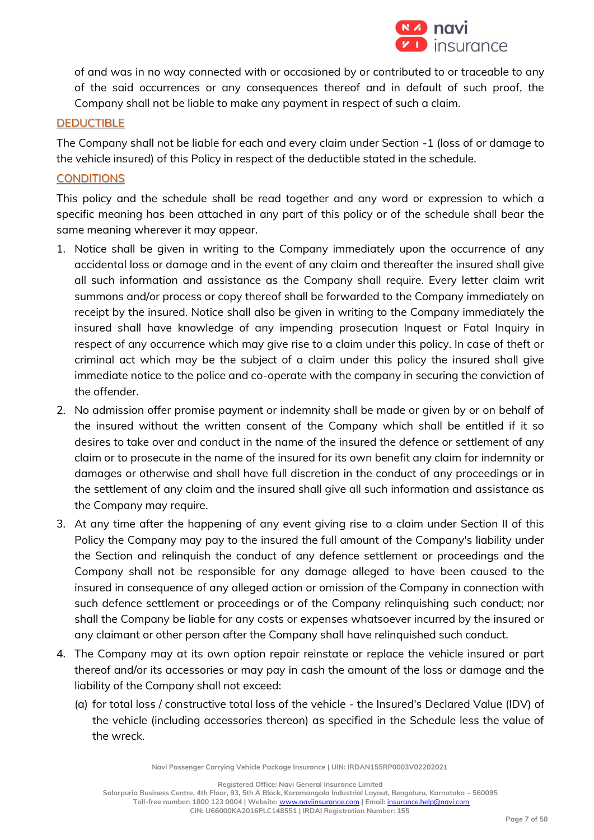

of and was in no way connected with or occasioned by or contributed to or traceable to any of the said occurrences or any consequences thereof and in default of such proof, the Company shall not be liable to make any payment in respect of such a claim.

#### **DEDUCTIBLE**

The Company shall not be liable for each and every claim under Section -1 (loss of or damage to the vehicle insured) of this Policy in respect of the deductible stated in the schedule.

### **CONDITIONS**

This policy and the schedule shall be read together and any word or expression to which a specific meaning has been attached in any part of this policy or of the schedule shall bear the same meaning wherever it may appear.

- 1. Notice shall be given in writing to the Company immediately upon the occurrence of any accidental loss or damage and in the event of any claim and thereafter the insured shall give all such information and assistance as the Company shall require. Every letter claim writ summons and/or process or copy thereof shall be forwarded to the Company immediately on receipt by the insured. Notice shall also be given in writing to the Company immediately the insured shall have knowledge of any impending prosecution Inquest or Fatal Inquiry in respect of any occurrence which may give rise to a claim under this policy. In case of theft or criminal act which may be the subject of a claim under this policy the insured shall give immediate notice to the police and co-operate with the company in securing the conviction of the offender.
- 2. No admission offer promise payment or indemnity shall be made or given by or on behalf of the insured without the written consent of the Company which shall be entitled if it so desires to take over and conduct in the name of the insured the defence or settlement of any claim or to prosecute in the name of the insured for its own benefit any claim for indemnity or damages or otherwise and shall have full discretion in the conduct of any proceedings or in the settlement of any claim and the insured shall give all such information and assistance as the Company may require.
- 3. At any time after the happening of any event giving rise to a claim under Section II of this Policy the Company may pay to the insured the full amount of the Company's liability under the Section and relinquish the conduct of any defence settlement or proceedings and the Company shall not be responsible for any damage alleged to have been caused to the insured in consequence of any alleged action or omission of the Company in connection with such defence settlement or proceedings or of the Company relinquishing such conduct; nor shall the Company be liable for any costs or expenses whatsoever incurred by the insured or any claimant or other person after the Company shall have relinquished such conduct.
- 4. The Company may at its own option repair reinstate or replace the vehicle insured or part thereof and/or its accessories or may pay in cash the amount of the loss or damage and the liability of the Company shall not exceed:
	- (a) for total loss / constructive total loss of the vehicle the Insured's Declared Value (IDV) of the vehicle (including accessories thereon) as specified in the Schedule less the value of the wreck.

**Navi Passenger Carrying Vehicle Package Insurance | UIN: IRDAN155RP0003V02202021**

**Registered Office: Navi General Insurance Limited**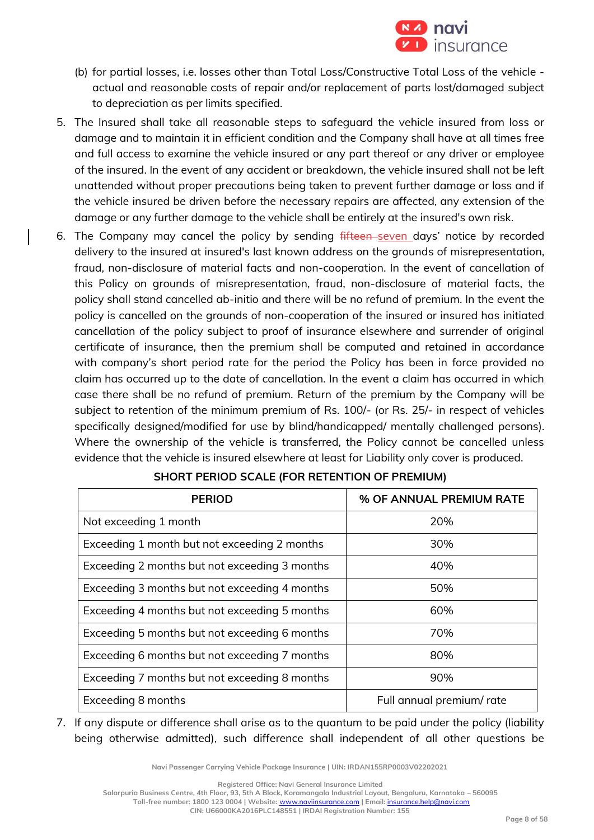

- (b) for partial losses, i.e. losses other than Total Loss/Constructive Total Loss of the vehicle actual and reasonable costs of repair and/or replacement of parts lost/damaged subject to depreciation as per limits specified.
- 5. The Insured shall take all reasonable steps to safeguard the vehicle insured from loss or damage and to maintain it in efficient condition and the Company shall have at all times free and full access to examine the vehicle insured or any part thereof or any driver or employee of the insured. In the event of any accident or breakdown, the vehicle insured shall not be left unattended without proper precautions being taken to prevent further damage or loss and if the vehicle insured be driven before the necessary repairs are affected, any extension of the damage or any further damage to the vehicle shall be entirely at the insured's own risk.
- 6. The Company may cancel the policy by sending fifteen-seven days' notice by recorded delivery to the insured at insured's last known address on the grounds of misrepresentation, fraud, non-disclosure of material facts and non-cooperation. In the event of cancellation of this Policy on grounds of misrepresentation, fraud, non-disclosure of material facts, the policy shall stand cancelled ab-initio and there will be no refund of premium. In the event the policy is cancelled on the grounds of non-cooperation of the insured or insured has initiated cancellation of the policy subject to proof of insurance elsewhere and surrender of original certificate of insurance, then the premium shall be computed and retained in accordance with company's short period rate for the period the Policy has been in force provided no claim has occurred up to the date of cancellation. In the event a claim has occurred in which case there shall be no refund of premium. Return of the premium by the Company will be subject to retention of the minimum premium of Rs. 100/- (or Rs. 25/- in respect of vehicles specifically designed/modified for use by blind/handicapped/ mentally challenged persons). Where the ownership of the vehicle is transferred, the Policy cannot be cancelled unless evidence that the vehicle is insured elsewhere at least for Liability only cover is produced.

| <b>PERIOD</b>                                 | % OF ANNUAL PREMIUM RATE |  |
|-----------------------------------------------|--------------------------|--|
| Not exceeding 1 month                         | 20%                      |  |
| Exceeding 1 month but not exceeding 2 months  | 30%                      |  |
| Exceeding 2 months but not exceeding 3 months | 40%                      |  |
| Exceeding 3 months but not exceeding 4 months | 50%                      |  |
| Exceeding 4 months but not exceeding 5 months | 60%                      |  |
| Exceeding 5 months but not exceeding 6 months | 70%                      |  |
| Exceeding 6 months but not exceeding 7 months | 80%                      |  |
| Exceeding 7 months but not exceeding 8 months | 90%                      |  |
| Exceeding 8 months                            | Full annual premium/rate |  |

## **SHORT PERIOD SCALE (FOR RETENTION OF PREMIUM)**

7. If any dispute or difference shall arise as to the quantum to be paid under the policy (liability being otherwise admitted), such difference shall independent of all other questions be

**Navi Passenger Carrying Vehicle Package Insurance | UIN: IRDAN155RP0003V02202021**

**Registered Office: Navi General Insurance Limited**

**Salarpuria Business Centre, 4th Floor, 93, 5th A Block, Koramangala Industrial Layout, Bengaluru, Karnataka – 560095**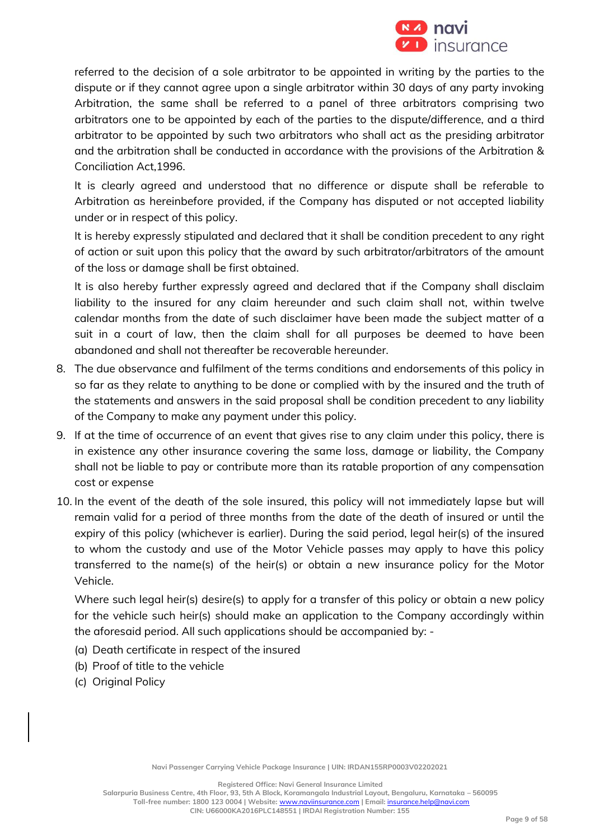

referred to the decision of a sole arbitrator to be appointed in writing by the parties to the dispute or if they cannot agree upon a single arbitrator within 30 days of any party invoking Arbitration, the same shall be referred to a panel of three arbitrators comprising two arbitrators one to be appointed by each of the parties to the dispute/difference, and a third arbitrator to be appointed by such two arbitrators who shall act as the presiding arbitrator and the arbitration shall be conducted in accordance with the provisions of the Arbitration & Conciliation Act,1996.

It is clearly agreed and understood that no difference or dispute shall be referable to Arbitration as hereinbefore provided, if the Company has disputed or not accepted liability under or in respect of this policy.

It is hereby expressly stipulated and declared that it shall be condition precedent to any right of action or suit upon this policy that the award by such arbitrator/arbitrators of the amount of the loss or damage shall be first obtained.

It is also hereby further expressly agreed and declared that if the Company shall disclaim liability to the insured for any claim hereunder and such claim shall not, within twelve calendar months from the date of such disclaimer have been made the subject matter of a suit in a court of law, then the claim shall for all purposes be deemed to have been abandoned and shall not thereafter be recoverable hereunder.

- 8. The due observance and fulfilment of the terms conditions and endorsements of this policy in so far as they relate to anything to be done or complied with by the insured and the truth of the statements and answers in the said proposal shall be condition precedent to any liability of the Company to make any payment under this policy.
- 9. If at the time of occurrence of an event that gives rise to any claim under this policy, there is in existence any other insurance covering the same loss, damage or liability, the Company shall not be liable to pay or contribute more than its ratable proportion of any compensation cost or expense
- 10. In the event of the death of the sole insured, this policy will not immediately lapse but will remain valid for a period of three months from the date of the death of insured or until the expiry of this policy (whichever is earlier). During the said period, legal heir(s) of the insured to whom the custody and use of the Motor Vehicle passes may apply to have this policy transferred to the name(s) of the heir(s) or obtain a new insurance policy for the Motor Vehicle.

Where such legal heir(s) desire(s) to apply for a transfer of this policy or obtain a new policy for the vehicle such heir(s) should make an application to the Company accordingly within the aforesaid period. All such applications should be accompanied by: -

- (a) Death certificate in respect of the insured
- (b) Proof of title to the vehicle
- (c) Original Policy

**Registered Office: Navi General Insurance Limited**

**Salarpuria Business Centre, 4th Floor, 93, 5th A Block, Koramangala Industrial Layout, Bengaluru, Karnataka – 560095 Toll-free number: 1800 123 0004 | Website:** [www.naviinsurance.com](http://www.naviinsurance.com/) **| Email:** [insurance.help@navi.com](mailto:insurance.help@navi.com)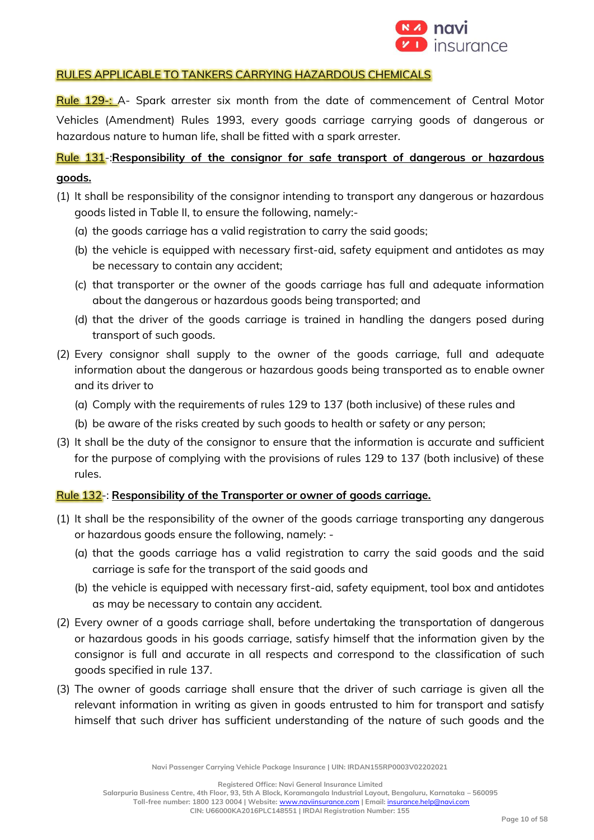

## RULES APPLICABLE TO TANKERS CARRYING HAZARDOUS CHEMICALS

Rule 129-: A- Spark arrester six month from the date of commencement of Central Motor Vehicles (Amendment) Rules 1993, every goods carriage carrying goods of dangerous or hazardous nature to human life, shall be fitted with a spark arrester.

# Rule 131-:**Responsibility of the consignor for safe transport of dangerous or hazardous goods.**

- (1) It shall be responsibility of the consignor intending to transport any dangerous or hazardous goods listed in Table II, to ensure the following, namely:-
	- (a) the goods carriage has a valid registration to carry the said goods;
	- (b) the vehicle is equipped with necessary first-aid, safety equipment and antidotes as may be necessary to contain any accident;
	- (c) that transporter or the owner of the goods carriage has full and adequate information about the dangerous or hazardous goods being transported; and
	- (d) that the driver of the goods carriage is trained in handling the dangers posed during transport of such goods.
- (2) Every consignor shall supply to the owner of the goods carriage, full and adequate information about the dangerous or hazardous goods being transported as to enable owner and its driver to
	- (a) Comply with the requirements of rules 129 to 137 (both inclusive) of these rules and
	- (b) be aware of the risks created by such goods to health or safety or any person;
- (3) It shall be the duty of the consignor to ensure that the information is accurate and sufficient for the purpose of complying with the provisions of rules 129 to 137 (both inclusive) of these rules.

## Rule 132-: **Responsibility of the Transporter or owner of goods carriage.**

- (1) It shall be the responsibility of the owner of the goods carriage transporting any dangerous or hazardous goods ensure the following, namely: -
	- (a) that the goods carriage has a valid registration to carry the said goods and the said carriage is safe for the transport of the said goods and
	- (b) the vehicle is equipped with necessary first-aid, safety equipment, tool box and antidotes as may be necessary to contain any accident.
- (2) Every owner of a goods carriage shall, before undertaking the transportation of dangerous or hazardous goods in his goods carriage, satisfy himself that the information given by the consignor is full and accurate in all respects and correspond to the classification of such goods specified in rule 137.
- (3) The owner of goods carriage shall ensure that the driver of such carriage is given all the relevant information in writing as given in goods entrusted to him for transport and satisfy himself that such driver has sufficient understanding of the nature of such goods and the

**Navi Passenger Carrying Vehicle Package Insurance | UIN: IRDAN155RP0003V02202021**

**Registered Office: Navi General Insurance Limited**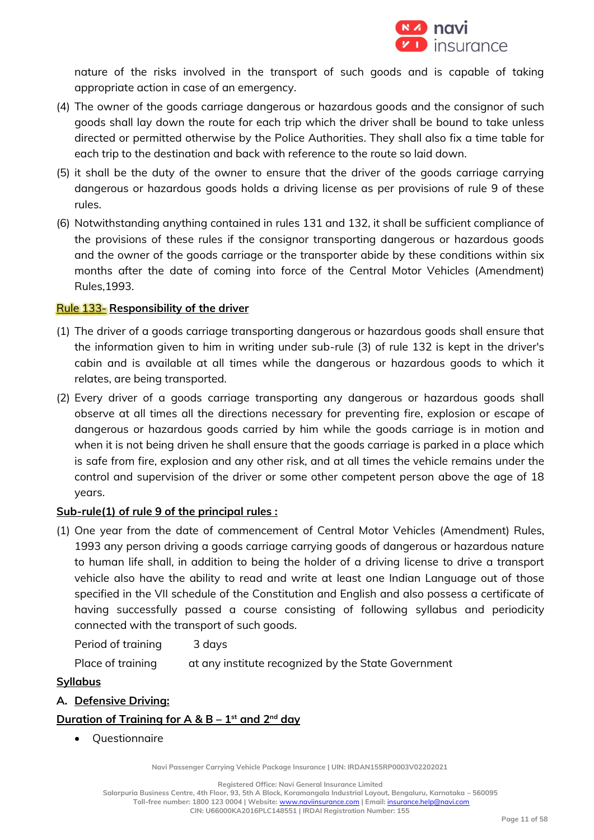

nature of the risks involved in the transport of such goods and is capable of taking appropriate action in case of an emergency.

- (4) The owner of the goods carriage dangerous or hazardous goods and the consignor of such goods shall lay down the route for each trip which the driver shall be bound to take unless directed or permitted otherwise by the Police Authorities. They shall also fix a time table for each trip to the destination and back with reference to the route so laid down.
- (5) it shall be the duty of the owner to ensure that the driver of the goods carriage carrying dangerous or hazardous goods holds a driving license as per provisions of rule 9 of these rules.
- (6) Notwithstanding anything contained in rules 131 and 132, it shall be sufficient compliance of the provisions of these rules if the consignor transporting dangerous or hazardous goods and the owner of the goods carriage or the transporter abide by these conditions within six months after the date of coming into force of the Central Motor Vehicles (Amendment) Rules,1993.

## Rule 133- **Responsibility of the driver**

- (1) The driver of a goods carriage transporting dangerous or hazardous goods shall ensure that the information given to him in writing under sub-rule (3) of rule 132 is kept in the driver's cabin and is available at all times while the dangerous or hazardous goods to which it relates, are being transported.
- (2) Every driver of a goods carriage transporting any dangerous or hazardous goods shall observe at all times all the directions necessary for preventing fire, explosion or escape of dangerous or hazardous goods carried by him while the goods carriage is in motion and when it is not being driven he shall ensure that the goods carriage is parked in a place which is safe from fire, explosion and any other risk, and at all times the vehicle remains under the control and supervision of the driver or some other competent person above the age of 18 years.

## **Sub-rule(1) of rule 9 of the principal rules :**

(1) One year from the date of commencement of Central Motor Vehicles (Amendment) Rules, 1993 any person driving a goods carriage carrying goods of dangerous or hazardous nature to human life shall, in addition to being the holder of a driving license to drive a transport vehicle also have the ability to read and write at least one Indian Language out of those specified in the VII schedule of the Constitution and English and also possess a certificate of having successfully passed a course consisting of following syllabus and periodicity connected with the transport of such goods.

Period of training 3 days

Place of training at any institute recognized by the State Government

## **Syllabus**

**A. Defensive Driving:**

## **Duration of Training for A & B – 1 st and 2nd day**

• Questionnaire

**Navi Passenger Carrying Vehicle Package Insurance | UIN: IRDAN155RP0003V02202021**

**Registered Office: Navi General Insurance Limited**

**Salarpuria Business Centre, 4th Floor, 93, 5th A Block, Koramangala Industrial Layout, Bengaluru, Karnataka – 560095**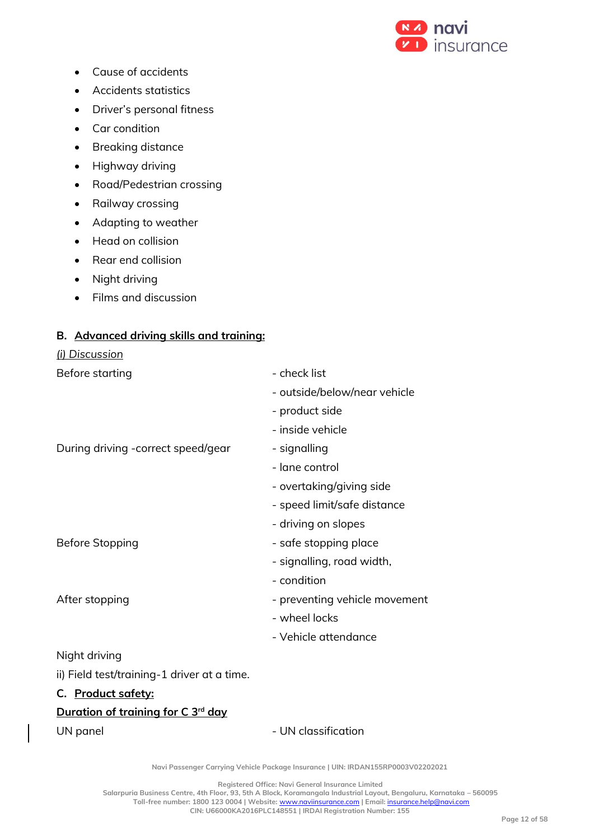

- Cause of accidents
- Accidents statistics
- Driver's personal fitness
- Car condition
- Breaking distance
- Highway driving
- Road/Pedestrian crossing
- Railway crossing
- Adapting to weather
- Head on collision
- Rear end collision
- Night driving
- Films and discussion

## **B. Advanced driving skills and training:**

#### *(i) Discussion*

| Before starting                                | - check list                  |
|------------------------------------------------|-------------------------------|
|                                                | - outside/below/near vehicle  |
|                                                | - product side                |
|                                                | - inside vehicle              |
| During driving - correct speed/gear            | - signalling                  |
|                                                | - lane control                |
|                                                | - overtaking/giving side      |
|                                                | - speed limit/safe distance   |
|                                                | - driving on slopes           |
| <b>Before Stopping</b>                         | - safe stopping place         |
|                                                | - signalling, road width,     |
|                                                | - condition                   |
| After stopping                                 | - preventing vehicle movement |
|                                                | - wheel locks                 |
|                                                | - Vehicle attendance          |
| Night driving                                  |                               |
| ii) Field test/training-1 driver at a time.    |                               |
| C. Product safety:                             |                               |
| Duration of training for C 3 <sup>rd</sup> day |                               |

UN panel and the UN classification

**Navi Passenger Carrying Vehicle Package Insurance | UIN: IRDAN155RP0003V02202021**

**Registered Office: Navi General Insurance Limited**

**Salarpuria Business Centre, 4th Floor, 93, 5th A Block, Koramangala Industrial Layout, Bengaluru, Karnataka – 560095 Toll-free number: 1800 123 0004 | Website:** [www.naviinsurance.com](http://www.naviinsurance.com/) **| Email:** [insurance.help@navi.com](mailto:insurance.help@navi.com)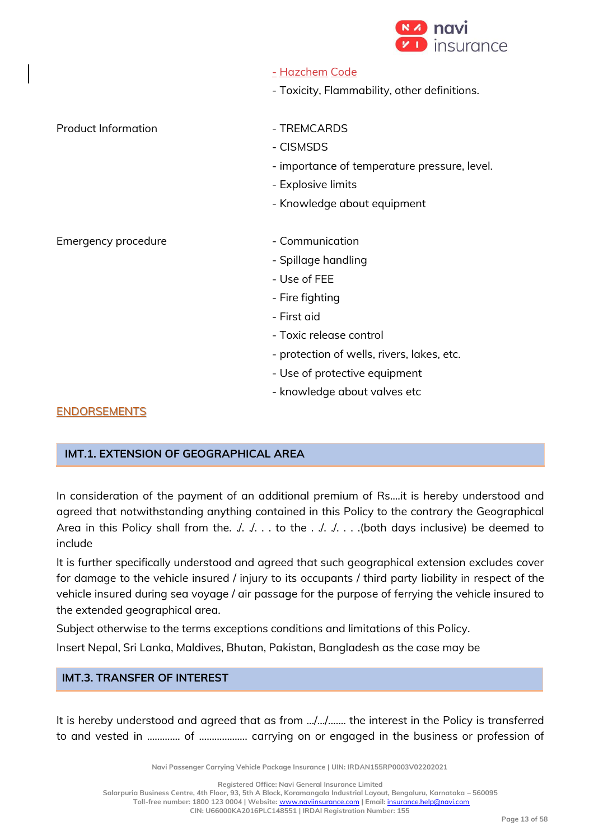

|                            | <u>- Hazchem Code</u>                        |
|----------------------------|----------------------------------------------|
|                            | - Toxicity, Flammability, other definitions. |
|                            |                                              |
| <b>Product Information</b> | - TREMCARDS                                  |
|                            | - CISMSDS                                    |
|                            | - importance of temperature pressure, level. |
|                            | - Explosive limits                           |
|                            | - Knowledge about equipment                  |
|                            |                                              |
| Emergency procedure        | - Communication                              |
|                            | - Spillage handling                          |
|                            | - Use of FEE                                 |
|                            | - Fire fighting                              |
|                            | - First aid                                  |
|                            | - Toxic release control                      |
|                            | - protection of wells, rivers, lakes, etc.   |
|                            | - Use of protective equipment                |

- knowledge about valves etc

## **ENDORSEMENTS**

## **IMT.1. EXTENSION OF GEOGRAPHICAL AREA**

In consideration of the payment of an additional premium of Rs....it is hereby understood and agreed that notwithstanding anything contained in this Policy to the contrary the Geographical Area in this Policy shall from the.  $\sqrt{a}$ . .. to the  $\frac{a}{b}$ . ... (both days inclusive) be deemed to include

It is further specifically understood and agreed that such geographical extension excludes cover for damage to the vehicle insured / injury to its occupants / third party liability in respect of the vehicle insured during sea voyage / air passage for the purpose of ferrying the vehicle insured to the extended geographical area.

Subject otherwise to the terms exceptions conditions and limitations of this Policy.

Insert Nepal, Sri Lanka, Maldives, Bhutan, Pakistan, Bangladesh as the case may be

## **IMT.3. TRANSFER OF INTEREST**

It is hereby understood and agreed that as from …/…/……. the interest in the Policy is transferred to and vested in ……….... of ………………. carrying on or engaged in the business or profession of

**Navi Passenger Carrying Vehicle Package Insurance | UIN: IRDAN155RP0003V02202021**

**Registered Office: Navi General Insurance Limited**

**Salarpuria Business Centre, 4th Floor, 93, 5th A Block, Koramangala Industrial Layout, Bengaluru, Karnataka – 560095**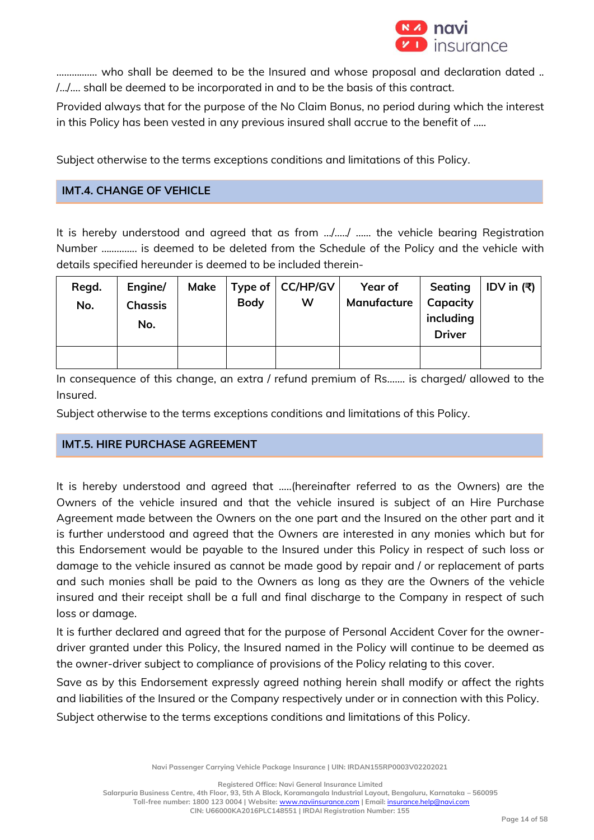

……………. who shall be deemed to be the Insured and whose proposal and declaration dated .. /…/…. shall be deemed to be incorporated in and to be the basis of this contract.

Provided always that for the purpose of the No Claim Bonus, no period during which the interest in this Policy has been vested in any previous insured shall accrue to the benefit of .....

Subject otherwise to the terms exceptions conditions and limitations of this Policy.

## **IMT.4. CHANGE OF VEHICLE**

It is hereby understood and agreed that as from …/…../ …... the vehicle bearing Registration Number ………….. is deemed to be deleted from the Schedule of the Policy and the vehicle with details specified hereunder is deemed to be included therein-

| Regd.<br>No. | Engine/<br><b>Chassis</b> | Make | <b>Body</b> | Type of $ CC/HP/GV $<br>w | Year of<br>Manufacture | Seating<br>Capacity<br>including | │ IDV in (₹) |
|--------------|---------------------------|------|-------------|---------------------------|------------------------|----------------------------------|--------------|
|              | No.                       |      |             |                           |                        | <b>Driver</b>                    |              |
|              |                           |      |             |                           |                        |                                  |              |

In consequence of this change, an extra / refund premium of Rs....... is charged/ allowed to the Insured.

Subject otherwise to the terms exceptions conditions and limitations of this Policy.

## **IMT.5. HIRE PURCHASE AGREEMENT**

It is hereby understood and agreed that …..(hereinafter referred to as the Owners) are the Owners of the vehicle insured and that the vehicle insured is subject of an Hire Purchase Agreement made between the Owners on the one part and the Insured on the other part and it is further understood and agreed that the Owners are interested in any monies which but for this Endorsement would be payable to the Insured under this Policy in respect of such loss or damage to the vehicle insured as cannot be made good by repair and / or replacement of parts and such monies shall be paid to the Owners as long as they are the Owners of the vehicle insured and their receipt shall be a full and final discharge to the Company in respect of such loss or damage.

It is further declared and agreed that for the purpose of Personal Accident Cover for the ownerdriver granted under this Policy, the Insured named in the Policy will continue to be deemed as the owner-driver subject to compliance of provisions of the Policy relating to this cover.

Save as by this Endorsement expressly agreed nothing herein shall modify or affect the rights and liabilities of the Insured or the Company respectively under or in connection with this Policy.

Subject otherwise to the terms exceptions conditions and limitations of this Policy.

**Navi Passenger Carrying Vehicle Package Insurance | UIN: IRDAN155RP0003V02202021**

**Registered Office: Navi General Insurance Limited**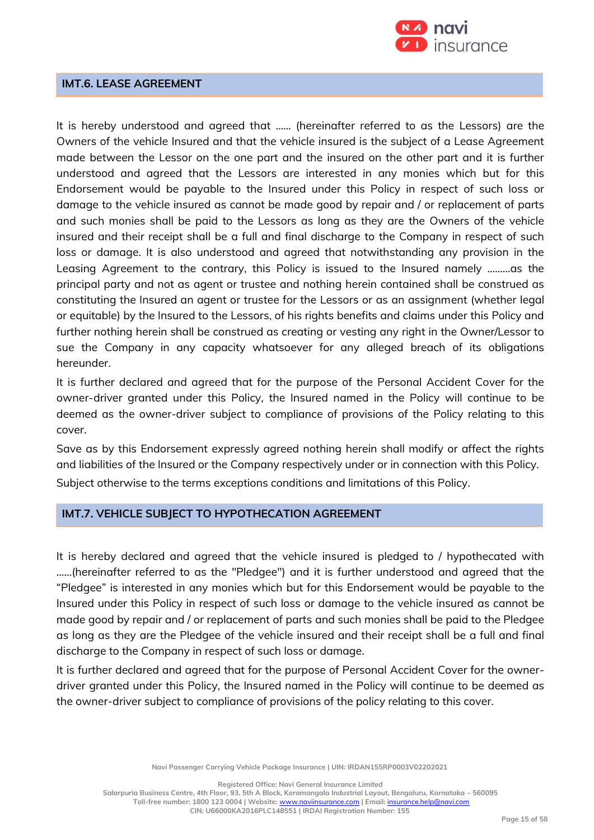

## **IMT.6. LEASE AGREEMENT**

It is hereby understood and agreed that …… (hereinafter referred to as the Lessors) are the Owners of the vehicle Insured and that the vehicle insured is the subject of a Lease Agreement made between the Lessor on the one part and the insured on the other part and it is further understood and agreed that the Lessors are interested in any monies which but for this Endorsement would be payable to the Insured under this Policy in respect of such loss or damage to the vehicle insured as cannot be made good by repair and / or replacement of parts and such monies shall be paid to the Lessors as long as they are the Owners of the vehicle insured and their receipt shall be a full and final discharge to the Company in respect of such loss or damage. It is also understood and agreed that notwithstanding any provision in the Leasing Agreement to the contrary, this Policy is issued to the Insured namely ………as the principal party and not as agent or trustee and nothing herein contained shall be construed as constituting the Insured an agent or trustee for the Lessors or as an assignment (whether legal or equitable) by the Insured to the Lessors, of his rights benefits and claims under this Policy and further nothing herein shall be construed as creating or vesting any right in the Owner/Lessor to sue the Company in any capacity whatsoever for any alleged breach of its obligations hereunder.

It is further declared and agreed that for the purpose of the Personal Accident Cover for the owner-driver granted under this Policy, the Insured named in the Policy will continue to be deemed as the owner-driver subject to compliance of provisions of the Policy relating to this cover.

Save as by this Endorsement expressly agreed nothing herein shall modify or affect the rights and liabilities of the Insured or the Company respectively under or in connection with this Policy.

Subject otherwise to the terms exceptions conditions and limitations of this Policy.

## **IMT.7. VEHICLE SUBJECT TO HYPOTHECATION AGREEMENT**

It is hereby declared and agreed that the vehicle insured is pledged to / hypothecated with ……(hereinafter referred to as the "Pledgee") and it is further understood and agreed that the "Pledgee" is interested in any monies which but for this Endorsement would be payable to the Insured under this Policy in respect of such loss or damage to the vehicle insured as cannot be made good by repair and / or replacement of parts and such monies shall be paid to the Pledgee as long as they are the Pledgee of the vehicle insured and their receipt shall be a full and final discharge to the Company in respect of such loss or damage.

It is further declared and agreed that for the purpose of Personal Accident Cover for the ownerdriver granted under this Policy, the Insured named in the Policy will continue to be deemed as the owner-driver subject to compliance of provisions of the policy relating to this cover.

**Navi Passenger Carrying Vehicle Package Insurance | UIN: IRDAN155RP0003V02202021**

**Registered Office: Navi General Insurance Limited**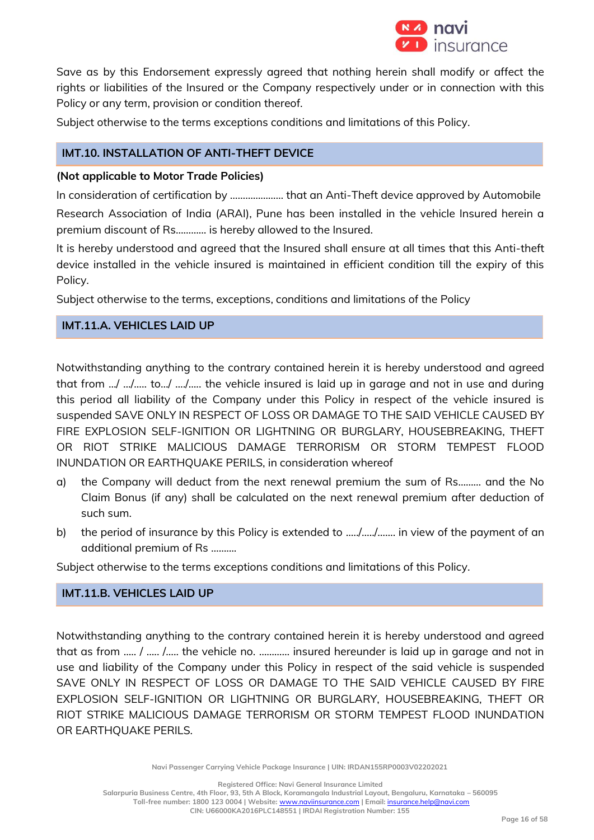

Save as by this Endorsement expressly agreed that nothing herein shall modify or affect the rights or liabilities of the Insured or the Company respectively under or in connection with this Policy or any term, provision or condition thereof.

Subject otherwise to the terms exceptions conditions and limitations of this Policy.

## **IMT.10. INSTALLATION OF ANTI-THEFT DEVICE**

### **(Not applicable to Motor Trade Policies)**

In consideration of certification by ………………… that an Anti-Theft device approved by Automobile Research Association of India (ARAI), Pune has been installed in the vehicle Insured herein a premium discount of Rs………… is hereby allowed to the Insured.

It is hereby understood and agreed that the Insured shall ensure at all times that this Anti-theft device installed in the vehicle insured is maintained in efficient condition till the expiry of this Policy.

Subject otherwise to the terms, exceptions, conditions and limitations of the Policy

## **IMT.11.A. VEHICLES LAID UP**

Notwithstanding anything to the contrary contained herein it is hereby understood and agreed that from …/ …/….. to…/ …./….. the vehicle insured is laid up in garage and not in use and during this period all liability of the Company under this Policy in respect of the vehicle insured is suspended SAVE ONLY IN RESPECT OF LOSS OR DAMAGE TO THE SAID VEHICLE CAUSED BY FIRE EXPLOSION SELF-IGNITION OR LIGHTNING OR BURGLARY, HOUSEBREAKING, THEFT OR RIOT STRIKE MALICIOUS DAMAGE TERRORISM OR STORM TEMPEST FLOOD INUNDATION OR EARTHQUAKE PERILS, in consideration whereof

- a) the Company will deduct from the next renewal premium the sum of Rs……… and the No Claim Bonus (if any) shall be calculated on the next renewal premium after deduction of such sum.
- b) the period of insurance by this Policy is extended to ...../............ in view of the payment of an additional premium of Rs ……….

Subject otherwise to the terms exceptions conditions and limitations of this Policy.

## **IMT.11.B. VEHICLES LAID UP**

Notwithstanding anything to the contrary contained herein it is hereby understood and agreed that as from ….. / ….. /….. the vehicle no. ………… insured hereunder is laid up in garage and not in use and liability of the Company under this Policy in respect of the said vehicle is suspended SAVE ONLY IN RESPECT OF LOSS OR DAMAGE TO THE SAID VEHICLE CAUSED BY FIRE EXPLOSION SELF-IGNITION OR LIGHTNING OR BURGLARY, HOUSEBREAKING, THEFT OR RIOT STRIKE MALICIOUS DAMAGE TERRORISM OR STORM TEMPEST FLOOD INUNDATION OR EARTHQUAKE PERILS.

**Navi Passenger Carrying Vehicle Package Insurance | UIN: IRDAN155RP0003V02202021**

**Registered Office: Navi General Insurance Limited**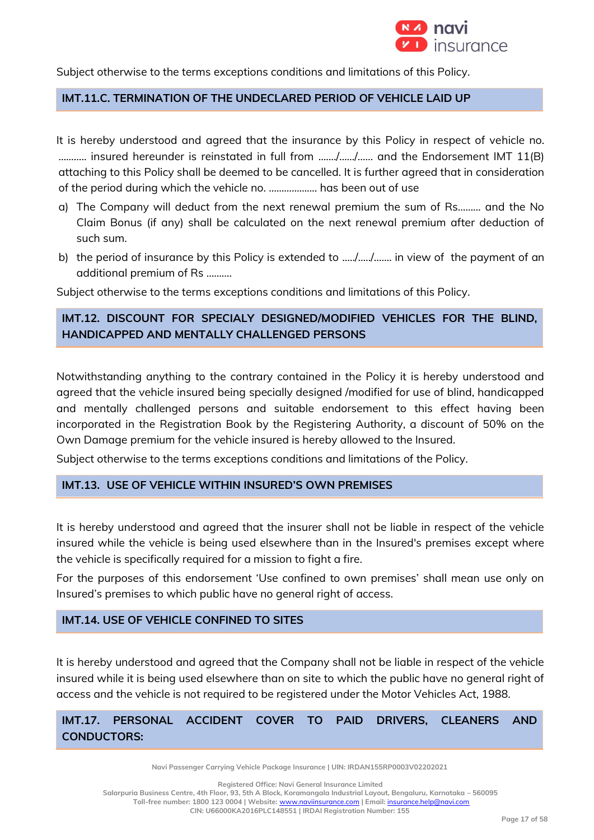

Subject otherwise to the terms exceptions conditions and limitations of this Policy.

## **IMT.11.C. TERMINATION OF THE UNDECLARED PERIOD OF VEHICLE LAID UP**

It is hereby understood and agreed that the insurance by this Policy in respect of vehicle no. ……….. insured hereunder is reinstated in full from ……./……/…… and the Endorsement IMT 11(B) attaching to this Policy shall be deemed to be cancelled. It is further agreed that in consideration of the period during which the vehicle no. ………………. has been out of use

- a) The Company will deduct from the next renewal premium the sum of Rs……… and the No Claim Bonus (if any) shall be calculated on the next renewal premium after deduction of such sum.
- b) the period of insurance by this Policy is extended to .…./…../……. in view of the payment of an additional premium of Rs ……….

Subject otherwise to the terms exceptions conditions and limitations of this Policy.

## **IMT.12. DISCOUNT FOR SPECIALY DESIGNED/MODIFIED VEHICLES FOR THE BLIND, HANDICAPPED AND MENTALLY CHALLENGED PERSONS**

Notwithstanding anything to the contrary contained in the Policy it is hereby understood and agreed that the vehicle insured being specially designed /modified for use of blind, handicapped and mentally challenged persons and suitable endorsement to this effect having been incorporated in the Registration Book by the Registering Authority, a discount of 50% on the Own Damage premium for the vehicle insured is hereby allowed to the Insured.

Subject otherwise to the terms exceptions conditions and limitations of the Policy.

#### **IMT.13. USE OF VEHICLE WITHIN INSURED'S OWN PREMISES**

It is hereby understood and agreed that the insurer shall not be liable in respect of the vehicle insured while the vehicle is being used elsewhere than in the Insured's premises except where the vehicle is specifically required for a mission to fight a fire.

For the purposes of this endorsement 'Use confined to own premises' shall mean use only on Insured's premises to which public have no general right of access.

## **IMT.14. USE OF VEHICLE CONFINED TO SITES**

It is hereby understood and agreed that the Company shall not be liable in respect of the vehicle insured while it is being used elsewhere than on site to which the public have no general right of access and the vehicle is not required to be registered under the Motor Vehicles Act, 1988.

## **IMT.17. PERSONAL ACCIDENT COVER TO PAID DRIVERS, CLEANERS AND CONDUCTORS:**

**Navi Passenger Carrying Vehicle Package Insurance | UIN: IRDAN155RP0003V02202021**

**Registered Office: Navi General Insurance Limited**

**Salarpuria Business Centre, 4th Floor, 93, 5th A Block, Koramangala Industrial Layout, Bengaluru, Karnataka – 560095**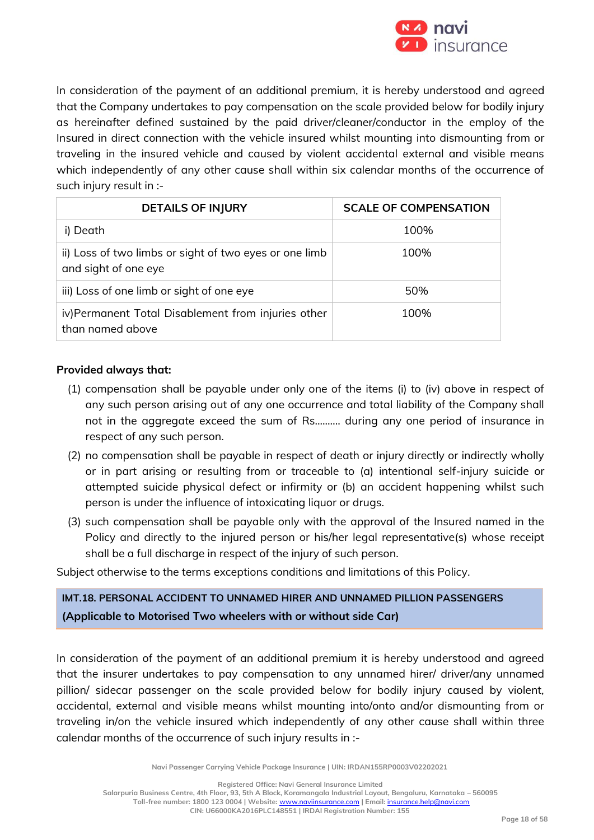

In consideration of the payment of an additional premium, it is hereby understood and agreed that the Company undertakes to pay compensation on the scale provided below for bodily injury as hereinafter defined sustained by the paid driver/cleaner/conductor in the employ of the Insured in direct connection with the vehicle insured whilst mounting into dismounting from or traveling in the insured vehicle and caused by violent accidental external and visible means which independently of any other cause shall within six calendar months of the occurrence of such injury result in :-

| <b>DETAILS OF INJURY</b>                                                       | <b>SCALE OF COMPENSATION</b> |
|--------------------------------------------------------------------------------|------------------------------|
| i) Death                                                                       | 100%                         |
| ii) Loss of two limbs or sight of two eyes or one limb<br>and sight of one eye | 100%                         |
| iii) Loss of one limb or sight of one eye                                      | 50%                          |
| iv)Permanent Total Disablement from injuries other<br>than named above         | 100%                         |

## **Provided always that:**

- (1) compensation shall be payable under only one of the items (i) to (iv) above in respect of any such person arising out of any one occurrence and total liability of the Company shall not in the aggregate exceed the sum of Rs.....….. during any one period of insurance in respect of any such person.
- (2) no compensation shall be payable in respect of death or injury directly or indirectly wholly or in part arising or resulting from or traceable to (a) intentional self-injury suicide or attempted suicide physical defect or infirmity or (b) an accident happening whilst such person is under the influence of intoxicating liquor or drugs.
- (3) such compensation shall be payable only with the approval of the Insured named in the Policy and directly to the injured person or his/her legal representative(s) whose receipt shall be a full discharge in respect of the injury of such person.

Subject otherwise to the terms exceptions conditions and limitations of this Policy.

# **IMT.18. PERSONAL ACCIDENT TO UNNAMED HIRER AND UNNAMED PILLION PASSENGERS (Applicable to Motorised Two wheelers with or without side Car)**

In consideration of the payment of an additional premium it is hereby understood and agreed that the insurer undertakes to pay compensation to any unnamed hirer/ driver/any unnamed pillion/ sidecar passenger on the scale provided below for bodily injury caused by violent, accidental, external and visible means whilst mounting into/onto and/or dismounting from or traveling in/on the vehicle insured which independently of any other cause shall within three calendar months of the occurrence of such injury results in :-

**Navi Passenger Carrying Vehicle Package Insurance | UIN: IRDAN155RP0003V02202021**

**Registered Office: Navi General Insurance Limited**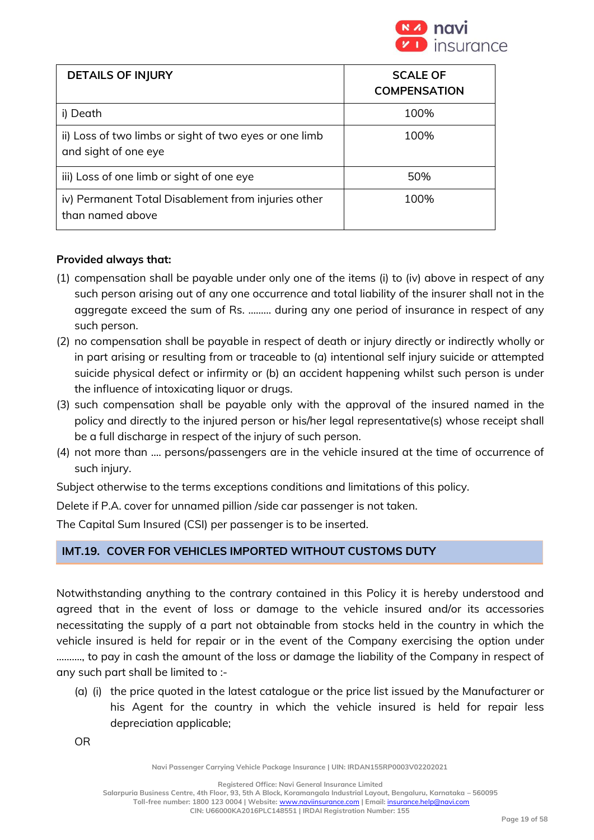

| <b>DETAILS OF INJURY</b>                                                       | <b>SCALE OF</b><br><b>COMPENSATION</b> |
|--------------------------------------------------------------------------------|----------------------------------------|
| i) Death                                                                       | 100%                                   |
| ii) Loss of two limbs or sight of two eyes or one limb<br>and sight of one eye | 100%                                   |
| iii) Loss of one limb or sight of one eye                                      | 50%                                    |
| iv) Permanent Total Disablement from injuries other<br>than named above        | 100%                                   |

## **Provided always that:**

- (1) compensation shall be payable under only one of the items (i) to (iv) above in respect of any such person arising out of any one occurrence and total liability of the insurer shall not in the aggregate exceed the sum of Rs. ....….. during any one period of insurance in respect of any such person.
- (2) no compensation shall be payable in respect of death or injury directly or indirectly wholly or in part arising or resulting from or traceable to (a) intentional self injury suicide or attempted suicide physical defect or infirmity or (b) an accident happening whilst such person is under the influence of intoxicating liquor or drugs.
- (3) such compensation shall be payable only with the approval of the insured named in the policy and directly to the injured person or his/her legal representative(s) whose receipt shall be a full discharge in respect of the injury of such person.
- (4) not more than .... persons/passengers are in the vehicle insured at the time of occurrence of such injury.

Subject otherwise to the terms exceptions conditions and limitations of this policy.

Delete if P.A. cover for unnamed pillion /side car passenger is not taken.

The Capital Sum Insured (CSI) per passenger is to be inserted.

## **IMT.19. COVER FOR VEHICLES IMPORTED WITHOUT CUSTOMS DUTY**

Notwithstanding anything to the contrary contained in this Policy it is hereby understood and agreed that in the event of loss or damage to the vehicle insured and/or its accessories necessitating the supply of a part not obtainable from stocks held in the country in which the vehicle insured is held for repair or in the event of the Company exercising the option under ………., to pay in cash the amount of the loss or damage the liability of the Company in respect of any such part shall be limited to :-

(a) (i) the price quoted in the latest catalogue or the price list issued by the Manufacturer or his Agent for the country in which the vehicle insured is held for repair less depreciation applicable;

OR

**Navi Passenger Carrying Vehicle Package Insurance | UIN: IRDAN155RP0003V02202021**

**Registered Office: Navi General Insurance Limited**

**Salarpuria Business Centre, 4th Floor, 93, 5th A Block, Koramangala Industrial Layout, Bengaluru, Karnataka – 560095 Toll-free number: 1800 123 0004 | Website:** [www.naviinsurance.com](http://www.naviinsurance.com/) **| Email:** [insurance.help@navi.com](mailto:insurance.help@navi.com)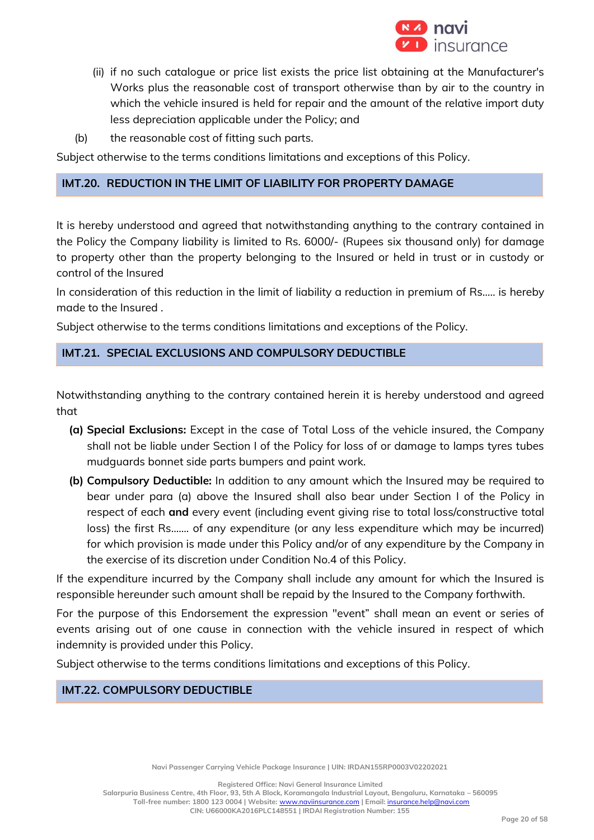

- (ii) if no such catalogue or price list exists the price list obtaining at the Manufacturer's Works plus the reasonable cost of transport otherwise than by air to the country in which the vehicle insured is held for repair and the amount of the relative import duty less depreciation applicable under the Policy; and
- (b) the reasonable cost of fitting such parts.

Subject otherwise to the terms conditions limitations and exceptions of this Policy.

### **IMT.20. REDUCTION IN THE LIMIT OF LIABILITY FOR PROPERTY DAMAGE**

It is hereby understood and agreed that notwithstanding anything to the contrary contained in the Policy the Company liability is limited to Rs. 6000/- (Rupees six thousand only) for damage to property other than the property belonging to the Insured or held in trust or in custody or control of the Insured

In consideration of this reduction in the limit of liability a reduction in premium of Rs….. is hereby made to the Insured .

Subject otherwise to the terms conditions limitations and exceptions of the Policy.

## **IMT.21. SPECIAL EXCLUSIONS AND COMPULSORY DEDUCTIBLE**

Notwithstanding anything to the contrary contained herein it is hereby understood and agreed that

- **(a) Special Exclusions:** Except in the case of Total Loss of the vehicle insured, the Company shall not be liable under Section I of the Policy for loss of or damage to lamps tyres tubes mudguards bonnet side parts bumpers and paint work.
- **(b) Compulsory Deductible:** In addition to any amount which the Insured may be required to bear under para (a) above the Insured shall also bear under Section I of the Policy in respect of each **and** every event (including event giving rise to total loss/constructive total loss) the first Rs....... of any expenditure (or any less expenditure which may be incurred) for which provision is made under this Policy and/or of any expenditure by the Company in the exercise of its discretion under Condition No.4 of this Policy.

If the expenditure incurred by the Company shall include any amount for which the Insured is responsible hereunder such amount shall be repaid by the Insured to the Company forthwith.

For the purpose of this Endorsement the expression "event" shall mean an event or series of events arising out of one cause in connection with the vehicle insured in respect of which indemnity is provided under this Policy.

Subject otherwise to the terms conditions limitations and exceptions of this Policy.

**IMT.22. COMPULSORY DEDUCTIBLE** 

**Registered Office: Navi General Insurance Limited**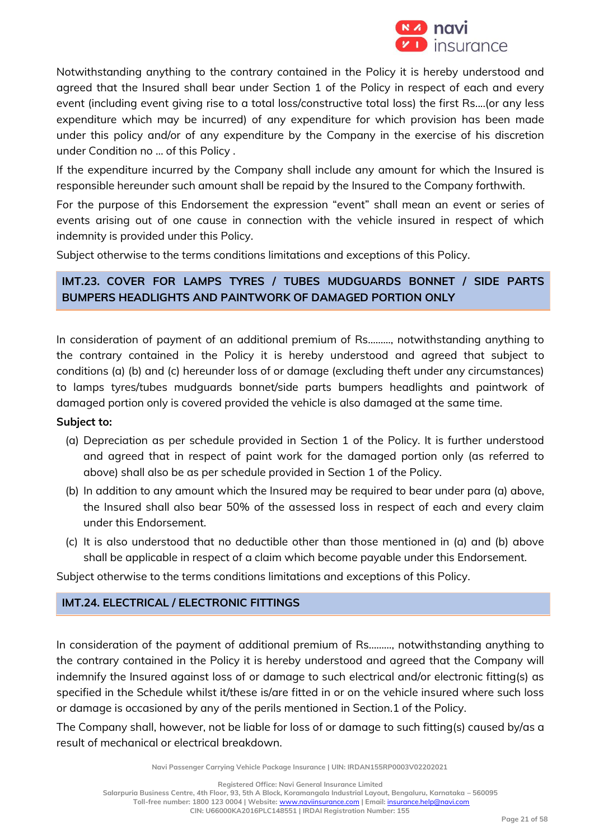

Notwithstanding anything to the contrary contained in the Policy it is hereby understood and agreed that the Insured shall bear under Section 1 of the Policy in respect of each and every event (including event giving rise to a total loss/constructive total loss) the first Rs....(or any less expenditure which may be incurred) of any expenditure for which provision has been made under this policy and/or of any expenditure by the Company in the exercise of his discretion under Condition no … of this Policy .

If the expenditure incurred by the Company shall include any amount for which the Insured is responsible hereunder such amount shall be repaid by the Insured to the Company forthwith.

For the purpose of this Endorsement the expression "event" shall mean an event or series of events arising out of one cause in connection with the vehicle insured in respect of which indemnity is provided under this Policy.

Subject otherwise to the terms conditions limitations and exceptions of this Policy.

## **IMT.23. COVER FOR LAMPS TYRES / TUBES MUDGUARDS BONNET / SIDE PARTS BUMPERS HEADLIGHTS AND PAINTWORK OF DAMAGED PORTION ONLY**

In consideration of payment of an additional premium of Rs....….., notwithstanding anything to the contrary contained in the Policy it is hereby understood and agreed that subject to conditions (a) (b) and (c) hereunder loss of or damage (excluding theft under any circumstances) to lamps tyres/tubes mudguards bonnet/side parts bumpers headlights and paintwork of damaged portion only is covered provided the vehicle is also damaged at the same time.

## **Subject to:**

- (a) Depreciation as per schedule provided in Section 1 of the Policy. It is further understood and agreed that in respect of paint work for the damaged portion only (as referred to above) shall also be as per schedule provided in Section 1 of the Policy.
- (b) In addition to any amount which the Insured may be required to bear under para (a) above, the Insured shall also bear 50% of the assessed loss in respect of each and every claim under this Endorsement.
- (c) It is also understood that no deductible other than those mentioned in (a) and (b) above shall be applicable in respect of a claim which become payable under this Endorsement.

Subject otherwise to the terms conditions limitations and exceptions of this Policy.

## **IMT.24. ELECTRICAL / ELECTRONIC FITTINGS**

In consideration of the payment of additional premium of Rs………, notwithstanding anything to the contrary contained in the Policy it is hereby understood and agreed that the Company will indemnify the Insured against loss of or damage to such electrical and/or electronic fitting(s) as specified in the Schedule whilst it/these is/are fitted in or on the vehicle insured where such loss or damage is occasioned by any of the perils mentioned in Section.1 of the Policy.

The Company shall, however, not be liable for loss of or damage to such fitting(s) caused by/as a result of mechanical or electrical breakdown.

**Navi Passenger Carrying Vehicle Package Insurance | UIN: IRDAN155RP0003V02202021**

**Registered Office: Navi General Insurance Limited**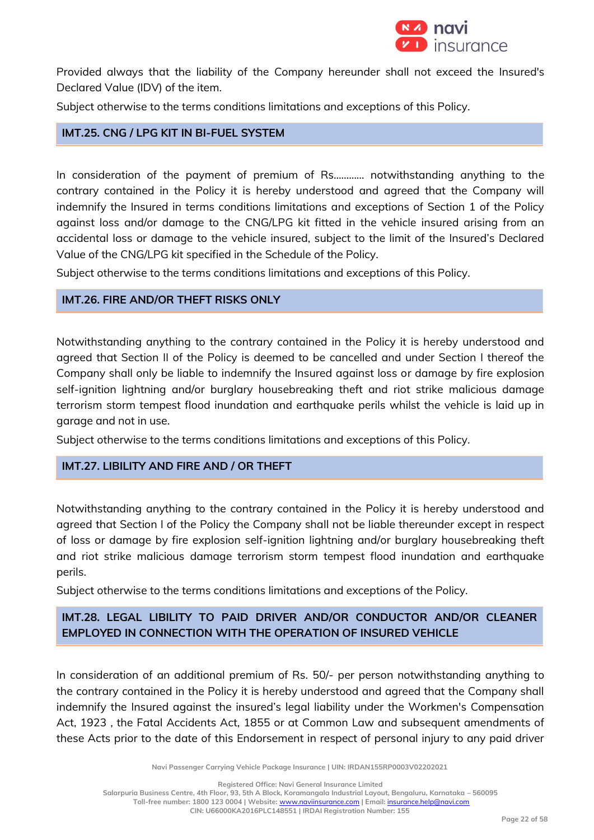

Provided always that the liability of the Company hereunder shall not exceed the Insured's Declared Value (IDV) of the item.

Subject otherwise to the terms conditions limitations and exceptions of this Policy.

### **IMT.25. CNG / LPG KIT IN BI-FUEL SYSTEM**

In consideration of the payment of premium of Rs………… notwithstanding anything to the contrary contained in the Policy it is hereby understood and agreed that the Company will indemnify the Insured in terms conditions limitations and exceptions of Section 1 of the Policy against loss and/or damage to the CNG/LPG kit fitted in the vehicle insured arising from an accidental loss or damage to the vehicle insured, subject to the limit of the Insured's Declared Value of the CNG/LPG kit specified in the Schedule of the Policy.

Subject otherwise to the terms conditions limitations and exceptions of this Policy.

## **IMT.26. FIRE AND/OR THEFT RISKS ONLY**

Notwithstanding anything to the contrary contained in the Policy it is hereby understood and agreed that Section II of the Policy is deemed to be cancelled and under Section I thereof the Company shall only be liable to indemnify the Insured against loss or damage by fire explosion self-ignition lightning and/or burglary housebreaking theft and riot strike malicious damage terrorism storm tempest flood inundation and earthquake perils whilst the vehicle is laid up in garage and not in use.

Subject otherwise to the terms conditions limitations and exceptions of this Policy.

### **IMT.27. LIBILITY AND FIRE AND / OR THEFT**

Notwithstanding anything to the contrary contained in the Policy it is hereby understood and agreed that Section I of the Policy the Company shall not be liable thereunder except in respect of loss or damage by fire explosion self-ignition lightning and/or burglary housebreaking theft and riot strike malicious damage terrorism storm tempest flood inundation and earthquake perils.

Subject otherwise to the terms conditions limitations and exceptions of the Policy.

## **IMT.28. LEGAL LIBILITY TO PAID DRIVER AND/OR CONDUCTOR AND/OR CLEANER EMPLOYED IN CONNECTION WITH THE OPERATION OF INSURED VEHICLE**

In consideration of an additional premium of Rs. 50/- per person notwithstanding anything to the contrary contained in the Policy it is hereby understood and agreed that the Company shall indemnify the Insured against the insured's legal liability under the Workmen's Compensation Act, 1923 , the Fatal Accidents Act, 1855 or at Common Law and subsequent amendments of these Acts prior to the date of this Endorsement in respect of personal injury to any paid driver

**Navi Passenger Carrying Vehicle Package Insurance | UIN: IRDAN155RP0003V02202021**

**Registered Office: Navi General Insurance Limited**

**Salarpuria Business Centre, 4th Floor, 93, 5th A Block, Koramangala Industrial Layout, Bengaluru, Karnataka – 560095 Toll-free number: 1800 123 0004 | Website:** [www.naviinsurance.com](http://www.naviinsurance.com/) **| Email:** [insurance.help@navi.com](mailto:insurance.help@navi.com)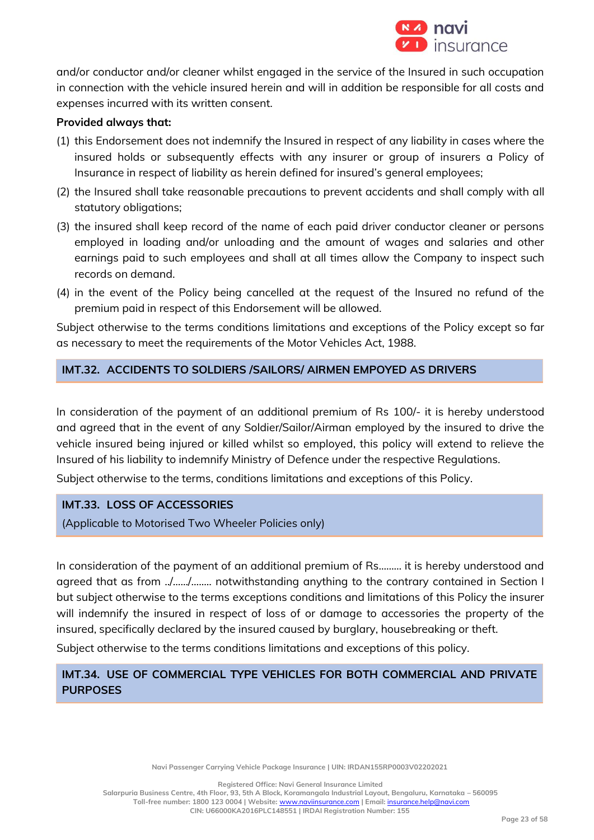

and/or conductor and/or cleaner whilst engaged in the service of the Insured in such occupation in connection with the vehicle insured herein and will in addition be responsible for all costs and expenses incurred with its written consent.

### **Provided always that:**

- (1) this Endorsement does not indemnify the Insured in respect of any liability in cases where the insured holds or subsequently effects with any insurer or group of insurers a Policy of Insurance in respect of liability as herein defined for insured's general employees;
- (2) the Insured shall take reasonable precautions to prevent accidents and shall comply with all statutory obligations;
- (3) the insured shall keep record of the name of each paid driver conductor cleaner or persons employed in loading and/or unloading and the amount of wages and salaries and other earnings paid to such employees and shall at all times allow the Company to inspect such records on demand.
- (4) in the event of the Policy being cancelled at the request of the Insured no refund of the premium paid in respect of this Endorsement will be allowed.

Subject otherwise to the terms conditions limitations and exceptions of the Policy except so far as necessary to meet the requirements of the Motor Vehicles Act, 1988.

## **IMT.32. ACCIDENTS TO SOLDIERS /SAILORS/ AIRMEN EMPOYED AS DRIVERS**

In consideration of the payment of an additional premium of Rs 100/- it is hereby understood and agreed that in the event of any Soldier/Sailor/Airman employed by the insured to drive the vehicle insured being injured or killed whilst so employed, this policy will extend to relieve the Insured of his liability to indemnify Ministry of Defence under the respective Regulations.

Subject otherwise to the terms, conditions limitations and exceptions of this Policy.

## **IMT.33. LOSS OF ACCESSORIES**

(Applicable to Motorised Two Wheeler Policies only)

In consideration of the payment of an additional premium of Rs...…… it is hereby understood and agreed that as from ../….../…..... notwithstanding anything to the contrary contained in Section I but subject otherwise to the terms exceptions conditions and limitations of this Policy the insurer will indemnify the insured in respect of loss of or damage to accessories the property of the insured, specifically declared by the insured caused by burglary, housebreaking or theft.

Subject otherwise to the terms conditions limitations and exceptions of this policy.

## **IMT.34. USE OF COMMERCIAL TYPE VEHICLES FOR BOTH COMMERCIAL AND PRIVATE PURPOSES**

**Navi Passenger Carrying Vehicle Package Insurance | UIN: IRDAN155RP0003V02202021**

**Registered Office: Navi General Insurance Limited**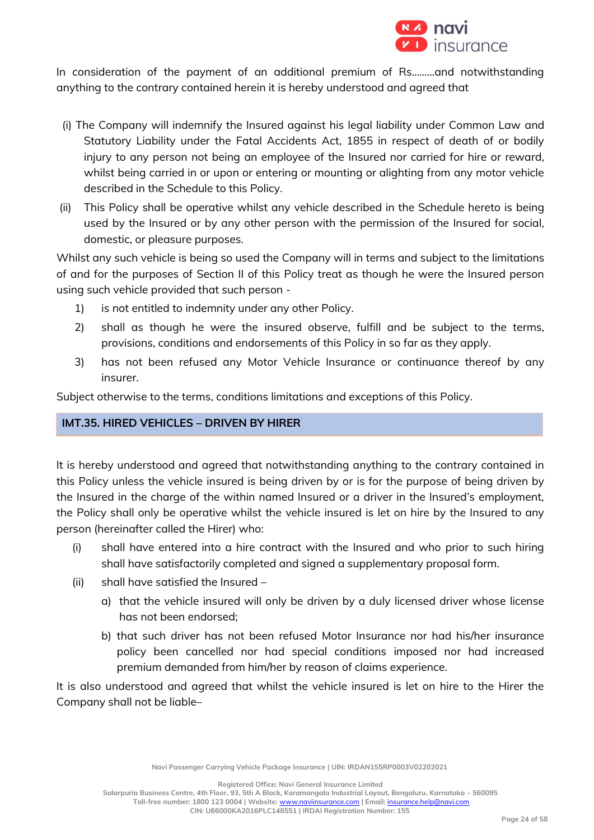

In consideration of the payment of an additional premium of Rs.……..and notwithstanding anything to the contrary contained herein it is hereby understood and agreed that

- (i) The Company will indemnify the Insured against his legal liability under Common Law and Statutory Liability under the Fatal Accidents Act, 1855 in respect of death of or bodily injury to any person not being an employee of the Insured nor carried for hire or reward, whilst being carried in or upon or entering or mounting or alighting from any motor vehicle described in the Schedule to this Policy.
- (ii) This Policy shall be operative whilst any vehicle described in the Schedule hereto is being used by the Insured or by any other person with the permission of the Insured for social, domestic, or pleasure purposes.

Whilst any such vehicle is being so used the Company will in terms and subject to the limitations of and for the purposes of Section II of this Policy treat as though he were the Insured person using such vehicle provided that such person -

- 1) is not entitled to indemnity under any other Policy.
- 2) shall as though he were the insured observe, fulfill and be subject to the terms, provisions, conditions and endorsements of this Policy in so far as they apply.
- 3) has not been refused any Motor Vehicle Insurance or continuance thereof by any insurer.

Subject otherwise to the terms, conditions limitations and exceptions of this Policy.

## **IMT.35. HIRED VEHICLES – DRIVEN BY HIRER**

It is hereby understood and agreed that notwithstanding anything to the contrary contained in this Policy unless the vehicle insured is being driven by or is for the purpose of being driven by the Insured in the charge of the within named Insured or a driver in the Insured's employment, the Policy shall only be operative whilst the vehicle insured is let on hire by the Insured to any person (hereinafter called the Hirer) who:

- (i) shall have entered into a hire contract with the Insured and who prior to such hiring shall have satisfactorily completed and signed a supplementary proposal form.
- (ii) shall have satisfied the Insured
	- a) that the vehicle insured will only be driven by a duly licensed driver whose license has not been endorsed;
	- b) that such driver has not been refused Motor Insurance nor had his/her insurance policy been cancelled nor had special conditions imposed nor had increased premium demanded from him/her by reason of claims experience.

It is also understood and agreed that whilst the vehicle insured is let on hire to the Hirer the Company shall not be liable–

**Navi Passenger Carrying Vehicle Package Insurance | UIN: IRDAN155RP0003V02202021**

**Registered Office: Navi General Insurance Limited**

**Salarpuria Business Centre, 4th Floor, 93, 5th A Block, Koramangala Industrial Layout, Bengaluru, Karnataka – 560095**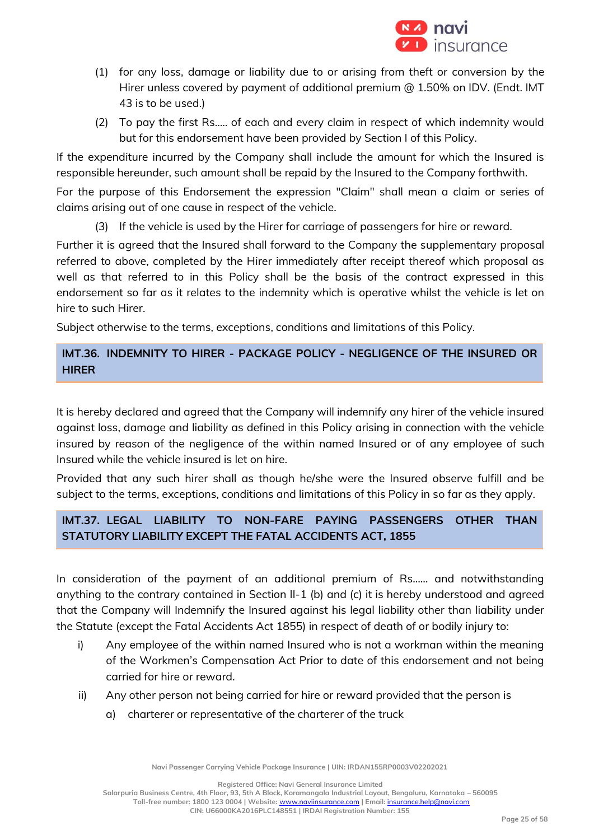

- (1) for any loss, damage or liability due to or arising from theft or conversion by the Hirer unless covered by payment of additional premium @ 1.50% on IDV. (Endt. IMT 43 is to be used.)
- (2) To pay the first Rs..... of each and every claim in respect of which indemnity would but for this endorsement have been provided by Section I of this Policy.

If the expenditure incurred by the Company shall include the amount for which the Insured is responsible hereunder, such amount shall be repaid by the Insured to the Company forthwith.

For the purpose of this Endorsement the expression "Claim" shall mean a claim or series of claims arising out of one cause in respect of the vehicle.

(3) If the vehicle is used by the Hirer for carriage of passengers for hire or reward.

Further it is agreed that the Insured shall forward to the Company the supplementary proposal referred to above, completed by the Hirer immediately after receipt thereof which proposal as well as that referred to in this Policy shall be the basis of the contract expressed in this endorsement so far as it relates to the indemnity which is operative whilst the vehicle is let on hire to such Hirer.

Subject otherwise to the terms, exceptions, conditions and limitations of this Policy.

## **IMT.36. INDEMNITY TO HIRER - PACKAGE POLICY - NEGLIGENCE OF THE INSURED OR HIRER**

It is hereby declared and agreed that the Company will indemnify any hirer of the vehicle insured against loss, damage and liability as defined in this Policy arising in connection with the vehicle insured by reason of the negligence of the within named Insured or of any employee of such Insured while the vehicle insured is let on hire.

Provided that any such hirer shall as though he/she were the Insured observe fulfill and be subject to the terms, exceptions, conditions and limitations of this Policy in so far as they apply.

# **IMT.37. LEGAL LIABILITY TO NON-FARE PAYING PASSENGERS OTHER THAN STATUTORY LIABILITY EXCEPT THE FATAL ACCIDENTS ACT, 1855**

In consideration of the payment of an additional premium of Rs…… and notwithstanding anything to the contrary contained in Section II-1 (b) and (c) it is hereby understood and agreed that the Company will Indemnify the Insured against his legal liability other than liability under the Statute (except the Fatal Accidents Act 1855) in respect of death of or bodily injury to:

- i) Any employee of the within named Insured who is not a workman within the meaning of the Workmen's Compensation Act Prior to date of this endorsement and not being carried for hire or reward.
- ii) Any other person not being carried for hire or reward provided that the person is
	- a) charterer or representative of the charterer of the truck

**Navi Passenger Carrying Vehicle Package Insurance | UIN: IRDAN155RP0003V02202021**

**Registered Office: Navi General Insurance Limited**

**Salarpuria Business Centre, 4th Floor, 93, 5th A Block, Koramangala Industrial Layout, Bengaluru, Karnataka – 560095**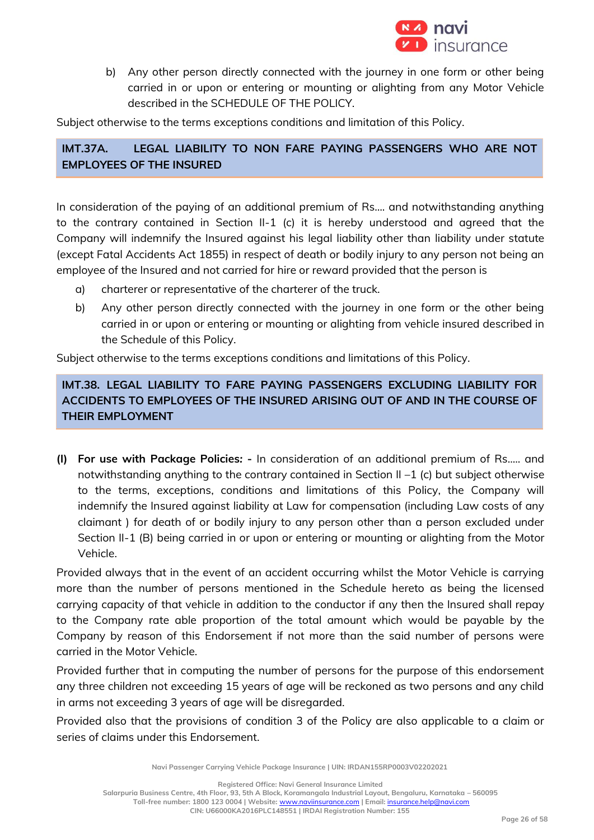

b) Any other person directly connected with the journey in one form or other being carried in or upon or entering or mounting or alighting from any Motor Vehicle described in the SCHEDULE OF THE POLICY.

Subject otherwise to the terms exceptions conditions and limitation of this Policy.

**IMT.37A. LEGAL LIABILITY TO NON FARE PAYING PASSENGERS WHO ARE NOT EMPLOYEES OF THE INSURED**

In consideration of the paying of an additional premium of Rs…. and notwithstanding anything to the contrary contained in Section II-1 (c) it is hereby understood and agreed that the Company will indemnify the Insured against his legal liability other than liability under statute (except Fatal Accidents Act 1855) in respect of death or bodily injury to any person not being an employee of the Insured and not carried for hire or reward provided that the person is

- a) charterer or representative of the charterer of the truck.
- b) Any other person directly connected with the journey in one form or the other being carried in or upon or entering or mounting or alighting from vehicle insured described in the Schedule of this Policy.

Subject otherwise to the terms exceptions conditions and limitations of this Policy.

**IMT.38. LEGAL LIABILITY TO FARE PAYING PASSENGERS EXCLUDING LIABILITY FOR ACCIDENTS TO EMPLOYEES OF THE INSURED ARISING OUT OF AND IN THE COURSE OF THEIR EMPLOYMENT**

**(I) For use with Package Policies***:* **-** In consideration of an additional premium of Rs..... and notwithstanding anything to the contrary contained in Section II –1 (c) but subject otherwise to the terms, exceptions, conditions and limitations of this Policy, the Company will indemnify the Insured against liability at Law for compensation (including Law costs of any claimant ) for death of or bodily injury to any person other than a person excluded under Section II-1 (B) being carried in or upon or entering or mounting or alighting from the Motor Vehicle.

Provided always that in the event of an accident occurring whilst the Motor Vehicle is carrying more than the number of persons mentioned in the Schedule hereto as being the licensed carrying capacity of that vehicle in addition to the conductor if any then the Insured shall repay to the Company rate able proportion of the total amount which would be payable by the Company by reason of this Endorsement if not more than the said number of persons were carried in the Motor Vehicle.

Provided further that in computing the number of persons for the purpose of this endorsement any three children not exceeding 15 years of age will be reckoned as two persons and any child in arms not exceeding 3 years of age will be disregarded.

Provided also that the provisions of condition 3 of the Policy are also applicable to a claim or series of claims under this Endorsement.

**Navi Passenger Carrying Vehicle Package Insurance | UIN: IRDAN155RP0003V02202021**

**Registered Office: Navi General Insurance Limited**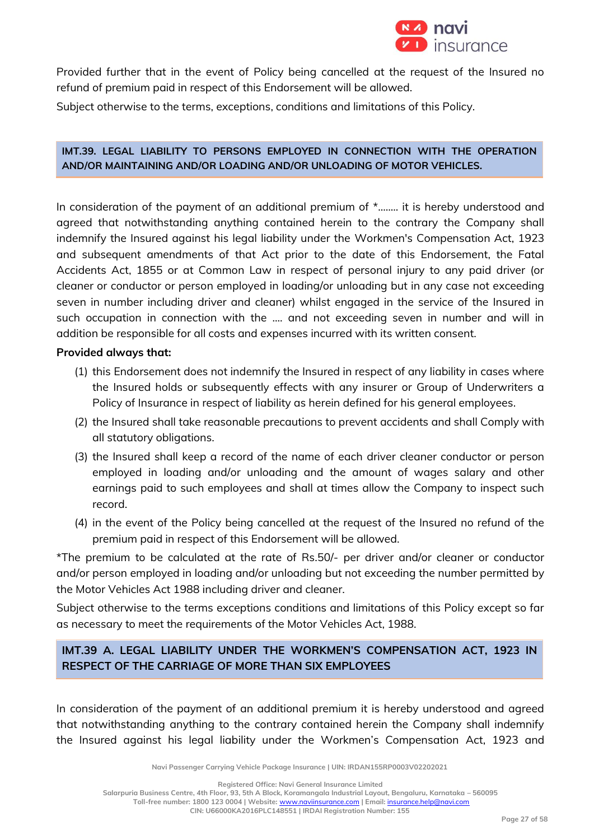

Provided further that in the event of Policy being cancelled at the request of the Insured no refund of premium paid in respect of this Endorsement will be allowed.

Subject otherwise to the terms, exceptions, conditions and limitations of this Policy.

## **IMT.39. LEGAL LIABILITY TO PERSONS EMPLOYED IN CONNECTION WITH THE OPERATION AND/OR MAINTAINING AND/OR LOADING AND/OR UNLOADING OF MOTOR VEHICLES.**

In consideration of the payment of an additional premium of  $*$ ........ it is hereby understood and agreed that notwithstanding anything contained herein to the contrary the Company shall indemnify the Insured against his legal liability under the Workmen's Compensation Act, 1923 and subsequent amendments of that Act prior to the date of this Endorsement, the Fatal Accidents Act, 1855 or at Common Law in respect of personal injury to any paid driver (or cleaner or conductor or person employed in loading/or unloading but in any case not exceeding seven in number including driver and cleaner) whilst engaged in the service of the Insured in such occupation in connection with the .... and not exceeding seven in number and will in addition be responsible for all costs and expenses incurred with its written consent.

#### **Provided always that:**

- (1) this Endorsement does not indemnify the Insured in respect of any liability in cases where the Insured holds or subsequently effects with any insurer or Group of Underwriters a Policy of Insurance in respect of liability as herein defined for his general employees.
- (2) the Insured shall take reasonable precautions to prevent accidents and shall Comply with all statutory obligations.
- (3) the Insured shall keep a record of the name of each driver cleaner conductor or person employed in loading and/or unloading and the amount of wages salary and other earnings paid to such employees and shall at times allow the Company to inspect such record.
- (4) in the event of the Policy being cancelled at the request of the Insured no refund of the premium paid in respect of this Endorsement will be allowed.

\*The premium to be calculated at the rate of Rs.50/- per driver and/or cleaner or conductor and/or person employed in loading and/or unloading but not exceeding the number permitted by the Motor Vehicles Act 1988 including driver and cleaner.

Subject otherwise to the terms exceptions conditions and limitations of this Policy except so far as necessary to meet the requirements of the Motor Vehicles Act, 1988.

## **IMT.39 A. LEGAL LIABILITY UNDER THE WORKMEN'S COMPENSATION ACT, 1923 IN RESPECT OF THE CARRIAGE OF MORE THAN SIX EMPLOYEES**

In consideration of the payment of an additional premium it is hereby understood and agreed that notwithstanding anything to the contrary contained herein the Company shall indemnify the Insured against his legal liability under the Workmen's Compensation Act, 1923 and

**Navi Passenger Carrying Vehicle Package Insurance | UIN: IRDAN155RP0003V02202021**

**Registered Office: Navi General Insurance Limited**

**Salarpuria Business Centre, 4th Floor, 93, 5th A Block, Koramangala Industrial Layout, Bengaluru, Karnataka – 560095**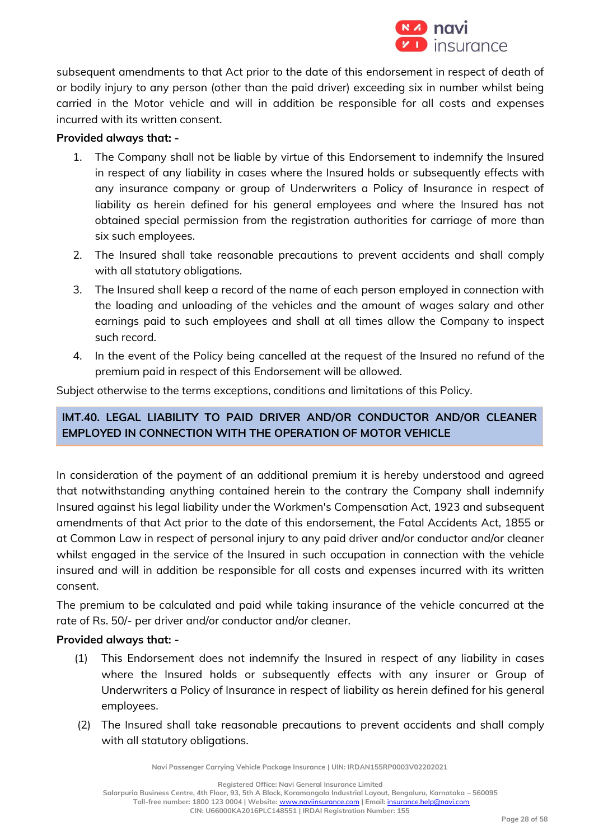

subsequent amendments to that Act prior to the date of this endorsement in respect of death of or bodily injury to any person (other than the paid driver) exceeding six in number whilst being carried in the Motor vehicle and will in addition be responsible for all costs and expenses incurred with its written consent.

## **Provided always that: -**

- 1. The Company shall not be liable by virtue of this Endorsement to indemnify the Insured in respect of any liability in cases where the Insured holds or subsequently effects with any insurance company or group of Underwriters a Policy of Insurance in respect of liability as herein defined for his general employees and where the Insured has not obtained special permission from the registration authorities for carriage of more than six such employees.
- 2. The Insured shall take reasonable precautions to prevent accidents and shall comply with all statutory obligations.
- 3. The Insured shall keep a record of the name of each person employed in connection with the loading and unloading of the vehicles and the amount of wages salary and other earnings paid to such employees and shall at all times allow the Company to inspect such record.
- 4. In the event of the Policy being cancelled at the request of the Insured no refund of the premium paid in respect of this Endorsement will be allowed.

Subject otherwise to the terms exceptions, conditions and limitations of this Policy.

## **IMT.40. LEGAL LIABILITY TO PAID DRIVER AND/OR CONDUCTOR AND/OR CLEANER EMPLOYED IN CONNECTION WITH THE OPERATION OF MOTOR VEHICLE**

In consideration of the payment of an additional premium it is hereby understood and agreed that notwithstanding anything contained herein to the contrary the Company shall indemnify Insured against his legal liability under the Workmen's Compensation Act, 1923 and subsequent amendments of that Act prior to the date of this endorsement, the Fatal Accidents Act, 1855 or at Common Law in respect of personal injury to any paid driver and/or conductor and/or cleaner whilst engaged in the service of the Insured in such occupation in connection with the vehicle insured and will in addition be responsible for all costs and expenses incurred with its written consent.

The premium to be calculated and paid while taking insurance of the vehicle concurred at the rate of Rs. 50/- per driver and/or conductor and/or cleaner.

## **Provided always that: -**

- (1) This Endorsement does not indemnify the Insured in respect of any liability in cases where the Insured holds or subsequently effects with any insurer or Group of Underwriters a Policy of Insurance in respect of liability as herein defined for his general employees.
- (2) The Insured shall take reasonable precautions to prevent accidents and shall comply with all statutory obligations.

**Navi Passenger Carrying Vehicle Package Insurance | UIN: IRDAN155RP0003V02202021**

**Registered Office: Navi General Insurance Limited**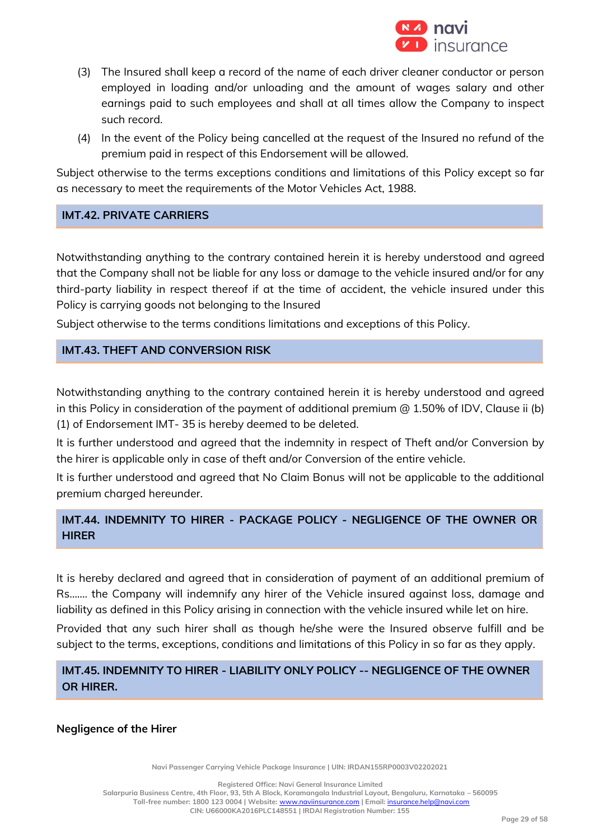

- (3) The Insured shall keep a record of the name of each driver cleaner conductor or person employed in loading and/or unloading and the amount of wages salary and other earnings paid to such employees and shall at all times allow the Company to inspect such record.
- (4) In the event of the Policy being cancelled at the request of the Insured no refund of the premium paid in respect of this Endorsement will be allowed.

Subject otherwise to the terms exceptions conditions and limitations of this Policy except so far as necessary to meet the requirements of the Motor Vehicles Act, 1988.

## **IMT.42. PRIVATE CARRIERS**

Notwithstanding anything to the contrary contained herein it is hereby understood and agreed that the Company shall not be liable for any loss or damage to the vehicle insured and/or for any third-party liability in respect thereof if at the time of accident, the vehicle insured under this Policy is carrying goods not belonging to the Insured

Subject otherwise to the terms conditions limitations and exceptions of this Policy.

# **IMT.43. THEFT AND CONVERSION RISK**

Notwithstanding anything to the contrary contained herein it is hereby understood and agreed in this Policy in consideration of the payment of additional premium @ 1.50% of IDV, Clause ii (b) (1) of Endorsement IMT- 35 is hereby deemed to be deleted.

It is further understood and agreed that the indemnity in respect of Theft and/or Conversion by the hirer is applicable only in case of theft and/or Conversion of the entire vehicle.

It is further understood and agreed that No Claim Bonus will not be applicable to the additional premium charged hereunder.

# **IMT.44. INDEMNITY TO HIRER - PACKAGE POLICY - NEGLIGENCE OF THE OWNER OR HIRER**

It is hereby declared and agreed that in consideration of payment of an additional premium of Rs……. the Company will indemnify any hirer of the Vehicle insured against loss, damage and liability as defined in this Policy arising in connection with the vehicle insured while let on hire.

Provided that any such hirer shall as though he/she were the Insured observe fulfill and be subject to the terms, exceptions, conditions and limitations of this Policy in so far as they apply.

## **IMT.45. INDEMNITY TO HIRER - LIABILITY ONLY POLICY -- NEGLIGENCE OF THE OWNER OR HIRER.**

**Negligence of the Hirer**

**Navi Passenger Carrying Vehicle Package Insurance | UIN: IRDAN155RP0003V02202021**

**Registered Office: Navi General Insurance Limited**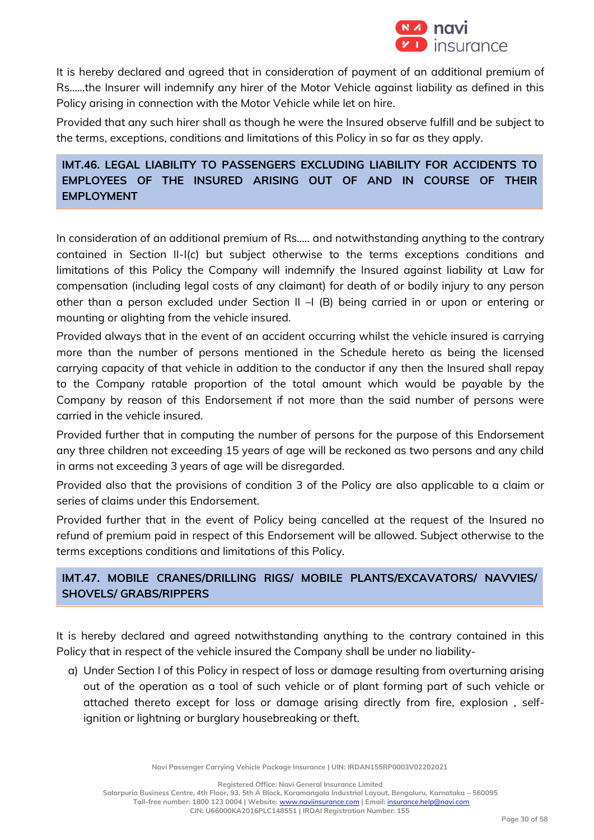

It is hereby declared and agreed that in consideration of payment of an additional premium of Rs……the Insurer will indemnify any hirer of the Motor Vehicle against liability as defined in this Policy arising in connection with the Motor Vehicle while let on hire.

Provided that any such hirer shall as though he were the Insured observe fulfill and be subject to the terms, exceptions, conditions and limitations of this Policy in so far as they apply.

# **IMT.46. LEGAL LIABILITY TO PASSENGERS EXCLUDING LIABILITY FOR ACCIDENTS TO EMPLOYEES OF THE INSURED ARISING OUT OF AND IN COURSE OF THEIR EMPLOYMENT**

In consideration of an additional premium of Rs….. and notwithstanding anything to the contrary contained in Section II-I(c) but subject otherwise to the terms exceptions conditions and limitations of this Policy the Company will indemnify the Insured against liability at Law for compensation (including legal costs of any claimant) for death of or bodily injury to any person other than a person excluded under Section II –I (B) being carried in or upon or entering or mounting or alighting from the vehicle insured.

Provided always that in the event of an accident occurring whilst the vehicle insured is carrying more than the number of persons mentioned in the Schedule hereto as being the licensed carrying capacity of that vehicle in addition to the conductor if any then the Insured shall repay to the Company ratable proportion of the total amount which would be payable by the Company by reason of this Endorsement if not more than the said number of persons were carried in the vehicle insured.

Provided further that in computing the number of persons for the purpose of this Endorsement any three children not exceeding 15 years of age will be reckoned as two persons and any child in arms not exceeding 3 years of age will be disregarded.

Provided also that the provisions of condition 3 of the Policy are also applicable to a claim or series of claims under this Endorsement.

Provided further that in the event of Policy being cancelled at the request of the Insured no refund of premium paid in respect of this Endorsement will be allowed. Subject otherwise to the terms exceptions conditions and limitations of this Policy.

## **IMT.47. MOBILE CRANES/DRILLING RIGS/ MOBILE PLANTS/EXCAVATORS/ NAVVIES/ SHOVELS/ GRABS/RIPPERS**

It is hereby declared and agreed notwithstanding anything to the contrary contained in this Policy that in respect of the vehicle insured the Company shall be under no liability-

a) Under Section I of this Policy in respect of loss or damage resulting from overturning arising out of the operation as a tool of such vehicle or of plant forming part of such vehicle or attached thereto except for loss or damage arising directly from fire, explosion , selfignition or lightning or burglary housebreaking or theft.

**Navi Passenger Carrying Vehicle Package Insurance | UIN: IRDAN155RP0003V02202021**

**Registered Office: Navi General Insurance Limited**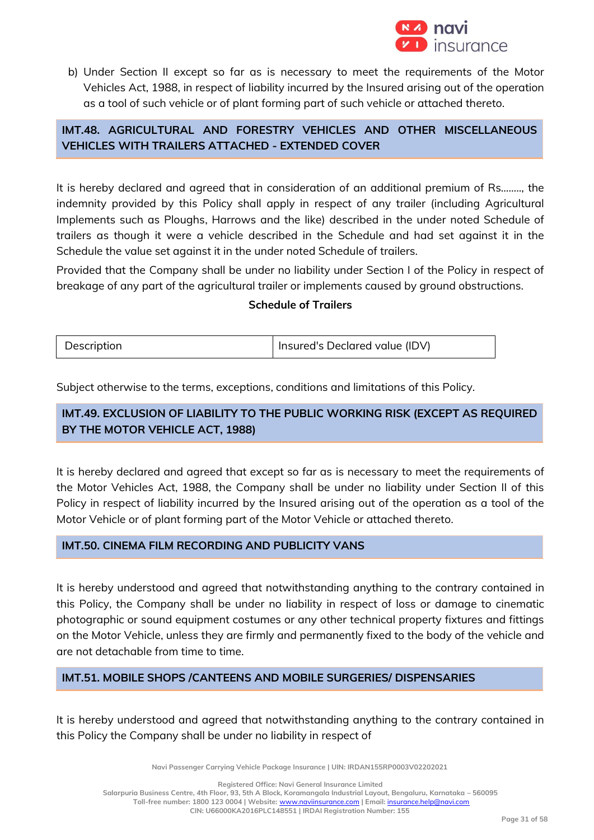

b) Under Section II except so far as is necessary to meet the requirements of the Motor Vehicles Act, 1988, in respect of liability incurred by the Insured arising out of the operation as a tool of such vehicle or of plant forming part of such vehicle or attached thereto.

## **IMT.48. AGRICULTURAL AND FORESTRY VEHICLES AND OTHER MISCELLANEOUS VEHICLES WITH TRAILERS ATTACHED - EXTENDED COVER**

It is hereby declared and agreed that in consideration of an additional premium of Rs…….., the indemnity provided by this Policy shall apply in respect of any trailer (including Agricultural Implements such as Ploughs, Harrows and the like) described in the under noted Schedule of trailers as though it were a vehicle described in the Schedule and had set against it in the Schedule the value set against it in the under noted Schedule of trailers.

Provided that the Company shall be under no liability under Section I of the Policy in respect of breakage of any part of the agricultural trailer or implements caused by ground obstructions.

## **Schedule of Trailers**

| Description | Insured's Declared value (IDV) |
|-------------|--------------------------------|
|             |                                |

Subject otherwise to the terms, exceptions, conditions and limitations of this Policy.

## **IMT.49. EXCLUSION OF LIABILITY TO THE PUBLIC WORKING RISK (EXCEPT AS REQUIRED BY THE MOTOR VEHICLE ACT, 1988)**

It is hereby declared and agreed that except so far as is necessary to meet the requirements of the Motor Vehicles Act, 1988, the Company shall be under no liability under Section II of this Policy in respect of liability incurred by the Insured arising out of the operation as a tool of the Motor Vehicle or of plant forming part of the Motor Vehicle or attached thereto.

## **IMT.50. CINEMA FILM RECORDING AND PUBLICITY VANS**

It is hereby understood and agreed that notwithstanding anything to the contrary contained in this Policy, the Company shall be under no liability in respect of loss or damage to cinematic photographic or sound equipment costumes or any other technical property fixtures and fittings on the Motor Vehicle, unless they are firmly and permanently fixed to the body of the vehicle and are not detachable from time to time.

## **IMT.51. MOBILE SHOPS /CANTEENS AND MOBILE SURGERIES/ DISPENSARIES**

It is hereby understood and agreed that notwithstanding anything to the contrary contained in this Policy the Company shall be under no liability in respect of

**Navi Passenger Carrying Vehicle Package Insurance | UIN: IRDAN155RP0003V02202021**

**Registered Office: Navi General Insurance Limited**

**Salarpuria Business Centre, 4th Floor, 93, 5th A Block, Koramangala Industrial Layout, Bengaluru, Karnataka – 560095**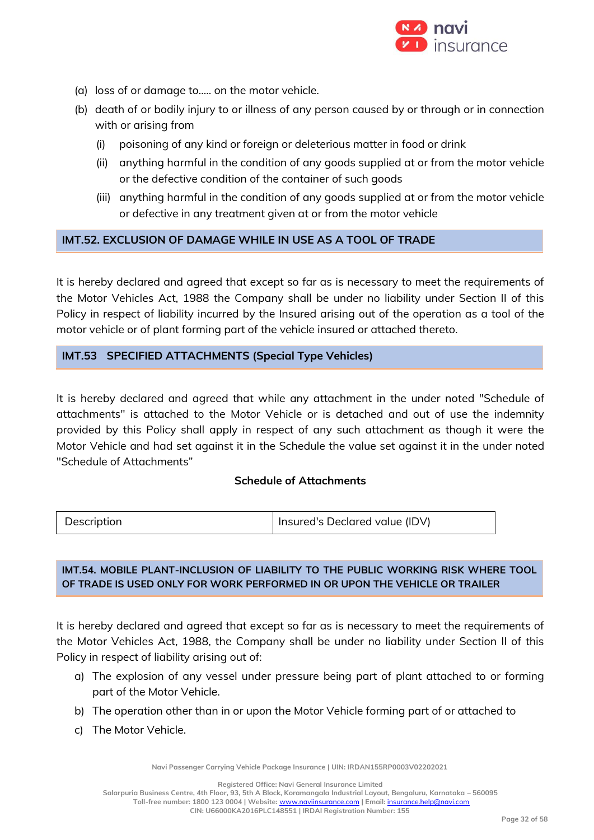

- (a) loss of or damage to..... on the motor vehicle.
- (b) death of or bodily injury to or illness of any person caused by or through or in connection with or arising from
	- (i) poisoning of any kind or foreign or deleterious matter in food or drink
	- (ii) anything harmful in the condition of any goods supplied at or from the motor vehicle or the defective condition of the container of such goods
	- (iii) anything harmful in the condition of any goods supplied at or from the motor vehicle or defective in any treatment given at or from the motor vehicle

#### **IMT.52. EXCLUSION OF DAMAGE WHILE IN USE AS A TOOL OF TRADE**

It is hereby declared and agreed that except so far as is necessary to meet the requirements of the Motor Vehicles Act, 1988 the Company shall be under no liability under Section II of this Policy in respect of liability incurred by the Insured arising out of the operation as a tool of the motor vehicle or of plant forming part of the vehicle insured or attached thereto.

## **IMT.53 SPECIFIED ATTACHMENTS (Special Type Vehicles)**

It is hereby declared and agreed that while any attachment in the under noted "Schedule of attachments" is attached to the Motor Vehicle or is detached and out of use the indemnity provided by this Policy shall apply in respect of any such attachment as though it were the Motor Vehicle and had set against it in the Schedule the value set against it in the under noted "Schedule of Attachments"

## **Schedule of Attachments**

| Description | Insured's Declared value (IDV) |
|-------------|--------------------------------|
|-------------|--------------------------------|

## **IMT.54. MOBILE PLANT-INCLUSION OF LIABILITY TO THE PUBLIC WORKING RISK WHERE TOOL OF TRADE IS USED ONLY FOR WORK PERFORMED IN OR UPON THE VEHICLE OR TRAILER**

It is hereby declared and agreed that except so far as is necessary to meet the requirements of the Motor Vehicles Act, 1988, the Company shall be under no liability under Section II of this Policy in respect of liability arising out of:

- a) The explosion of any vessel under pressure being part of plant attached to or forming part of the Motor Vehicle.
- b) The operation other than in or upon the Motor Vehicle forming part of or attached to
- c) The Motor Vehicle.

**Navi Passenger Carrying Vehicle Package Insurance | UIN: IRDAN155RP0003V02202021**

**Registered Office: Navi General Insurance Limited**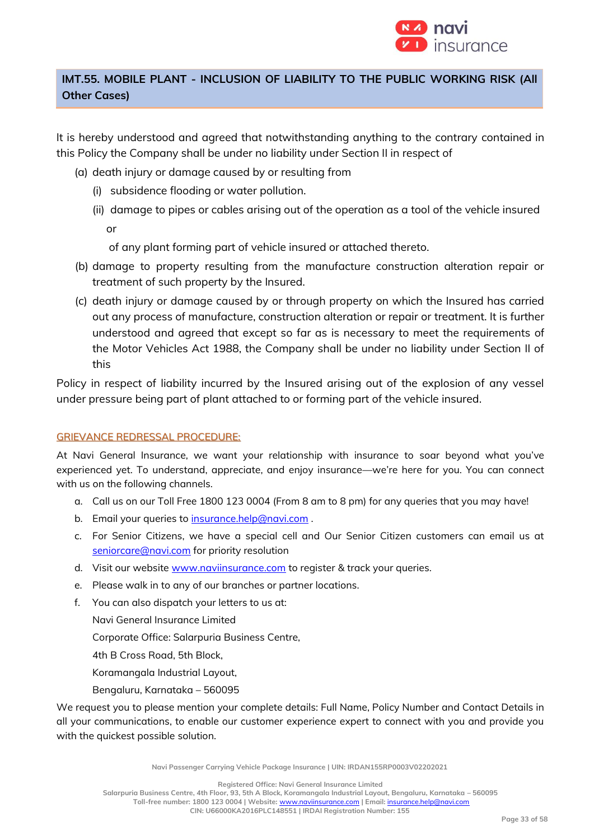

## **IMT.55. MOBILE PLANT - INCLUSION OF LIABILITY TO THE PUBLIC WORKING RISK (All Other Cases)**

It is hereby understood and agreed that notwithstanding anything to the contrary contained in this Policy the Company shall be under no liability under Section II in respect of

- (a) death injury or damage caused by or resulting from
	- (i) subsidence flooding or water pollution.
	- (ii) damage to pipes or cables arising out of the operation as a tool of the vehicle insured or

of any plant forming part of vehicle insured or attached thereto.

- (b) damage to property resulting from the manufacture construction alteration repair or treatment of such property by the Insured.
- (c) death injury or damage caused by or through property on which the Insured has carried out any process of manufacture, construction alteration or repair or treatment. It is further understood and agreed that except so far as is necessary to meet the requirements of the Motor Vehicles Act 1988, the Company shall be under no liability under Section II of this

Policy in respect of liability incurred by the Insured arising out of the explosion of any vessel under pressure being part of plant attached to or forming part of the vehicle insured.

## GRIEVANCE REDRESSAL PROCEDURE:

At Navi General Insurance, we want your relationship with insurance to soar beyond what you've experienced yet. To understand, appreciate, and enjoy insurance—we're here for you. You can connect with us on the following channels.

- a. Call us on our Toll Free 1800 123 0004 (From 8 am to 8 pm) for any queries that you may have!
- b. Email your queries to [insurance.help@navi.com](mailto:insurance.help@navi.com).
- c. For Senior Citizens, we have a special cell and Our Senior Citizen customers can email us at [seniorcare@navi.com](mailto:seniorcare@navi.com) for priority resolution
- d. Visit our website [www.naviinsurance.com](http://www.naviinsurance.com/) to register & track your queries.
- e. Please walk in to any of our branches or partner locations.
- f. You can also dispatch your letters to us at:

Navi General Insurance Limited

Corporate Office: Salarpuria Business Centre,

4th B Cross Road, 5th Block,

Koramangala Industrial Layout,

Bengaluru, Karnataka – 560095

We request you to please mention your complete details: Full Name, Policy Number and Contact Details in all your communications, to enable our customer experience expert to connect with you and provide you with the quickest possible solution.

**Navi Passenger Carrying Vehicle Package Insurance | UIN: IRDAN155RP0003V02202021**

**Registered Office: Navi General Insurance Limited**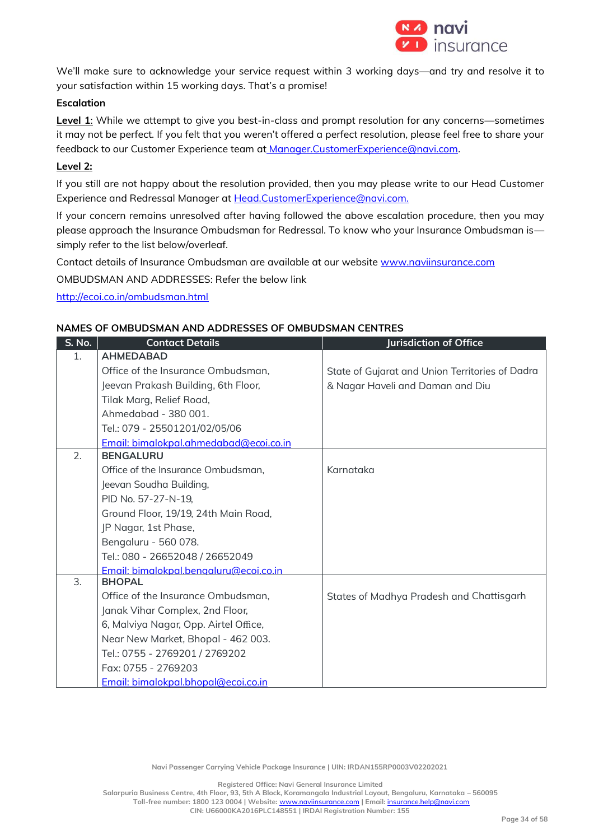

We'll make sure to acknowledge your service request within 3 working days—and try and resolve it to your satisfaction within 15 working days. That's a promise!

#### **Escalation**

Level 1: While we attempt to give you best-in-class and prompt resolution for any concerns-sometimes it may not be perfect. If you felt that you weren't offered a perfect resolution, please feel free to share your feedback to our Customer Experience team at [Manager.CustomerExperience@navi.com.](mailto:at%20Manager.CustomerExperience@navi.com)

#### **Level 2:**

If you still are not happy about the resolution provided, then you may please write to our Head Customer Experience and Redressal Manager at Head.CustomerExperience@navi.com.

If your concern remains unresolved after having followed the above escalation procedure, then you may please approach the Insurance Ombudsman for Redressal. To know who your Insurance Ombudsman is simply refer to the list below/overleaf.

Contact details of Insurance Ombudsman are available at our website [www.naviinsurance.com](http://www.naviinsurance.com/)

OMBUDSMAN AND ADDRESSES: Refer the below link

<http://ecoi.co.in/ombudsman.html>

#### **NAMES OF OMBUDSMAN AND ADDRESSES OF OMBUDSMAN CENTRES**

| S. No. | <b>Contact Details</b>                 | <b>Jurisdiction of Office</b>                   |
|--------|----------------------------------------|-------------------------------------------------|
| 1.     | <b>AHMEDABAD</b>                       |                                                 |
|        | Office of the Insurance Ombudsman,     | State of Gujarat and Union Territories of Dadra |
|        | Jeevan Prakash Building, 6th Floor,    | & Nagar Haveli and Daman and Diu                |
|        | Tilak Marg, Relief Road,               |                                                 |
|        | Ahmedabad - 380 001.                   |                                                 |
|        | Tel.: 079 - 25501201/02/05/06          |                                                 |
|        | Email: bimalokpal.ahmedabad@ecoi.co.in |                                                 |
| 2.     | <b>BENGALURU</b>                       |                                                 |
|        | Office of the Insurance Ombudsman,     | Karnataka                                       |
|        | Jeevan Soudha Building,                |                                                 |
|        | PID No. 57-27-N-19,                    |                                                 |
|        | Ground Floor, 19/19, 24th Main Road,   |                                                 |
|        | JP Nagar, 1st Phase,                   |                                                 |
|        | Bengaluru - 560 078.                   |                                                 |
|        | Tel.: 080 - 26652048 / 26652049        |                                                 |
|        | Email: bimalokpal.benaaluru@ecoi.co.in |                                                 |
| 3.     | <b>BHOPAL</b>                          |                                                 |
|        | Office of the Insurance Ombudsman,     | States of Madhya Pradesh and Chattisgarh        |
|        | Janak Vihar Complex, 2nd Floor,        |                                                 |
|        | 6, Malviya Nagar, Opp. Airtel Office,  |                                                 |
|        | Near New Market, Bhopal - 462 003.     |                                                 |
|        | Tel.: 0755 - 2769201 / 2769202         |                                                 |
|        | Fax: 0755 - 2769203                    |                                                 |
|        | Email: bimalokpal.bhopal@ecoi.co.in    |                                                 |

**Navi Passenger Carrying Vehicle Package Insurance | UIN: IRDAN155RP0003V02202021**

**Registered Office: Navi General Insurance Limited**

**Salarpuria Business Centre, 4th Floor, 93, 5th A Block, Koramangala Industrial Layout, Bengaluru, Karnataka – 560095 Toll-free number: 1800 123 0004 | Website:** [www.naviinsurance.com](http://www.naviinsurance.com/) **| Email:** [insurance.help@navi.com](mailto:insurance.help@navi.com)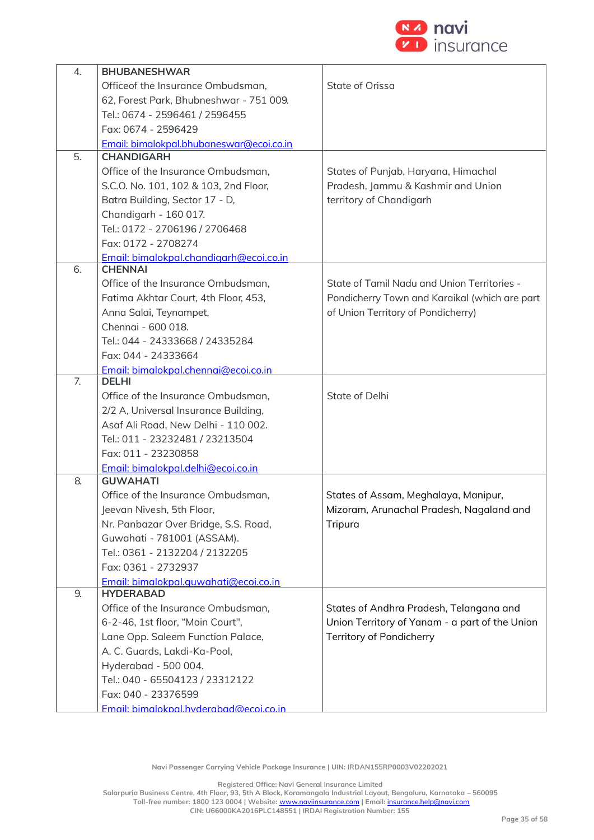

| 4. | <b>BHUBANESHWAR</b>                      |                                                |
|----|------------------------------------------|------------------------------------------------|
|    | Officeof the Insurance Ombudsman,        | State of Orissa                                |
|    | 62, Forest Park, Bhubneshwar - 751 009.  |                                                |
|    | Tel.: 0674 - 2596461 / 2596455           |                                                |
|    | Fax: 0674 - 2596429                      |                                                |
|    | Email: bimalokpal.bhubaneswar@ecoi.co.in |                                                |
| 5. | <b>CHANDIGARH</b>                        |                                                |
|    | Office of the Insurance Ombudsman,       | States of Punjab, Haryana, Himachal            |
|    | S.C.O. No. 101, 102 & 103, 2nd Floor,    | Pradesh, Jammu & Kashmir and Union             |
|    | Batra Building, Sector 17 - D,           | territory of Chandigarh                        |
|    | Chandigarh - 160 017.                    |                                                |
|    | Tel.: 0172 - 2706196 / 2706468           |                                                |
|    | Fax: 0172 - 2708274                      |                                                |
|    | Email: bimalokpal.chandigarh@ecoi.co.in  |                                                |
| 6. | <b>CHENNAI</b>                           |                                                |
|    | Office of the Insurance Ombudsman,       | State of Tamil Nadu and Union Territories -    |
|    | Fatima Akhtar Court, 4th Floor, 453,     | Pondicherry Town and Karaikal (which are part  |
|    | Anna Salai, Teynampet,                   | of Union Territory of Pondicherry)             |
|    | Chennai - 600 018.                       |                                                |
|    | Tel.: 044 - 24333668 / 24335284          |                                                |
|    | Fax: 044 - 24333664                      |                                                |
|    | Email: bimalokpal.chennai@ecoi.co.in     |                                                |
| 7. | <b>DELHI</b>                             |                                                |
|    | Office of the Insurance Ombudsman,       | State of Delhi                                 |
|    | 2/2 A, Universal Insurance Building,     |                                                |
|    | Asaf Ali Road, New Delhi - 110 002.      |                                                |
|    | Tel.: 011 - 23232481 / 23213504          |                                                |
|    | Fax: 011 - 23230858                      |                                                |
|    | Email: bimalokpal.delhi@ecoi.co.in       |                                                |
| 8. | <b>GUWAHATI</b>                          |                                                |
|    | Office of the Insurance Ombudsman,       | States of Assam, Meghalaya, Manipur,           |
|    | Jeevan Nivesh, 5th Floor,                | Mizoram, Arunachal Pradesh, Nagaland and       |
|    | Nr. Panbazar Over Bridge, S.S. Road,     | Tripura                                        |
|    | Guwahati - 781001 (ASSAM).               |                                                |
|    | Tel.: 0361 - 2132204 / 2132205           |                                                |
|    | Fax: 0361 - 2732937                      |                                                |
|    | Email: bimalokpal.quwahati@ecoi.co.in    |                                                |
| 9. | <b>HYDERABAD</b>                         |                                                |
|    | Office of the Insurance Ombudsman,       | States of Andhra Pradesh, Telangana and        |
|    | 6-2-46, 1st floor, "Moin Court",         | Union Territory of Yanam - a part of the Union |
|    | Lane Opp. Saleem Function Palace,        | Territory of Pondicherry                       |
|    | A. C. Guards, Lakdi-Ka-Pool,             |                                                |
|    | Hyderabad - 500 004.                     |                                                |
|    | Tel.: 040 - 65504123 / 23312122          |                                                |
|    | Fax: 040 - 23376599                      |                                                |
|    | Email: bimaloknal hyderabad@ecoi.co.in.  |                                                |

**Navi Passenger Carrying Vehicle Package Insurance | UIN: IRDAN155RP0003V02202021**

**Registered Office: Navi General Insurance Limited**

**Salarpuria Business Centre, 4th Floor, 93, 5th A Block, Koramangala Industrial Layout, Bengaluru, Karnataka – 560095**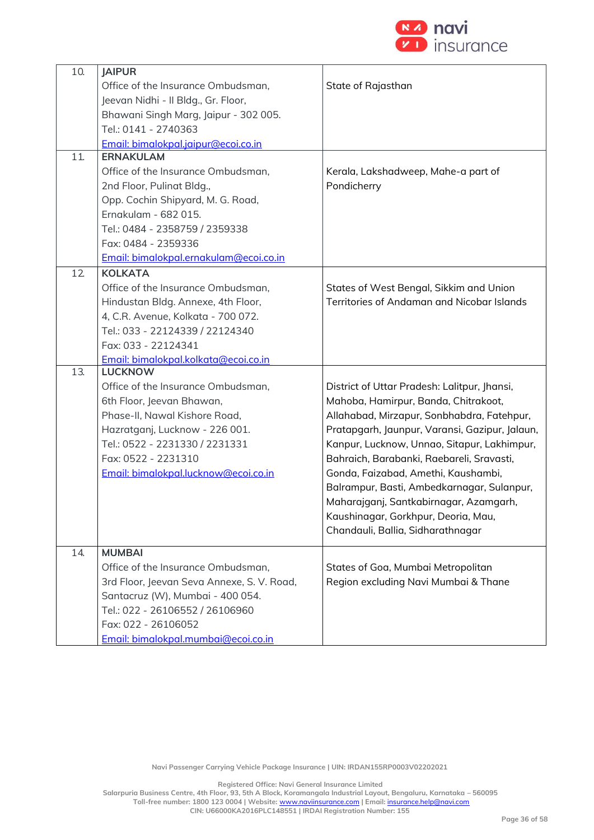

| 10. | <b>JAIPUR</b>                              |                                                |
|-----|--------------------------------------------|------------------------------------------------|
|     | Office of the Insurance Ombudsman,         | State of Rajasthan                             |
|     | Jeevan Nidhi - Il Bldg., Gr. Floor,        |                                                |
|     | Bhawani Singh Marg, Jaipur - 302 005.      |                                                |
|     | Tel.: 0141 - 2740363                       |                                                |
|     | Email: bimalokpal.jaipur@ecoi.co.in        |                                                |
| 11. | <b>ERNAKULAM</b>                           |                                                |
|     | Office of the Insurance Ombudsman,         | Kerala, Lakshadweep, Mahe-a part of            |
|     | 2nd Floor, Pulinat Bldg.,                  | Pondicherry                                    |
|     | Opp. Cochin Shipyard, M. G. Road,          |                                                |
|     | Ernakulam - 682 015.                       |                                                |
|     | Tel.: 0484 - 2358759 / 2359338             |                                                |
|     | Fax: 0484 - 2359336                        |                                                |
|     | Email: bimalokpal.ernakulam@ecoi.co.in     |                                                |
| 12  | <b>KOLKATA</b>                             |                                                |
|     | Office of the Insurance Ombudsman,         | States of West Bengal, Sikkim and Union        |
|     | Hindustan Bldg. Annexe, 4th Floor,         | Territories of Andaman and Nicobar Islands     |
|     | 4, C.R. Avenue, Kolkata - 700 072.         |                                                |
|     | Tel.: 033 - 22124339 / 22124340            |                                                |
|     | Fax: 033 - 22124341                        |                                                |
|     | Email: bimalokpal.kolkata@ecoi.co.in       |                                                |
| 13. | <b>LUCKNOW</b>                             |                                                |
|     | Office of the Insurance Ombudsman,         | District of Uttar Pradesh: Lalitpur, Jhansi,   |
|     | 6th Floor, Jeevan Bhawan,                  | Mahoba, Hamirpur, Banda, Chitrakoot,           |
|     | Phase-II, Nawal Kishore Road,              | Allahabad, Mirzapur, Sonbhabdra, Fatehpur,     |
|     | Hazratganj, Lucknow - 226 001.             | Pratapgarh, Jaunpur, Varansi, Gazipur, Jalaun, |
|     | Tel.: 0522 - 2231330 / 2231331             | Kanpur, Lucknow, Unnao, Sitapur, Lakhimpur,    |
|     | Fax: 0522 - 2231310                        | Bahraich, Barabanki, Raebareli, Sravasti,      |
|     | Email: bimalokpal.lucknow@ecoi.co.in       | Gonda, Faizabad, Amethi, Kaushambi,            |
|     |                                            | Balrampur, Basti, Ambedkarnagar, Sulanpur,     |
|     |                                            | Maharajganj, Santkabirnagar, Azamgarh,         |
|     |                                            | Kaushinagar, Gorkhpur, Deoria, Mau,            |
|     |                                            | Chandauli, Ballia, Sidharathnagar              |
| 14. | <b>MUMBAI</b>                              |                                                |
|     | Office of the Insurance Ombudsman,         | States of Goa, Mumbai Metropolitan             |
|     | 3rd Floor, Jeevan Seva Annexe, S. V. Road, | Region excluding Navi Mumbai & Thane           |
|     | Santacruz (W), Mumbai - 400 054.           |                                                |
|     | Tel.: 022 - 26106552 / 26106960            |                                                |
|     | Fax: 022 - 26106052                        |                                                |
|     | Email: bimalokpal.mumbai@ecoi.co.in        |                                                |

**Navi Passenger Carrying Vehicle Package Insurance | UIN: IRDAN155RP0003V02202021**

**Registered Office: Navi General Insurance Limited**

**Salarpuria Business Centre, 4th Floor, 93, 5th A Block, Koramangala Industrial Layout, Bengaluru, Karnataka – 560095 Toll-free number: 1800 123 0004 | Website:** [www.naviinsurance.com](http://www.naviinsurance.com/) **| Email:** [insurance.help@navi.com](mailto:insurance.help@navi.com)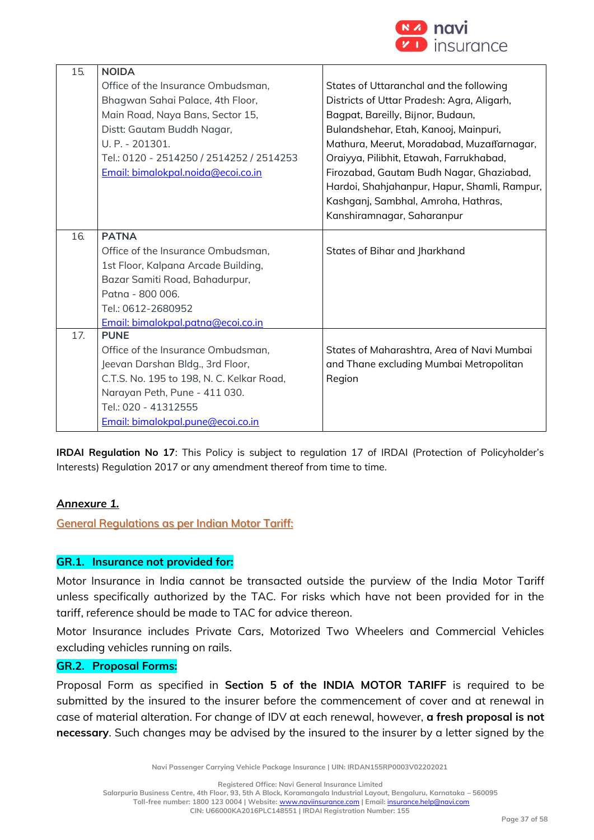

| 15. | <b>NOIDA</b>                              |                                              |
|-----|-------------------------------------------|----------------------------------------------|
|     | Office of the Insurance Ombudsman,        | States of Uttaranchal and the following      |
|     | Bhagwan Sahai Palace, 4th Floor,          | Districts of Uttar Pradesh: Agra, Aligarh,   |
|     | Main Road, Naya Bans, Sector 15,          | Bagpat, Bareilly, Bijnor, Budaun,            |
|     | Distt: Gautam Buddh Nagar,                | Bulandshehar, Etah, Kanooj, Mainpuri,        |
|     | U. P. - 201301.                           | Mathura, Meerut, Moradabad, Muzaffarnagar,   |
|     | Tel.: 0120 - 2514250 / 2514252 / 2514253  | Oraiyya, Pilibhit, Etawah, Farrukhabad,      |
|     | Email: bimalokpal.noida@ecoi.co.in        | Firozabad, Gautam Budh Nagar, Ghaziabad,     |
|     |                                           | Hardoi, Shahjahanpur, Hapur, Shamli, Rampur, |
|     |                                           | Kashganj, Sambhal, Amroha, Hathras,          |
|     |                                           | Kanshiramnagar, Saharanpur                   |
| 16. | <b>PATNA</b>                              |                                              |
|     | Office of the Insurance Ombudsman,        | States of Bihar and Jharkhand                |
|     | 1st Floor, Kalpana Arcade Building,       |                                              |
|     | Bazar Samiti Road, Bahadurpur,            |                                              |
|     | Patna - 800 006.                          |                                              |
|     | Tel.: 0612-2680952                        |                                              |
|     | Email: bimalokpal.patna@ecoi.co.in        |                                              |
| 17. | <b>PUNE</b>                               |                                              |
|     | Office of the Insurance Ombudsman,        | States of Maharashtra, Area of Navi Mumbai   |
|     | Jeevan Darshan Bldg., 3rd Floor,          | and Thane excluding Mumbai Metropolitan      |
|     | C.T.S. No. 195 to 198, N. C. Kelkar Road, | Region                                       |
|     | Narayan Peth, Pune - 411 030.             |                                              |
|     | Tel.: 020 - 41312555                      |                                              |
|     |                                           |                                              |
|     | Email: bimalokpal.pune@ecoi.co.in         |                                              |

**IRDAI Regulation No 17**: This Policy is subject to regulation 17 of IRDAI (Protection of Policyholder's Interests) Regulation 2017 or any amendment thereof from time to time.

## *Annexure 1.*

General Regulations as per Indian Motor Tariff:

## **GR.1. Insurance not provided for:**

Motor Insurance in India cannot be transacted outside the purview of the India Motor Tariff unless specifically authorized by the TAC. For risks which have not been provided for in the tariff, reference should be made to TAC for advice thereon.

Motor Insurance includes Private Cars, Motorized Two Wheelers and Commercial Vehicles excluding vehicles running on rails.

## **GR.2. Proposal Forms:**

Proposal Form as specified in **Section 5 of the INDIA MOTOR TARIFF** is required to be submitted by the insured to the insurer before the commencement of cover and at renewal in case of material alteration. For change of IDV at each renewal, however, **a fresh proposal is not necessary**. Such changes may be advised by the insured to the insurer by a letter signed by the

**Navi Passenger Carrying Vehicle Package Insurance | UIN: IRDAN155RP0003V02202021**

**Registered Office: Navi General Insurance Limited**

**Salarpuria Business Centre, 4th Floor, 93, 5th A Block, Koramangala Industrial Layout, Bengaluru, Karnataka – 560095**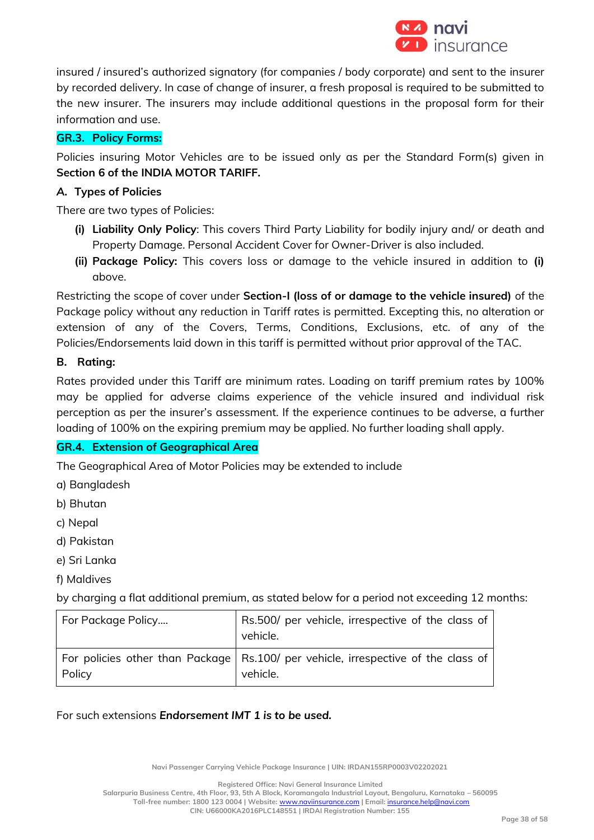

insured / insured's authorized signatory (for companies / body corporate) and sent to the insurer by recorded delivery. In case of change of insurer, a fresh proposal is required to be submitted to the new insurer. The insurers may include additional questions in the proposal form for their information and use.

## **GR.3. Policy Forms:**

Policies insuring Motor Vehicles are to be issued only as per the Standard Form(s) given in **Section 6 of the INDIA MOTOR TARIFF.**

## *A.* **Types of Policies**

There are two types of Policies:

- **(i) Liability Only Policy**: This covers Third Party Liability for bodily injury and/ or death and Property Damage. Personal Accident Cover for Owner-Driver is also included.
- **(ii) Package Policy:** This covers loss or damage to the vehicle insured in addition to **(i)**  above.

Restricting the scope of cover under **Section-I (loss of or damage to the vehicle insured)** of the Package policy without any reduction in Tariff rates is permitted. Excepting this, no alteration or extension of any of the Covers, Terms, Conditions, Exclusions, etc. of any of the Policies/Endorsements laid down in this tariff is permitted without prior approval of the TAC.

## **B. Rating:**

Rates provided under this Tariff are minimum rates. Loading on tariff premium rates by 100% may be applied for adverse claims experience of the vehicle insured and individual risk perception as per the insurer's assessment. If the experience continues to be adverse, a further loading of 100% on the expiring premium may be applied. No further loading shall apply.

## **GR.4. Extension of Geographical Area**

The Geographical Area of Motor Policies may be extended to include

- a) Bangladesh
- b) Bhutan
- c) Nepal
- d) Pakistan
- e) Sri Lanka
- f) Maldives

by charging a flat additional premium, as stated below for a period not exceeding 12 months:

| For Package Policy | Rs.500/ per vehicle, irrespective of the class of<br>vehicle.                                     |
|--------------------|---------------------------------------------------------------------------------------------------|
| Policy             | For policies other than Package   Rs.100/ per vehicle, irrespective of the class of  <br>vehicle. |

For such extensions *Endorsement IMT 1 is to be used.*

**Navi Passenger Carrying Vehicle Package Insurance | UIN: IRDAN155RP0003V02202021**

**Registered Office: Navi General Insurance Limited**

**Salarpuria Business Centre, 4th Floor, 93, 5th A Block, Koramangala Industrial Layout, Bengaluru, Karnataka – 560095 Toll-free number: 1800 123 0004 | Website:** [www.naviinsurance.com](http://www.naviinsurance.com/) **| Email:** [insurance.help@navi.com](mailto:insurance.help@navi.com)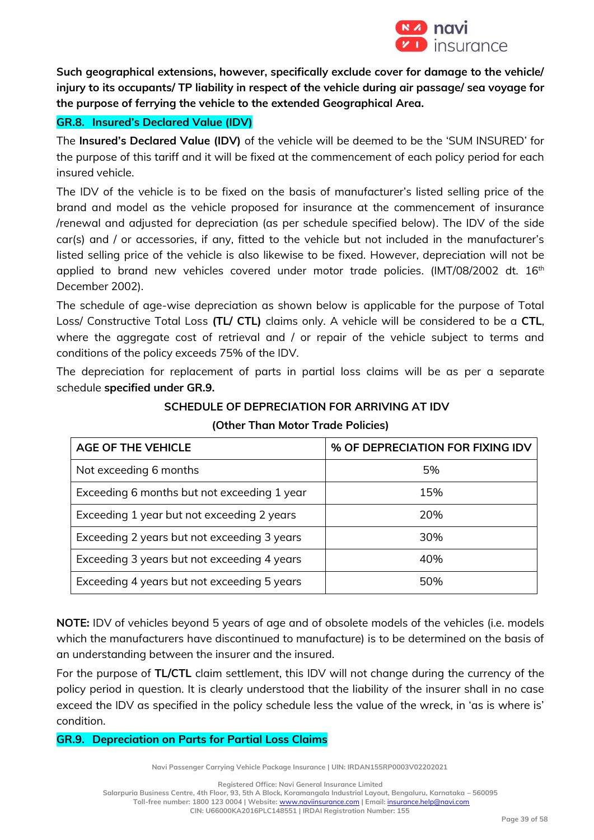

**Such geographical extensions, however, specifically exclude cover for damage to the vehicle/ injury to its occupants/ TP liability in respect of the vehicle during air passage/ sea voyage for the purpose of ferrying the vehicle to the extended Geographical Area.** 

## **GR.8. Insured's Declared Value (IDV)**

The **Insured's Declared Value (IDV)** of the vehicle will be deemed to be the 'SUM INSURED' for the purpose of this tariff and it will be fixed at the commencement of each policy period for each insured vehicle.

The IDV of the vehicle is to be fixed on the basis of manufacturer's listed selling price of the brand and model as the vehicle proposed for insurance at the commencement of insurance /renewal and adjusted for depreciation (as per schedule specified below). The IDV of the side car(s) and / or accessories, if any, fitted to the vehicle but not included in the manufacturer's listed selling price of the vehicle is also likewise to be fixed. However, depreciation will not be applied to brand new vehicles covered under motor trade policies. (IMT/08/2002 dt. 16<sup>th</sup> December 2002).

The schedule of age-wise depreciation as shown below is applicable for the purpose of Total Loss/ Constructive Total Loss **(TL/ CTL)** claims only. A vehicle will be considered to be a **CTL**, where the aggregate cost of retrieval and / or repair of the vehicle subject to terms and conditions of the policy exceeds 75% of the IDV.

The depreciation for replacement of parts in partial loss claims will be as per a separate schedule **specified under GR.9.** 

| <b>AGE OF THE VEHICLE</b>                   | % OF DEPRECIATION FOR FIXING IDV |  |
|---------------------------------------------|----------------------------------|--|
| Not exceeding 6 months                      | 5%                               |  |
| Exceeding 6 months but not exceeding 1 year | 15%                              |  |
| Exceeding 1 year but not exceeding 2 years  | 20%                              |  |
| Exceeding 2 years but not exceeding 3 years | 30%                              |  |
| Exceeding 3 years but not exceeding 4 years | 40%                              |  |
| Exceeding 4 years but not exceeding 5 years | 50%                              |  |

**SCHEDULE OF DEPRECIATION FOR ARRIVING AT IDV**

**(Other Than Motor Trade Policies)**

**NOTE:** IDV of vehicles beyond 5 years of age and of obsolete models of the vehicles (i.e. models which the manufacturers have discontinued to manufacture) is to be determined on the basis of an understanding between the insurer and the insured.

For the purpose of **TL/CTL** claim settlement, this IDV will not change during the currency of the policy period in question. It is clearly understood that the liability of the insurer shall in no case exceed the IDV as specified in the policy schedule less the value of the wreck, in 'as is where is' condition.

## **GR.9. Depreciation on Parts for Partial Loss Claims**

**Navi Passenger Carrying Vehicle Package Insurance | UIN: IRDAN155RP0003V02202021**

**Registered Office: Navi General Insurance Limited**

**Salarpuria Business Centre, 4th Floor, 93, 5th A Block, Koramangala Industrial Layout, Bengaluru, Karnataka – 560095 Toll-free number: 1800 123 0004 | Website:** [www.naviinsurance.com](http://www.naviinsurance.com/) **| Email:** [insurance.help@navi.com](mailto:insurance.help@navi.com)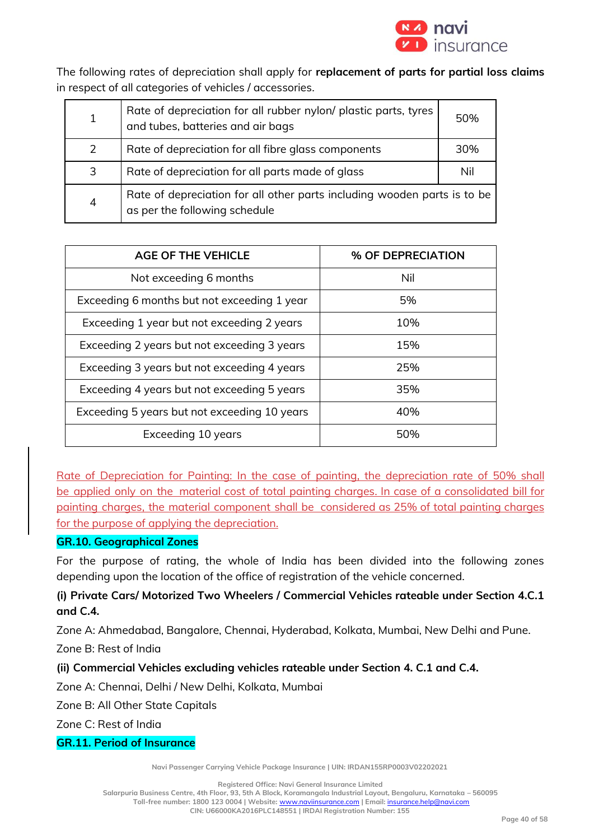

The following rates of depreciation shall apply for **replacement of parts for partial loss claims** in respect of all categories of vehicles / accessories.

| $\mathbf{1}$   | Rate of depreciation for all rubber nylon/ plastic parts, tyres<br>and tubes, batteries and air bags      | 50% |
|----------------|-----------------------------------------------------------------------------------------------------------|-----|
| 2              | Rate of depreciation for all fibre glass components                                                       | 30% |
| 3              | Rate of depreciation for all parts made of glass                                                          | Nil |
| $\overline{4}$ | Rate of depreciation for all other parts including wooden parts is to be<br>as per the following schedule |     |

| <b>AGE OF THE VEHICLE</b>                    | % OF DEPRECIATION |
|----------------------------------------------|-------------------|
| Not exceeding 6 months                       | Nil               |
| Exceeding 6 months but not exceeding 1 year  | 5%                |
| Exceeding 1 year but not exceeding 2 years   | 10%               |
| Exceeding 2 years but not exceeding 3 years  | 15%               |
| Exceeding 3 years but not exceeding 4 years  | 25%               |
| Exceeding 4 years but not exceeding 5 years  | 35%               |
| Exceeding 5 years but not exceeding 10 years | 40%               |
| Exceeding 10 years                           | 50%               |

Rate of Depreciation for Painting: In the case of painting, the depreciation rate of 50% shall be applied only on the material cost of total painting charges. In case of a consolidated bill for painting charges, the material component shall be considered as 25% of total painting charges for the purpose of applying the depreciation.

## **GR.10. Geographical Zones**

For the purpose of rating, the whole of India has been divided into the following zones depending upon the location of the office of registration of the vehicle concerned.

## **(i) Private Cars/ Motorized Two Wheelers / Commercial Vehicles rateable under Section 4.C.1 and C.4***.*

Zone A: Ahmedabad, Bangalore, Chennai, Hyderabad, Kolkata, Mumbai, New Delhi and Pune.

Zone B: Rest of India

## **(ii) Commercial Vehicles excluding vehicles rateable under Section 4. C.1 and C.4.**

Zone A: Chennai, Delhi / New Delhi, Kolkata, Mumbai

Zone B: All Other State Capitals

Zone C: Rest of India

## **GR.11. Period of Insurance**

**Navi Passenger Carrying Vehicle Package Insurance | UIN: IRDAN155RP0003V02202021**

**Registered Office: Navi General Insurance Limited**

**Salarpuria Business Centre, 4th Floor, 93, 5th A Block, Koramangala Industrial Layout, Bengaluru, Karnataka – 560095**

**Toll-free number: 1800 123 0004 | Website:** [www.naviinsurance.com](http://www.naviinsurance.com/) **| Email:** [insurance.help@navi.com](mailto:insurance.help@navi.com)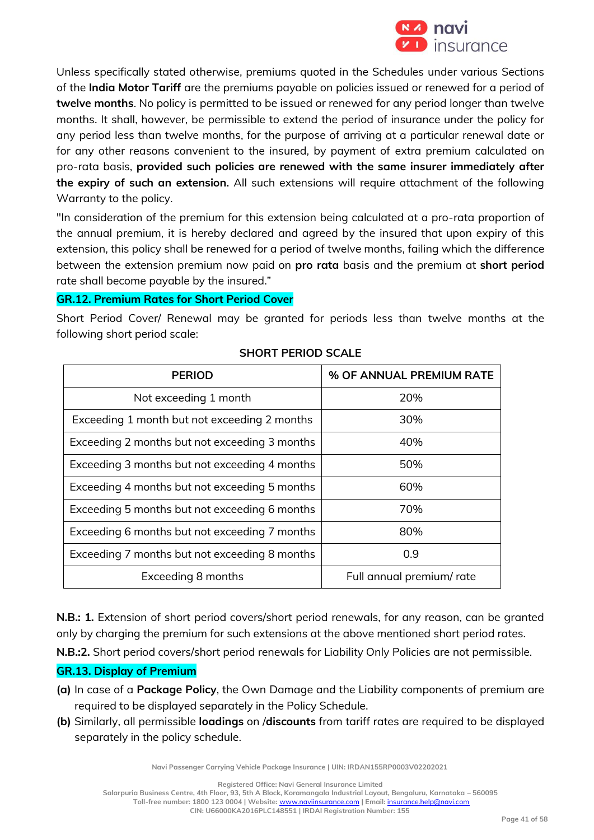

Unless specifically stated otherwise, premiums quoted in the Schedules under various Sections of the **India Motor Tariff** are the premiums payable on policies issued or renewed for a period of **twelve months**. No policy is permitted to be issued or renewed for any period longer than twelve months. It shall, however, be permissible to extend the period of insurance under the policy for any period less than twelve months, for the purpose of arriving at a particular renewal date or for any other reasons convenient to the insured, by payment of extra premium calculated on pro-rata basis, **provided such policies are renewed with the same insurer immediately after the expiry of such an extension.** All such extensions will require attachment of the following Warranty to the policy.

"In consideration of the premium for this extension being calculated at a pro-rata proportion of the annual premium, it is hereby declared and agreed by the insured that upon expiry of this extension, this policy shall be renewed for a period of twelve months, failing which the difference between the extension premium now paid on **pro rata** basis and the premium at **short period** rate shall become payable by the insured."

**GR.12. Premium Rates for Short Period Cover**

Short Period Cover/ Renewal may be granted for periods less than twelve months at the following short period scale:

| <b>PERIOD</b>                                 | % OF ANNUAL PREMIUM RATE  |
|-----------------------------------------------|---------------------------|
| Not exceeding 1 month                         | 20%                       |
| Exceeding 1 month but not exceeding 2 months  | 30%                       |
| Exceeding 2 months but not exceeding 3 months | 40%                       |
| Exceeding 3 months but not exceeding 4 months | 50%                       |
| Exceeding 4 months but not exceeding 5 months | 60%                       |
| Exceeding 5 months but not exceeding 6 months | 70%                       |
| Exceeding 6 months but not exceeding 7 months | 80%                       |
| Exceeding 7 months but not exceeding 8 months | 0.9                       |
| Exceeding 8 months                            | Full annual premium/ rate |

## **SHORT PERIOD SCALE**

**N.B.: 1.** Extension of short period covers/short period renewals, for any reason, can be granted only by charging the premium for such extensions at the above mentioned short period rates.

**N.B.:2.** Short period covers/short period renewals for Liability Only Policies are not permissible.

## **GR.13. Display of Premium**

- **(a)** In case of a **Package Policy**, the Own Damage and the Liability components of premium are required to be displayed separately in the Policy Schedule.
- **(b)** Similarly, all permissible **loadings** on /**discounts** from tariff rates are required to be displayed separately in the policy schedule.

**Navi Passenger Carrying Vehicle Package Insurance | UIN: IRDAN155RP0003V02202021**

**Registered Office: Navi General Insurance Limited**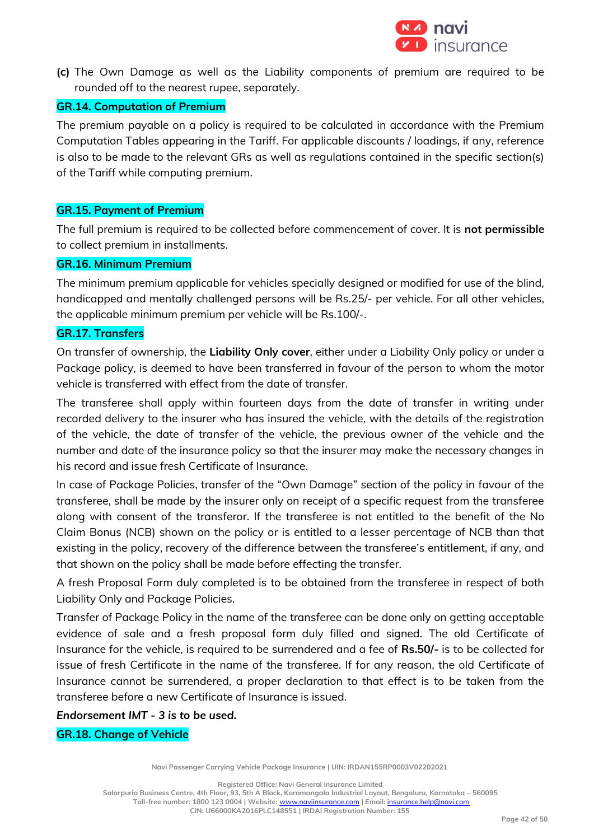

**(c)** The Own Damage as well as the Liability components of premium are required to be rounded off to the nearest rupee, separately.

#### **GR.14. Computation of Premium**

The premium payable on a policy is required to be calculated in accordance with the Premium Computation Tables appearing in the Tariff. For applicable discounts / loadings, if any, reference is also to be made to the relevant GRs as well as regulations contained in the specific section(s) of the Tariff while computing premium.

#### **GR.15. Payment of Premium**

The full premium is required to be collected before commencement of cover. It is **not permissible** to collect premium in installments.

## **GR.16. Minimum Premium**

The minimum premium applicable for vehicles specially designed or modified for use of the blind, handicapped and mentally challenged persons will be Rs.25/- per vehicle. For all other vehicles, the applicable minimum premium per vehicle will be Rs.100/-.

## **GR.17. Transfers**

On transfer of ownership, the **Liability Only cover**, either under a Liability Only policy or under a Package policy, is deemed to have been transferred in favour of the person to whom the motor vehicle is transferred with effect from the date of transfer.

The transferee shall apply within fourteen days from the date of transfer in writing under recorded delivery to the insurer who has insured the vehicle, with the details of the registration of the vehicle, the date of transfer of the vehicle, the previous owner of the vehicle and the number and date of the insurance policy so that the insurer may make the necessary changes in his record and issue fresh Certificate of Insurance.

In case of Package Policies, transfer of the "Own Damage" section of the policy in favour of the transferee, shall be made by the insurer only on receipt of a specific request from the transferee along with consent of the transferor. If the transferee is not entitled to the benefit of the No Claim Bonus (NCB) shown on the policy or is entitled to a lesser percentage of NCB than that existing in the policy, recovery of the difference between the transferee's entitlement, if any, and that shown on the policy shall be made before effecting the transfer.

A fresh Proposal Form duly completed is to be obtained from the transferee in respect of both Liability Only and Package Policies.

Transfer of Package Policy in the name of the transferee can be done only on getting acceptable evidence of sale and a fresh proposal form duly filled and signed. The old Certificate of Insurance for the vehicle, is required to be surrendered and a fee of **Rs.50/-** is to be collected for issue of fresh Certificate in the name of the transferee. If for any reason, the old Certificate of Insurance cannot be surrendered, a proper declaration to that effect is to be taken from the transferee before a new Certificate of Insurance is issued.

*Endorsement IMT - 3 is to be used.*

## **GR.18. Change of Vehicle**

**Navi Passenger Carrying Vehicle Package Insurance | UIN: IRDAN155RP0003V02202021**

**Registered Office: Navi General Insurance Limited**

**Salarpuria Business Centre, 4th Floor, 93, 5th A Block, Koramangala Industrial Layout, Bengaluru, Karnataka – 560095 Toll-free number: 1800 123 0004 | Website:** [www.naviinsurance.com](http://www.naviinsurance.com/) **| Email:** [insurance.help@navi.com](mailto:insurance.help@navi.com)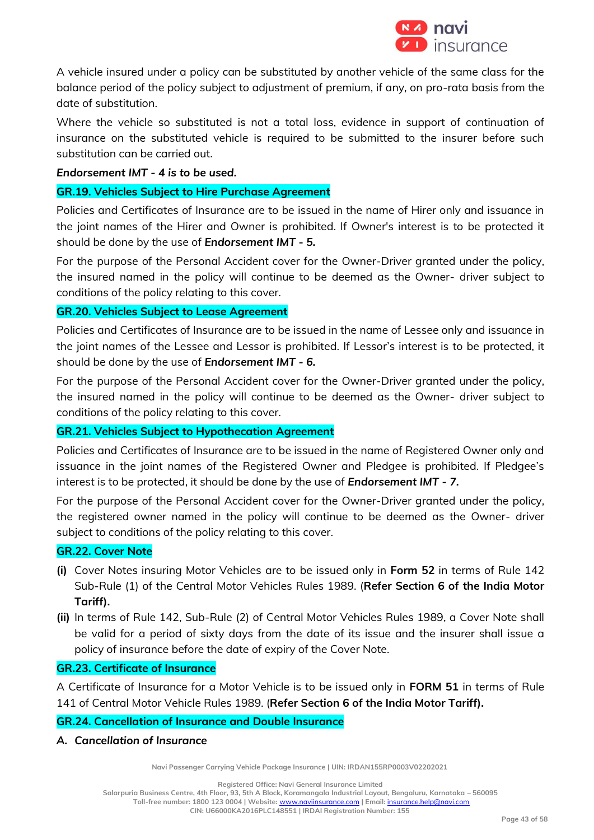

A vehicle insured under a policy can be substituted by another vehicle of the same class for the balance period of the policy subject to adjustment of premium, if any, on pro-rata basis from the date of substitution.

Where the vehicle so substituted is not a total loss, evidence in support of continuation of insurance on the substituted vehicle is required to be submitted to the insurer before such substitution can be carried out.

### *Endorsement IMT - 4 is to be used.*

## **GR.19. Vehicles Subject to Hire Purchase Agreement**

Policies and Certificates of Insurance are to be issued in the name of Hirer only and issuance in the joint names of the Hirer and Owner is prohibited. If Owner's interest is to be protected it should be done by the use of *Endorsement IMT - 5.*

For the purpose of the Personal Accident cover for the Owner-Driver granted under the policy, the insured named in the policy will continue to be deemed as the Owner- driver subject to conditions of the policy relating to this cover.

## **GR.20. Vehicles Subject to Lease Agreement**

Policies and Certificates of Insurance are to be issued in the name of Lessee only and issuance in the joint names of the Lessee and Lessor is prohibited. If Lessor's interest is to be protected, it should be done by the use of *Endorsement IMT - 6.*

For the purpose of the Personal Accident cover for the Owner-Driver granted under the policy, the insured named in the policy will continue to be deemed as the Owner- driver subject to conditions of the policy relating to this cover.

## **GR.21. Vehicles Subject to Hypothecation Agreement**

Policies and Certificates of Insurance are to be issued in the name of Registered Owner only and issuance in the joint names of the Registered Owner and Pledgee is prohibited. If Pledgee's interest is to be protected, it should be done by the use of *Endorsement IMT - 7.* 

For the purpose of the Personal Accident cover for the Owner-Driver granted under the policy, the registered owner named in the policy will continue to be deemed as the Owner- driver subject to conditions of the policy relating to this cover.

#### **GR.22. Cover Note**

- **(i)** Cover Notes insuring Motor Vehicles are to be issued only in **Form 52** in terms of Rule 142 Sub-Rule (1) of the Central Motor Vehicles Rules 1989. (**Refer Section 6 of the India Motor Tariff).**
- **(ii)** In terms of Rule 142, Sub-Rule (2) of Central Motor Vehicles Rules 1989, a Cover Note shall be valid for a period of sixty days from the date of its issue and the insurer shall issue a policy of insurance before the date of expiry of the Cover Note.

#### **GR.23. Certificate of Insurance**

A Certificate of Insurance for a Motor Vehicle is to be issued only in **FORM 51** in terms of Rule 141 of Central Motor Vehicle Rules 1989. (**Refer Section 6 of the India Motor Tariff).**

## **GR.24. Cancellation of Insurance and Double Insurance**

## *A. Cancellation of Insurance*

**Navi Passenger Carrying Vehicle Package Insurance | UIN: IRDAN155RP0003V02202021**

**Registered Office: Navi General Insurance Limited**

**Salarpuria Business Centre, 4th Floor, 93, 5th A Block, Koramangala Industrial Layout, Bengaluru, Karnataka – 560095**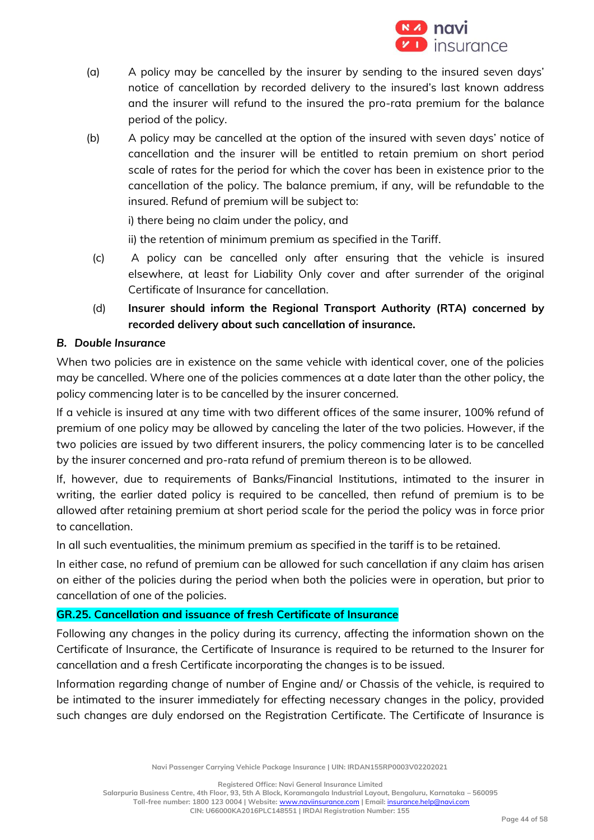

- (a) A policy may be cancelled by the insurer by sending to the insured seven days' notice of cancellation by recorded delivery to the insured's last known address and the insurer will refund to the insured the pro-rata premium for the balance period of the policy.
- (b) A policy may be cancelled at the option of the insured with seven days' notice of cancellation and the insurer will be entitled to retain premium on short period scale of rates for the period for which the cover has been in existence prior to the cancellation of the policy. The balance premium, if any, will be refundable to the insured. Refund of premium will be subject to:

i) there being no claim under the policy, and

ii) the retention of minimum premium as specified in the Tariff.

- (c) A policy can be cancelled only after ensuring that the vehicle is insured elsewhere, at least for Liability Only cover and after surrender of the original Certificate of Insurance for cancellation.
- (d) **Insurer should inform the Regional Transport Authority (RTA) concerned by recorded delivery about such cancellation of insurance.**

## *B. Double Insurance*

When two policies are in existence on the same vehicle with identical cover, one of the policies may be cancelled. Where one of the policies commences at a date later than the other policy, the policy commencing later is to be cancelled by the insurer concerned.

If a vehicle is insured at any time with two different offices of the same insurer, 100% refund of premium of one policy may be allowed by canceling the later of the two policies. However, if the two policies are issued by two different insurers, the policy commencing later is to be cancelled by the insurer concerned and pro-rata refund of premium thereon is to be allowed.

If, however, due to requirements of Banks/Financial Institutions, intimated to the insurer in writing, the earlier dated policy is required to be cancelled, then refund of premium is to be allowed after retaining premium at short period scale for the period the policy was in force prior to cancellation.

In all such eventualities, the minimum premium as specified in the tariff is to be retained.

In either case, no refund of premium can be allowed for such cancellation if any claim has arisen on either of the policies during the period when both the policies were in operation, but prior to cancellation of one of the policies.

## **GR.25. Cancellation and issuance of fresh Certificate of Insurance**

Following any changes in the policy during its currency, affecting the information shown on the Certificate of Insurance, the Certificate of Insurance is required to be returned to the Insurer for cancellation and a fresh Certificate incorporating the changes is to be issued.

Information regarding change of number of Engine and/ or Chassis of the vehicle, is required to be intimated to the insurer immediately for effecting necessary changes in the policy, provided such changes are duly endorsed on the Registration Certificate. The Certificate of Insurance is

**Navi Passenger Carrying Vehicle Package Insurance | UIN: IRDAN155RP0003V02202021**

**Registered Office: Navi General Insurance Limited**

**Salarpuria Business Centre, 4th Floor, 93, 5th A Block, Koramangala Industrial Layout, Bengaluru, Karnataka – 560095 Toll-free number: 1800 123 0004 | Website:** [www.naviinsurance.com](http://www.naviinsurance.com/) **| Email:** [insurance.help@navi.com](mailto:insurance.help@navi.com)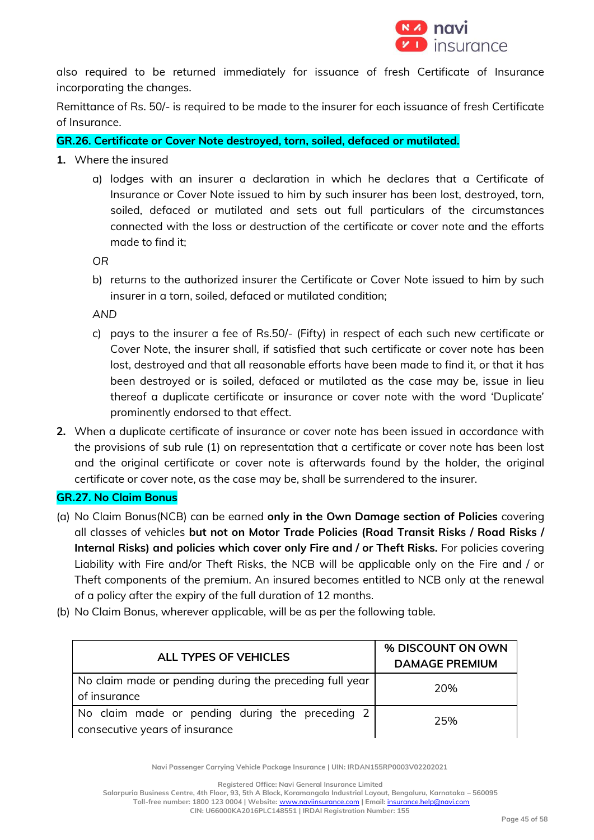

also required to be returned immediately for issuance of fresh Certificate of Insurance incorporating the changes.

Remittance of Rs. 50/- is required to be made to the insurer for each issuance of fresh Certificate of Insurance.

**GR.26. Certificate or Cover Note destroyed, torn, soiled, defaced or mutilated.**

- **1.** Where the insured
	- a) lodges with an insurer a declaration in which he declares that a Certificate of Insurance or Cover Note issued to him by such insurer has been lost, destroyed, torn, soiled, defaced or mutilated and sets out full particulars of the circumstances connected with the loss or destruction of the certificate or cover note and the efforts made to find it;

*OR*

b) returns to the authorized insurer the Certificate or Cover Note issued to him by such insurer in a torn, soiled, defaced or mutilated condition;

*AND*

- c) pays to the insurer a fee of Rs.50/- (Fifty) in respect of each such new certificate or Cover Note, the insurer shall, if satisfied that such certificate or cover note has been lost, destroyed and that all reasonable efforts have been made to find it, or that it has been destroyed or is soiled, defaced or mutilated as the case may be, issue in lieu thereof a duplicate certificate or insurance or cover note with the word 'Duplicate' prominently endorsed to that effect.
- **2.** When a duplicate certificate of insurance or cover note has been issued in accordance with the provisions of sub rule (1) on representation that a certificate or cover note has been lost and the original certificate or cover note is afterwards found by the holder, the original certificate or cover note, as the case may be, shall be surrendered to the insurer.

## **GR.27. No Claim Bonus**

- (a) No Claim Bonus(NCB) can be earned **only in the Own Damage section of Policies** covering all classes of vehicles **but not on Motor Trade Policies (Road Transit Risks / Road Risks / Internal Risks) and policies which cover only Fire and / or Theft Risks.** For policies covering Liability with Fire and/or Theft Risks, the NCB will be applicable only on the Fire and / or Theft components of the premium. An insured becomes entitled to NCB only at the renewal of a policy after the expiry of the full duration of 12 months.
- (b) No Claim Bonus, wherever applicable, will be as per the following table.

| ALL TYPES OF VEHICLES                                                             | % DISCOUNT ON OWN<br><b>DAMAGE PREMIUM</b> |
|-----------------------------------------------------------------------------------|--------------------------------------------|
| No claim made or pending during the preceding full year<br>of insurance           | 20%                                        |
| No claim made or pending during the preceding 2<br>consecutive years of insurance | 25%                                        |

**Navi Passenger Carrying Vehicle Package Insurance | UIN: IRDAN155RP0003V02202021**

**Registered Office: Navi General Insurance Limited**

**Salarpuria Business Centre, 4th Floor, 93, 5th A Block, Koramangala Industrial Layout, Bengaluru, Karnataka – 560095 Toll-free number: 1800 123 0004 | Website:** [www.naviinsurance.com](http://www.naviinsurance.com/) **| Email:** [insurance.help@navi.com](mailto:insurance.help@navi.com)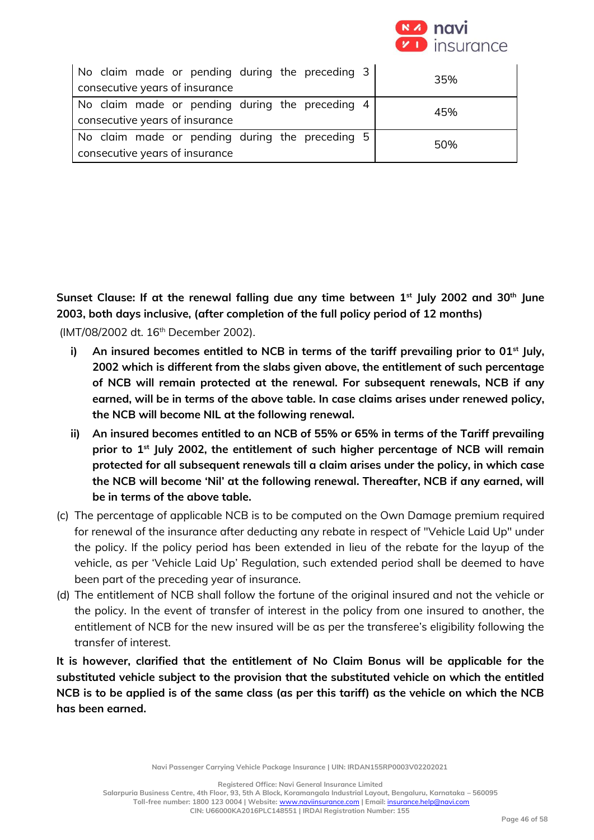

| No claim made or pending during the preceding 3<br>consecutive years of insurance | 35% |
|-----------------------------------------------------------------------------------|-----|
| No claim made or pending during the preceding 4<br>consecutive years of insurance | 45% |
| No claim made or pending during the preceding 5<br>consecutive years of insurance | 50% |

**Sunset Clause: If at the renewal falling due any time between 1st July 2002 and 30th June 2003, both days inclusive, (after completion of the full policy period of 12 months)**

(IMT/08/2002 dt. 16<sup>th</sup> December 2002).

- **i) An insured becomes entitled to NCB in terms of the tariff prevailing prior to 01st July, 2002 which is different from the slabs given above, the entitlement of such percentage of NCB will remain protected at the renewal. For subsequent renewals, NCB if any earned, will be in terms of the above table. In case claims arises under renewed policy, the NCB will become NIL at the following renewal.**
- **ii) An insured becomes entitled to an NCB of 55% or 65% in terms of the Tariff prevailing prior to 1st July 2002, the entitlement of such higher percentage of NCB will remain protected for all subsequent renewals till a claim arises under the policy, in which case the NCB will become 'Nil' at the following renewal. Thereafter, NCB if any earned, will be in terms of the above table.**
- (c) The percentage of applicable NCB is to be computed on the Own Damage premium required for renewal of the insurance after deducting any rebate in respect of "Vehicle Laid Up" under the policy. If the policy period has been extended in lieu of the rebate for the layup of the vehicle, as per 'Vehicle Laid Up' Regulation, such extended period shall be deemed to have been part of the preceding year of insurance.
- (d) The entitlement of NCB shall follow the fortune of the original insured and not the vehicle or the policy. In the event of transfer of interest in the policy from one insured to another, the entitlement of NCB for the new insured will be as per the transferee's eligibility following the transfer of interest.

**It is however, clarified that the entitlement of No Claim Bonus will be applicable for the substituted vehicle subject to the provision that the substituted vehicle on which the entitled NCB is to be applied is of the same class (as per this tariff) as the vehicle on which the NCB has been earned.** 

**Navi Passenger Carrying Vehicle Package Insurance | UIN: IRDAN155RP0003V02202021**

**Registered Office: Navi General Insurance Limited**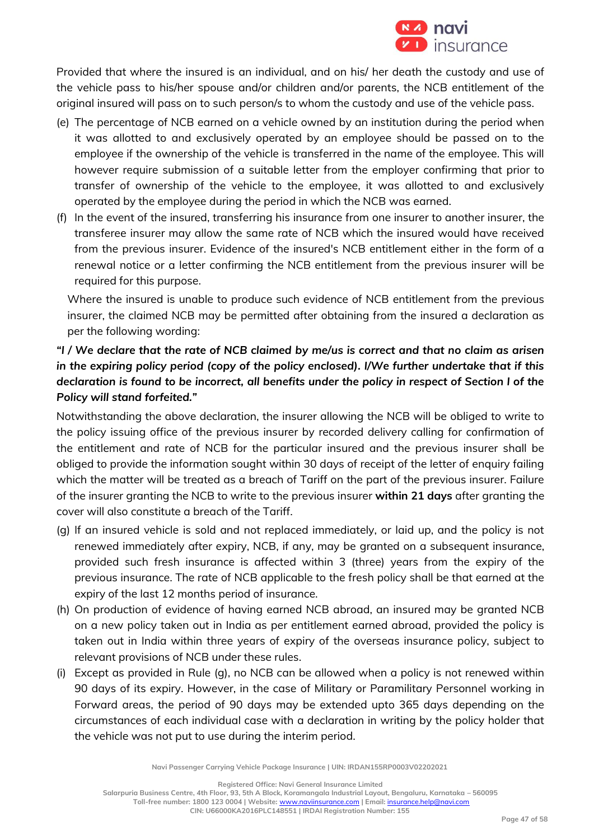

Provided that where the insured is an individual, and on his/ her death the custody and use of the vehicle pass to his/her spouse and/or children and/or parents, the NCB entitlement of the original insured will pass on to such person/s to whom the custody and use of the vehicle pass.

- (e) The percentage of NCB earned on a vehicle owned by an institution during the period when it was allotted to and exclusively operated by an employee should be passed on to the employee if the ownership of the vehicle is transferred in the name of the employee. This will however require submission of a suitable letter from the employer confirming that prior to transfer of ownership of the vehicle to the employee, it was allotted to and exclusively operated by the employee during the period in which the NCB was earned.
- (f) In the event of the insured, transferring his insurance from one insurer to another insurer, the transferee insurer may allow the same rate of NCB which the insured would have received from the previous insurer. Evidence of the insured's NCB entitlement either in the form of a renewal notice or a letter confirming the NCB entitlement from the previous insurer will be required for this purpose.

Where the insured is unable to produce such evidence of NCB entitlement from the previous insurer, the claimed NCB may be permitted after obtaining from the insured a declaration as per the following wording:

# *"I / We declare that the rate of NCB claimed by me/us is correct and that no claim as arisen in the expiring policy period (copy of the policy enclosed). I/We further undertake that if this declaration is found to be incorrect, all benefits under the policy in respect of Section I of the Policy will stand forfeited."*

Notwithstanding the above declaration, the insurer allowing the NCB will be obliged to write to the policy issuing office of the previous insurer by recorded delivery calling for confirmation of the entitlement and rate of NCB for the particular insured and the previous insurer shall be obliged to provide the information sought within 30 days of receipt of the letter of enquiry failing which the matter will be treated as a breach of Tariff on the part of the previous insurer. Failure of the insurer granting the NCB to write to the previous insurer **within 21 days** after granting the cover will also constitute a breach of the Tariff.

- (g) If an insured vehicle is sold and not replaced immediately, or laid up, and the policy is not renewed immediately after expiry, NCB, if any, may be granted on a subsequent insurance, provided such fresh insurance is affected within 3 (three) years from the expiry of the previous insurance. The rate of NCB applicable to the fresh policy shall be that earned at the expiry of the last 12 months period of insurance.
- (h) On production of evidence of having earned NCB abroad, an insured may be granted NCB on a new policy taken out in India as per entitlement earned abroad, provided the policy is taken out in India within three years of expiry of the overseas insurance policy, subject to relevant provisions of NCB under these rules.
- (i) Except as provided in Rule (g), no NCB can be allowed when a policy is not renewed within 90 days of its expiry. However, in the case of Military or Paramilitary Personnel working in Forward areas, the period of 90 days may be extended upto 365 days depending on the circumstances of each individual case with a declaration in writing by the policy holder that the vehicle was not put to use during the interim period.

**Navi Passenger Carrying Vehicle Package Insurance | UIN: IRDAN155RP0003V02202021**

**Registered Office: Navi General Insurance Limited**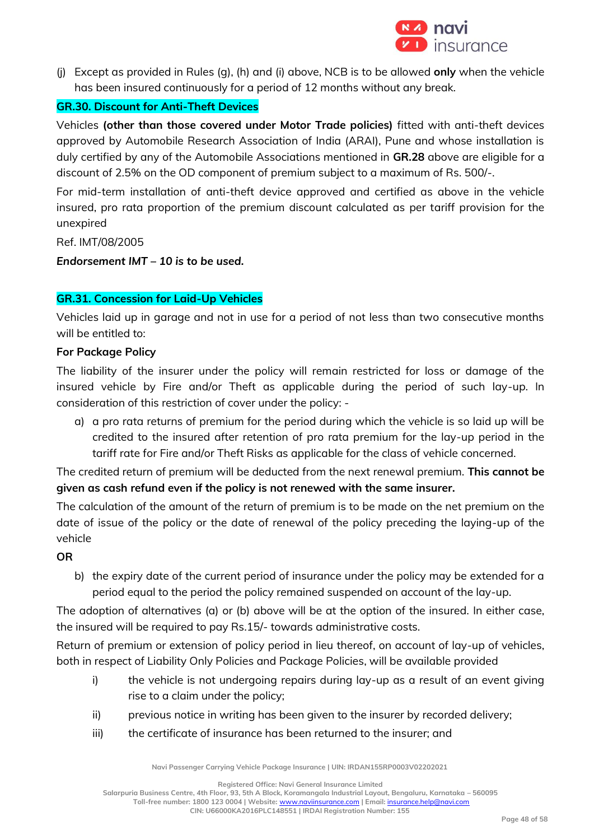

(j) Except as provided in Rules (g), (h) and (i) above, NCB is to be allowed **only** when the vehicle has been insured continuously for a period of 12 months without any break.

## **GR.30. Discount for Anti-Theft Devices**

Vehicles **(other than those covered under Motor Trade policies)** fitted with anti-theft devices approved by Automobile Research Association of India (ARAI), Pune and whose installation is duly certified by any of the Automobile Associations mentioned in **GR.28** above are eligible for a discount of 2.5% on the OD component of premium subject to a maximum of Rs. 500/-.

For mid-term installation of anti-theft device approved and certified as above in the vehicle insured, pro rata proportion of the premium discount calculated as per tariff provision for the unexpired

Ref. IMT/08/2005

*Endorsement IMT – 10 is to be used.*

## **GR.31. Concession for Laid-Up Vehicles**

Vehicles laid up in garage and not in use for a period of not less than two consecutive months will be entitled to:

#### **For Package Policy**

The liability of the insurer under the policy will remain restricted for loss or damage of the insured vehicle by Fire and/or Theft as applicable during the period of such lay-up. In consideration of this restriction of cover under the policy: -

a) a pro rata returns of premium for the period during which the vehicle is so laid up will be credited to the insured after retention of pro rata premium for the lay-up period in the tariff rate for Fire and/or Theft Risks as applicable for the class of vehicle concerned.

The credited return of premium will be deducted from the next renewal premium. **This cannot be given as cash refund even if the policy is not renewed with the same insurer.**

The calculation of the amount of the return of premium is to be made on the net premium on the date of issue of the policy or the date of renewal of the policy preceding the laying-up of the vehicle

#### **OR**

b) the expiry date of the current period of insurance under the policy may be extended for a period equal to the period the policy remained suspended on account of the lay-up.

The adoption of alternatives (a) or (b) above will be at the option of the insured. In either case, the insured will be required to pay Rs.15/- towards administrative costs.

Return of premium or extension of policy period in lieu thereof, on account of lay-up of vehicles, both in respect of Liability Only Policies and Package Policies, will be available provided

- i) the vehicle is not undergoing repairs during lay-up as a result of an event giving rise to a claim under the policy;
- ii) previous notice in writing has been given to the insurer by recorded delivery;
- iii) the certificate of insurance has been returned to the insurer; and

**Navi Passenger Carrying Vehicle Package Insurance | UIN: IRDAN155RP0003V02202021**

**Registered Office: Navi General Insurance Limited**

**Salarpuria Business Centre, 4th Floor, 93, 5th A Block, Koramangala Industrial Layout, Bengaluru, Karnataka – 560095 Toll-free number: 1800 123 0004 | Website:** [www.naviinsurance.com](http://www.naviinsurance.com/) **| Email:** [insurance.help@navi.com](mailto:insurance.help@navi.com)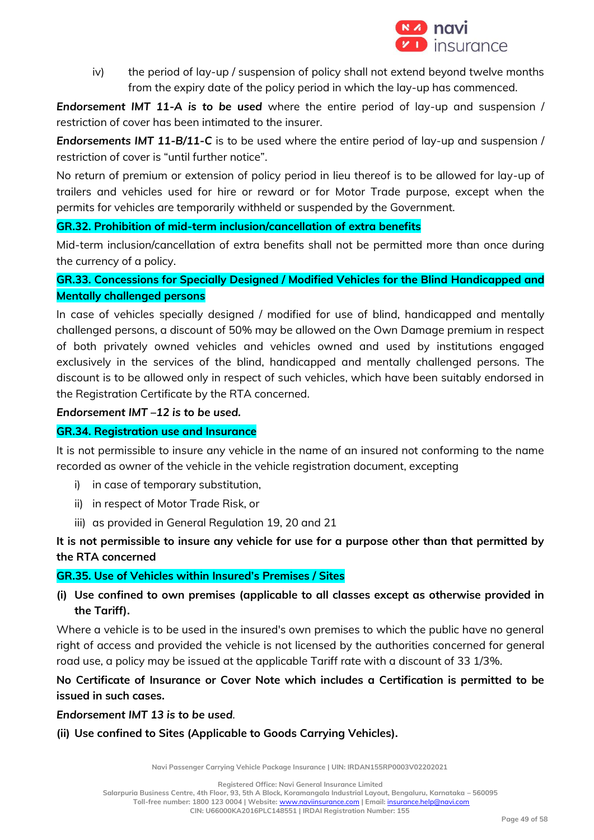

iv) the period of lay-up / suspension of policy shall not extend beyond twelve months from the expiry date of the policy period in which the lay-up has commenced.

*Endorsement IMT 11-A is to be used* where the entire period of lay-up and suspension / restriction of cover has been intimated to the insurer.

*Endorsements IMT 11-B/11-C* is to be used where the entire period of lay-up and suspension / restriction of cover is "until further notice".

No return of premium or extension of policy period in lieu thereof is to be allowed for lay-up of trailers and vehicles used for hire or reward or for Motor Trade purpose, except when the permits for vehicles are temporarily withheld or suspended by the Government.

## **GR.32. Prohibition of mid-term inclusion/cancellation of extra benefits**

Mid-term inclusion/cancellation of extra benefits shall not be permitted more than once during the currency of a policy.

## **GR.33. Concessions for Specially Designed / Modified Vehicles for the Blind Handicapped and Mentally challenged persons**

In case of vehicles specially designed / modified for use of blind, handicapped and mentally challenged persons, a discount of 50% may be allowed on the Own Damage premium in respect of both privately owned vehicles and vehicles owned and used by institutions engaged exclusively in the services of the blind, handicapped and mentally challenged persons. The discount is to be allowed only in respect of such vehicles, which have been suitably endorsed in the Registration Certificate by the RTA concerned.

## *Endorsement IMT –12 is to be used.*

## **GR.34. Registration use and Insurance**

It is not permissible to insure any vehicle in the name of an insured not conforming to the name recorded as owner of the vehicle in the vehicle registration document, excepting

- i) in case of temporary substitution,
- ii) in respect of Motor Trade Risk, or
- iii) as provided in General Regulation 19, 20 and 21

## **It is not permissible to insure any vehicle for use for a purpose other than that permitted by the RTA concerned**

## **GR.35. Use of Vehicles within Insured's Premises / Sites**

**(i) Use confined to own premises (applicable to all classes except as otherwise provided in the Tariff).**

Where a vehicle is to be used in the insured's own premises to which the public have no general right of access and provided the vehicle is not licensed by the authorities concerned for general road use, a policy may be issued at the applicable Tariff rate with a discount of 33 1/3%.

## **No Certificate of Insurance or Cover Note which includes a Certification is permitted to be issued in such cases.**

*Endorsement IMT 13 is to be used.*

## **(ii) Use confined to Sites (Applicable to Goods Carrying Vehicles).**

**Navi Passenger Carrying Vehicle Package Insurance | UIN: IRDAN155RP0003V02202021**

**Registered Office: Navi General Insurance Limited**

**Salarpuria Business Centre, 4th Floor, 93, 5th A Block, Koramangala Industrial Layout, Bengaluru, Karnataka – 560095**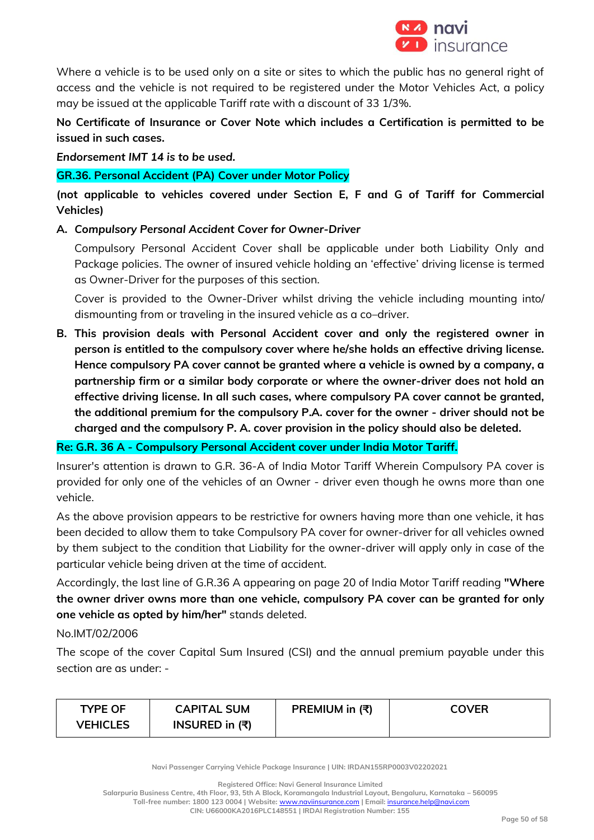

Where a vehicle is to be used only on a site or sites to which the public has no general right of access and the vehicle is not required to be registered under the Motor Vehicles Act, a policy may be issued at the applicable Tariff rate with a discount of 33 1/3%.

**No Certificate of Insurance or Cover Note which includes a Certification is permitted to be issued in such cases.** 

*Endorsement IMT 14 is to be used.*

## **GR.36. Personal Accident (PA) Cover under Motor Policy**

**(not applicable to vehicles covered under Section E, F and G of Tariff for Commercial Vehicles)**

**A.** *Compulsory Personal Accident Cover for Owner-Driver* 

Compulsory Personal Accident Cover shall be applicable under both Liability Only and Package policies. The owner of insured vehicle holding an 'effective' driving license is termed as Owner-Driver for the purposes of this section.

Cover is provided to the Owner-Driver whilst driving the vehicle including mounting into/ dismounting from or traveling in the insured vehicle as a co–driver.

**B. This provision deals with Personal Accident cover and only the registered owner in person** *is* **entitled to the compulsory cover where he/she holds an effective driving license. Hence compulsory PA cover cannot be granted where a vehicle is owned by a company, a partnership firm or a similar body corporate or where the owner-driver does not hold an effective driving license. In all such cases, where compulsory PA cover cannot be granted, the additional premium for the compulsory P.A. cover for the owner - driver should not be charged and the compulsory P. A. cover provision in the policy should also be deleted.** 

**Re: G.R. 36 A - Compulsory Personal Accident cover under India Motor Tariff.**

Insurer's attention is drawn to G.R. 36-A of India Motor Tariff Wherein Compulsory PA cover is provided for only one of the vehicles of an Owner - driver even though he owns more than one vehicle.

As the above provision appears to be restrictive for owners having more than one vehicle, it has been decided to allow them to take Compulsory PA cover for owner-driver for all vehicles owned by them subject to the condition that Liability for the owner-driver will apply only in case of the particular vehicle being driven at the time of accident.

Accordingly, the last line of G.R.36 A appearing on page 20 of India Motor Tariff reading **"Where the owner driver owns more than one vehicle, compulsory PA cover can be granted for only one vehicle as opted by him/her"** stands deleted.

## No.IMT/02/2006

The scope of the cover Capital Sum Insured (CSI) and the annual premium payable under this section are as under: -

| <b>TYPE OF</b> | <b>CAPITAL SUM</b>                   | PREMIUM in (₹) | <b>COVER</b> |
|----------------|--------------------------------------|----------------|--------------|
| VEHICLES       | INSURED in $(\overline{\mathbf{x}})$ |                |              |

**Navi Passenger Carrying Vehicle Package Insurance | UIN: IRDAN155RP0003V02202021**

**Registered Office: Navi General Insurance Limited**

**Salarpuria Business Centre, 4th Floor, 93, 5th A Block, Koramangala Industrial Layout, Bengaluru, Karnataka – 560095**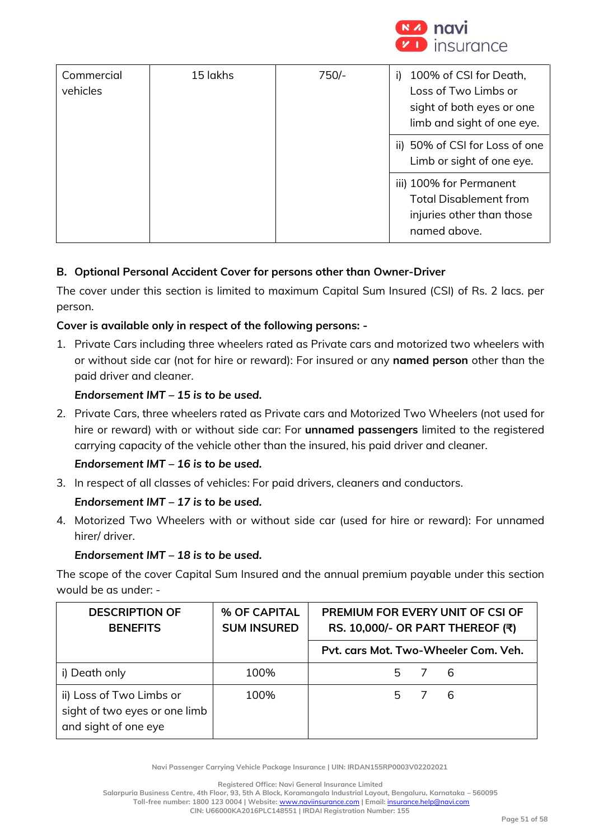

| Commercial<br>vehicles | 15 lakhs | $750/-$ | 100% of CSI for Death,<br>i).<br>Loss of Two Limbs or<br>sight of both eyes or one<br>limb and sight of one eye. |
|------------------------|----------|---------|------------------------------------------------------------------------------------------------------------------|
|                        |          |         | ii) 50% of CSI for Loss of one<br>Limb or sight of one eye.                                                      |
|                        |          |         | iii) 100% for Permanent<br><b>Total Disablement from</b><br>injuries other than those<br>named above.            |

## **B. Optional Personal Accident Cover for persons other than Owner-Driver**

The cover under this section is limited to maximum Capital Sum Insured (CSI) of Rs. 2 lacs. per person.

## **Cover is available only in respect of the following persons: -**

1. Private Cars including three wheelers rated as Private cars and motorized two wheelers with or without side car (not for hire or reward): For insured or any **named person** other than the paid driver and cleaner.

## *Endorsement IMT – 15 is to be used.*

2. Private Cars, three wheelers rated as Private cars and Motorized Two Wheelers (not used for hire or reward) with or without side car: For **unnamed passengers** limited to the registered carrying capacity of the vehicle other than the insured, his paid driver and cleaner.

## *Endorsement IMT – 16 is to be used.*

3. In respect of all classes of vehicles: For paid drivers, cleaners and conductors.

## *Endorsement IMT – 17 is to be used.*

4. Motorized Two Wheelers with or without side car (used for hire or reward): For unnamed hirer/ driver.

## *Endorsement IMT – 18 is to be used.*

The scope of the cover Capital Sum Insured and the annual premium payable under this section would be as under: -

| <b>DESCRIPTION OF</b><br><b>BENEFITS</b>                                          | % OF CAPITAL<br><b>SUM INSURED</b> | PREMIUM FOR EVERY UNIT OF CSI OF<br>RS. 10,000/- OR PART THEREOF (₹) |  |  |  |  |
|-----------------------------------------------------------------------------------|------------------------------------|----------------------------------------------------------------------|--|--|--|--|
|                                                                                   |                                    | Pyt. cars Mot. Two-Wheeler Com. Veh.                                 |  |  |  |  |
| i) Death only                                                                     | 100%                               | 5 7 6                                                                |  |  |  |  |
| ii) Loss of Two Limbs or<br>sight of two eyes or one limb<br>and sight of one eye | 100%                               | 5 7 6                                                                |  |  |  |  |

**Navi Passenger Carrying Vehicle Package Insurance | UIN: IRDAN155RP0003V02202021**

**Registered Office: Navi General Insurance Limited**

**Salarpuria Business Centre, 4th Floor, 93, 5th A Block, Koramangala Industrial Layout, Bengaluru, Karnataka – 560095 Toll-free number: 1800 123 0004 | Website:** [www.naviinsurance.com](http://www.naviinsurance.com/) **| Email:** [insurance.help@navi.com](mailto:insurance.help@navi.com)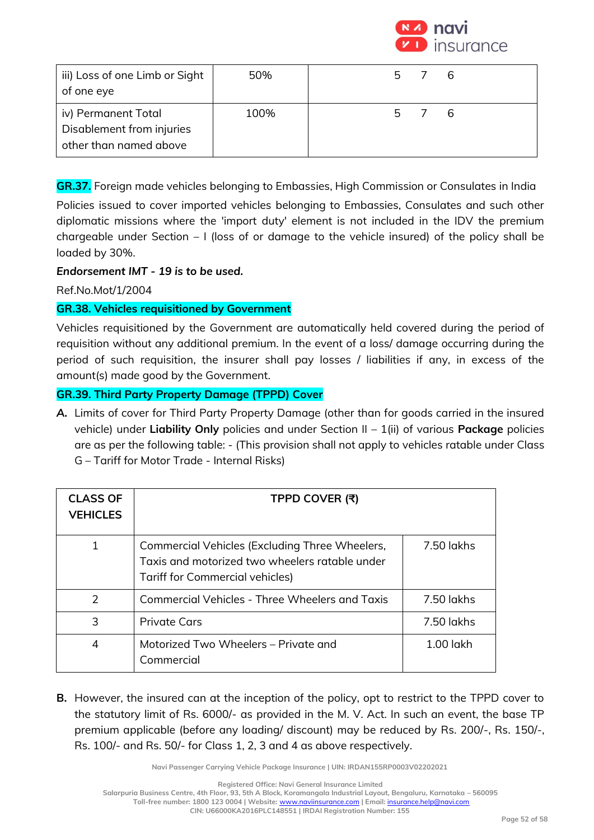

| iii) Loss of one Limb or Sight<br>of one eye                               | 50%  | 5 7 6 |  |
|----------------------------------------------------------------------------|------|-------|--|
| iv) Permanent Total<br>Disablement from injuries<br>other than named above | 100% | 5 7 6 |  |

**GR.37.** Foreign made vehicles belonging to Embassies, High Commission or Consulates in India

Policies issued to cover imported vehicles belonging to Embassies, Consulates and such other diplomatic missions where the 'import duty' element is not included in the IDV the premium chargeable under Section – I (loss of or damage to the vehicle insured) of the policy shall be loaded by 30%.

## *Endorsement IMT - 19 is to be used.*

Ref.No.Mot/1/2004

## **GR.38. Vehicles requisitioned by Government**

Vehicles requisitioned by the Government are automatically held covered during the period of requisition without any additional premium. In the event of a loss/ damage occurring during the period of such requisition, the insurer shall pay losses / liabilities if any, in excess of the amount(s) made good by the Government.

## **GR.39. Third Party Property Damage (TPPD) Cover**

*A.* Limits of cover for Third Party Property Damage (other than for goods carried in the insured vehicle) under **Liability Only** policies and under Section II – 1(ii) of various **Package** policies are as per the following table: - (This provision shall not apply to vehicles ratable under Class G – Tariff for Motor Trade - Internal Risks)

| <b>CLASS OF</b><br><b>VEHICLES</b> | TPPD COVER (₹)                                                                                                                      |             |
|------------------------------------|-------------------------------------------------------------------------------------------------------------------------------------|-------------|
| 1                                  | Commercial Vehicles (Excluding Three Wheelers,<br>Taxis and motorized two wheelers ratable under<br>Tariff for Commercial vehicles) | 7.50 lakhs  |
| $\mathcal{P}$                      | Commercial Vehicles - Three Wheelers and Taxis                                                                                      | 7.50 lakhs  |
| 3                                  | Private Cars                                                                                                                        | 7.50 lakhs  |
| 4                                  | Motorized Two Wheelers – Private and<br>Commercial                                                                                  | $1.00$ lakh |

**B.** However, the insured can at the inception of the policy, opt to restrict to the TPPD cover to the statutory limit of Rs. 6000/- as provided in the M. V. Act. In such an event, the base TP premium applicable (before any loading/ discount) may be reduced by Rs. 200/-, Rs. 150/-, Rs. 100/- and Rs. 50/- for Class 1, 2, 3 and 4 as above respectively.

**Navi Passenger Carrying Vehicle Package Insurance | UIN: IRDAN155RP0003V02202021**

**Registered Office: Navi General Insurance Limited**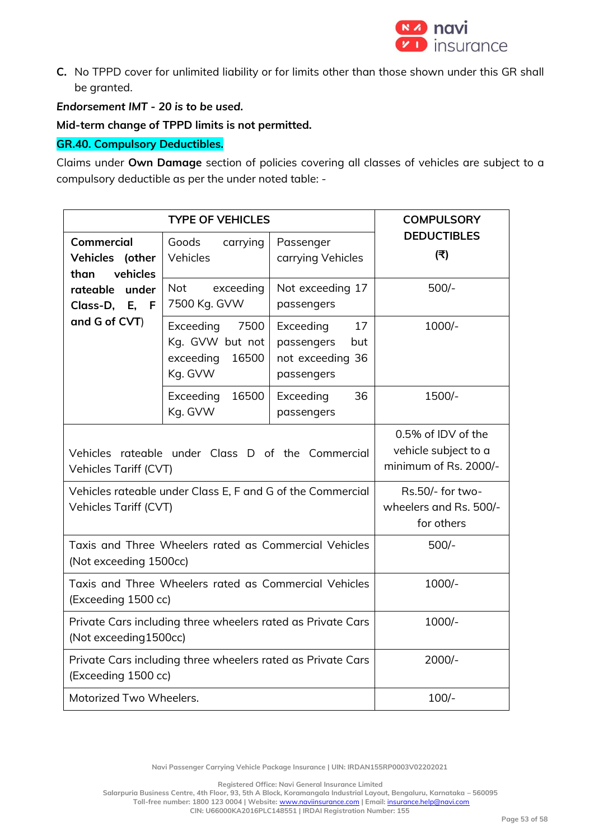

**C.** No TPPD cover for unlimited liability or for limits other than those shown under this GR shall be granted.

*Endorsement IMT - 20 is to be used.*

**Mid-term change of TPPD limits is not permitted.** 

## **GR.40. Compulsory Deductibles.**

Claims under **Own Damage** section of policies covering all classes of vehicles are subject to a compulsory deductible as per the under noted table: -

|                                                                                      | <b>COMPULSORY</b>                                                     |                                                                        |                                                          |  |  |
|--------------------------------------------------------------------------------------|-----------------------------------------------------------------------|------------------------------------------------------------------------|----------------------------------------------------------|--|--|
| Commercial<br>Vehicles (other<br>vehicles<br>than                                    | Goods<br>carrying<br>Vehicles                                         | Passenger<br>carrying Vehicles                                         | <b>DEDUCTIBLES</b><br>(₹)                                |  |  |
| rateable<br>under<br>Class-D, E,<br>F<br>and G of CVT)                               | <b>Not</b><br>exceeding<br>7500 Kg. GVW                               | Not exceeding 17<br>passengers                                         | $500/-$                                                  |  |  |
|                                                                                      | Exceeding<br>7500<br>Kg. GVW but not<br>exceeding<br>16500<br>Kg. GVW | 17<br>Exceeding<br>passengers<br>but<br>not exceeding 36<br>passengers | 1000/-                                                   |  |  |
|                                                                                      | Exceeding<br>16500<br>Kg. GVW                                         | 36<br>Exceeding<br>passengers                                          | 1500/-                                                   |  |  |
| Vehicles rateable under Class D of the Commercial<br>Vehicles Tariff (CVT)           | 0.5% of IDV of the<br>vehicle subject to a<br>minimum of Rs. 2000/-   |                                                                        |                                                          |  |  |
| Vehicles rateable under Class E, F and G of the Commercial<br>Vehicles Tariff (CVT)  |                                                                       |                                                                        | Rs.50/- for two-<br>wheelers and Rs. 500/-<br>for others |  |  |
| Taxis and Three Wheelers rated as Commercial Vehicles<br>(Not exceeding 1500cc)      | $500/-$                                                               |                                                                        |                                                          |  |  |
| Taxis and Three Wheelers rated as Commercial Vehicles<br>(Exceeding 1500 cc)         | 1000/-                                                                |                                                                        |                                                          |  |  |
| Private Cars including three wheelers rated as Private Cars<br>(Not exceeding1500cc) | 1000/-                                                                |                                                                        |                                                          |  |  |
| Private Cars including three wheelers rated as Private Cars<br>(Exceeding 1500 cc)   | $2000/-$                                                              |                                                                        |                                                          |  |  |
| $100/-$<br>Motorized Two Wheelers.                                                   |                                                                       |                                                                        |                                                          |  |  |

**Navi Passenger Carrying Vehicle Package Insurance | UIN: IRDAN155RP0003V02202021**

**Registered Office: Navi General Insurance Limited**

**Salarpuria Business Centre, 4th Floor, 93, 5th A Block, Koramangala Industrial Layout, Bengaluru, Karnataka – 560095 Toll-free number: 1800 123 0004 | Website:** [www.naviinsurance.com](http://www.naviinsurance.com/) **| Email:** [insurance.help@navi.com](mailto:insurance.help@navi.com)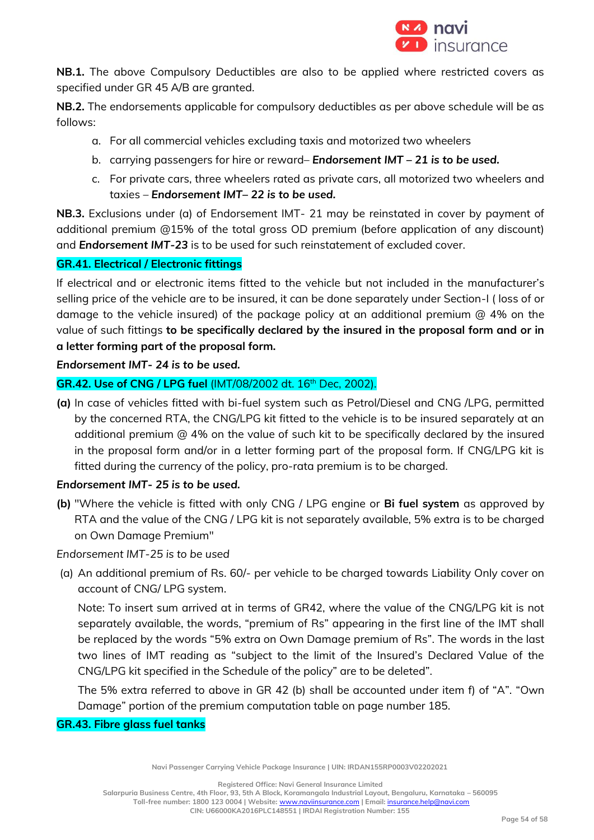

**NB.1.** The above Compulsory Deductibles are also to be applied where restricted covers as specified under GR 45 A/B are granted.

**NB.2.** The endorsements applicable for compulsory deductibles as per above schedule will be as follows:

- a. For all commercial vehicles excluding taxis and motorized two wheelers
- b. carrying passengers for hire or reward– *Endorsement IMT – 21 is to be used.*
- c. For private cars, three wheelers rated as private cars, all motorized two wheelers and taxies – *Endorsement IMT– 22 is to be used.*

**NB.3.** Exclusions under (a) of Endorsement IMT- 21 may be reinstated in cover by payment of additional premium @15% of the total gross OD premium (before application of any discount) and *Endorsement IMT-23* is to be used for such reinstatement of excluded cover.

## **GR.41. Electrical / Electronic fittings**

If electrical and or electronic items fitted to the vehicle but not included in the manufacturer's selling price of the vehicle are to be insured, it can be done separately under Section-I ( loss of or damage to the vehicle insured) of the package policy at an additional premium @ 4% on the value of such fittings **to be specifically declared by the insured in the proposal form and or in a letter forming part of the proposal form.**

*Endorsement IMT- 24 is to be used.*

## **GR.42. Use of CNG / LPG fuel** (IMT/08/2002 dt. 16th Dec, 2002).

**(a)** In case of vehicles fitted with bi-fuel system such as Petrol/Diesel and CNG /LPG, permitted by the concerned RTA, the CNG/LPG kit fitted to the vehicle is to be insured separately at an additional premium @ 4% on the value of such kit to be specifically declared by the insured in the proposal form and/or in a letter forming part of the proposal form. If CNG/LPG kit is fitted during the currency of the policy, pro-rata premium is to be charged.

## *Endorsement IMT- 25 is to be used.*

**(b)** "Where the vehicle is fitted with only CNG / LPG engine or **Bi fuel system** as approved by RTA and the value of the CNG / LPG kit is not separately available, 5% extra is to be charged on Own Damage Premium"

*Endorsement IMT-25 is to be used*

(a) An additional premium of Rs. 60/- per vehicle to be charged towards Liability Only cover on account of CNG/ LPG system.

Note: To insert sum arrived at in terms of GR42, where the value of the CNG/LPG kit is not separately available, the words, "premium of Rs" appearing in the first line of the IMT shall be replaced by the words "5% extra on Own Damage premium of Rs". The words in the last two lines of IMT reading as "subject to the limit of the Insured's Declared Value of the CNG/LPG kit specified in the Schedule of the policy" are to be deleted".

The 5% extra referred to above in GR 42 (b) shall be accounted under item f) of "A". "Own Damage" portion of the premium computation table on page number 185.

## **GR.43. Fibre glass fuel tanks**

**Navi Passenger Carrying Vehicle Package Insurance | UIN: IRDAN155RP0003V02202021**

**Registered Office: Navi General Insurance Limited**

**Salarpuria Business Centre, 4th Floor, 93, 5th A Block, Koramangala Industrial Layout, Bengaluru, Karnataka – 560095 Toll-free number: 1800 123 0004 | Website:** [www.naviinsurance.com](http://www.naviinsurance.com/) **| Email:** [insurance.help@navi.com](mailto:insurance.help@navi.com)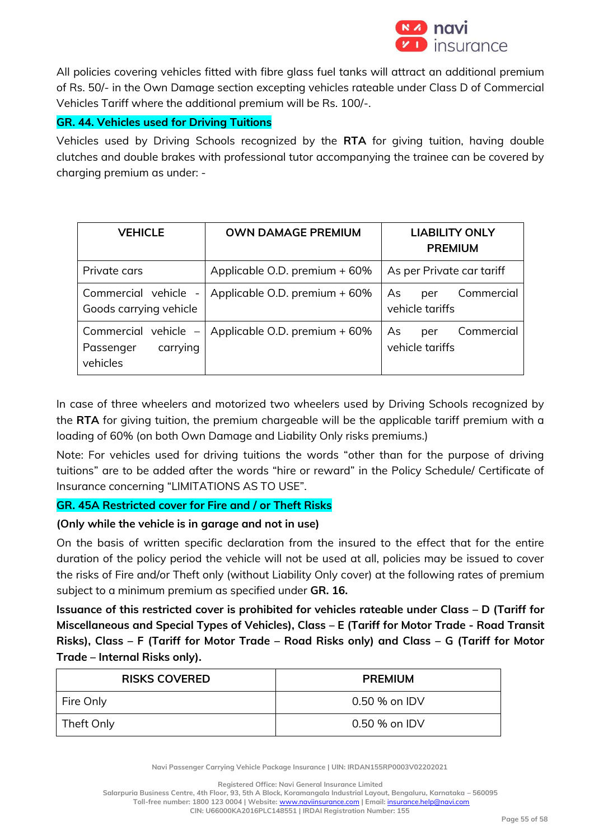

All policies covering vehicles fitted with fibre glass fuel tanks will attract an additional premium of Rs. 50/- in the Own Damage section excepting vehicles rateable under Class D of Commercial Vehicles Tariff where the additional premium will be Rs. 100/-.

## **GR. 44. Vehicles used for Driving Tuitions**

Vehicles used by Driving Schools recognized by the **RTA** for giving tuition, having double clutches and double brakes with professional tutor accompanying the trainee can be covered by charging premium as under: -

| <b>VEHICLE</b>                                              | <b>OWN DAMAGE PREMIUM</b>     | <b>LIABILITY ONLY</b><br><b>PREMIUM</b>    |  |  |  |
|-------------------------------------------------------------|-------------------------------|--------------------------------------------|--|--|--|
| Private cars                                                | Applicable O.D. premium + 60% | As per Private car tariff                  |  |  |  |
| Commercial vehicle -<br>Goods carrying vehicle              | Applicable O.D. premium + 60% | Commercial<br>As<br>per<br>vehicle tariffs |  |  |  |
| Commercial vehicle $-$<br>carrying<br>Passenger<br>vehicles | Applicable O.D. premium + 60% | Commercial<br>As<br>per<br>vehicle tariffs |  |  |  |

In case of three wheelers and motorized two wheelers used by Driving Schools recognized by the **RTA** for giving tuition, the premium chargeable will be the applicable tariff premium with a loading of 60% (on both Own Damage and Liability Only risks premiums.)

Note: For vehicles used for driving tuitions the words "other than for the purpose of driving tuitions" are to be added after the words "hire or reward" in the Policy Schedule/ Certificate of Insurance concerning "LIMITATIONS AS TO USE".

## **GR. 45A Restricted cover for Fire and / or Theft Risks**

## **(Only while the vehicle is in garage and not in use)**

On the basis of written specific declaration from the insured to the effect that for the entire duration of the policy period the vehicle will not be used at all, policies may be issued to cover the risks of Fire and/or Theft only (without Liability Only cover) at the following rates of premium subject to a minimum premium as specified under **GR. 16.**

**Issuance of this restricted cover is prohibited for vehicles rateable under Class – D (Tariff for Miscellaneous and Special Types of Vehicles), Class – E (Tariff for Motor Trade - Road Transit Risks), Class – F (Tariff for Motor Trade – Road Risks only) and Class – G (Tariff for Motor Trade – Internal Risks only).**

| <b>RISKS COVERED</b> | <b>PREMIUM</b> |  |  |  |  |
|----------------------|----------------|--|--|--|--|
| Fire Only            | 0.50 % on IDV  |  |  |  |  |
| Theft Only           | 0.50 % on IDV  |  |  |  |  |

**Navi Passenger Carrying Vehicle Package Insurance | UIN: IRDAN155RP0003V02202021**

**Registered Office: Navi General Insurance Limited**

**Salarpuria Business Centre, 4th Floor, 93, 5th A Block, Koramangala Industrial Layout, Bengaluru, Karnataka – 560095**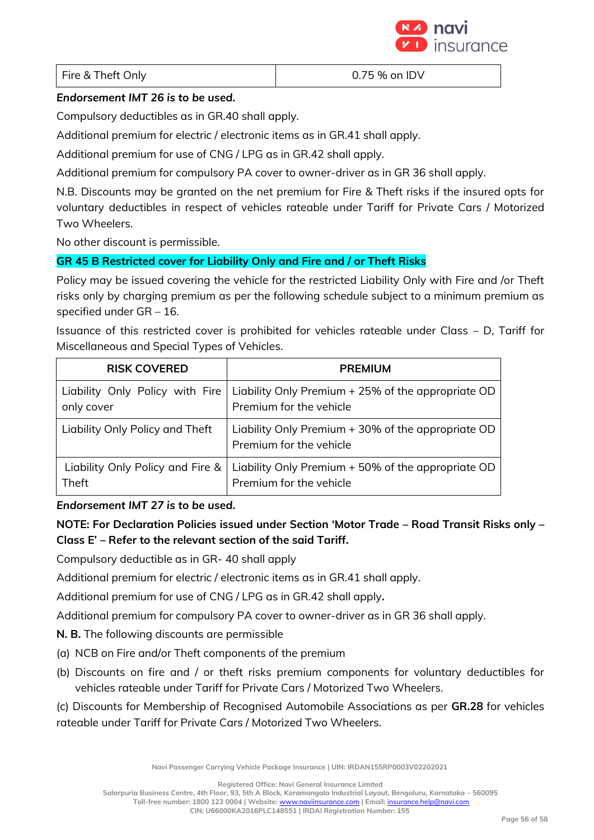

Fire & Theft Only **Example 2.5** The Structure of the UV and DV

## *Endorsement IMT 26 is to be used.*

Compulsory deductibles as in GR.40 shall apply.

Additional premium for electric / electronic items as in GR.41 shall apply.

Additional premium for use of CNG / LPG as in GR.42 shall apply.

Additional premium for compulsory PA cover to owner-driver as in GR 36 shall apply.

N.B. Discounts may be granted on the net premium for Fire & Theft risks if the insured opts for voluntary deductibles in respect of vehicles rateable under Tariff for Private Cars / Motorized Two Wheelers.

No other discount is permissible.

## **GR 45 B Restricted cover for Liability Only and Fire and / or Theft Risks**

Policy may be issued covering the vehicle for the restricted Liability Only with Fire and /or Theft risks only by charging premium as per the following schedule subject to a minimum premium as specified under GR – 16.

Issuance of this restricted cover is prohibited for vehicles rateable under Class – D, Tariff for Miscellaneous and Special Types of Vehicles.

| <b>RISK COVERED</b>              | <b>PREMIUM</b>                                                                |
|----------------------------------|-------------------------------------------------------------------------------|
| Liability Only Policy with Fire  | Liability Only Premium + 25% of the appropriate OD                            |
| only cover                       | Premium for the vehicle                                                       |
| Liability Only Policy and Theft  | Liability Only Premium + 30% of the appropriate OD<br>Premium for the vehicle |
| Liability Only Policy and Fire & | Liability Only Premium + 50% of the appropriate OD                            |
| Theft                            | Premium for the vehicle                                                       |

## *Endorsement IMT 27 is to be used.*

**NOTE: For Declaration Policies issued under Section 'Motor Trade – Road Transit Risks only – Class E' – Refer to the relevant section of the said Tariff.** 

Compulsory deductible as in GR- 40 shall apply

Additional premium for electric / electronic items as in GR.41 shall apply.

Additional premium for use of CNG / LPG as in GR.42 shall apply**.**

Additional premium for compulsory PA cover to owner-driver as in GR 36 shall apply.

**N. B.** The following discounts are permissible

- (a) NCB on Fire and/or Theft components of the premium
- (b) Discounts on fire and / or theft risks premium components for voluntary deductibles for vehicles rateable under Tariff for Private Cars / Motorized Two Wheelers.

(c) Discounts for Membership of Recognised Automobile Associations as per **GR.28** for vehicles rateable under Tariff for Private Cars / Motorized Two Wheelers.

**Navi Passenger Carrying Vehicle Package Insurance | UIN: IRDAN155RP0003V02202021**

**Registered Office: Navi General Insurance Limited**

**Salarpuria Business Centre, 4th Floor, 93, 5th A Block, Koramangala Industrial Layout, Bengaluru, Karnataka – 560095 Toll-free number: 1800 123 0004 | Website:** [www.naviinsurance.com](http://www.naviinsurance.com/) **| Email:** [insurance.help@navi.com](mailto:insurance.help@navi.com)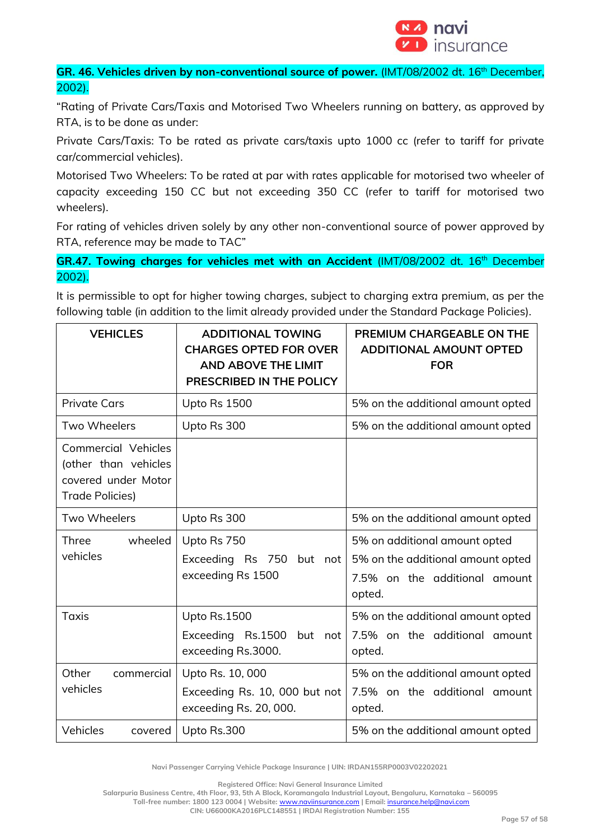

**GR. 46. Vehicles driven by non-conventional source of power.** (IMT/08/2002 dt. 16<sup>th</sup> December, 2002).

"Rating of Private Cars/Taxis and Motorised Two Wheelers running on battery, as approved by RTA, is to be done as under:

Private Cars/Taxis: To be rated as private cars/taxis upto 1000 cc (refer to tariff for private car/commercial vehicles).

Motorised Two Wheelers: To be rated at par with rates applicable for motorised two wheeler of capacity exceeding 150 CC but not exceeding 350 CC (refer to tariff for motorised two wheelers).

For rating of vehicles driven solely by any other non-conventional source of power approved by RTA, reference may be made to TAC"

**GR.47. Towing charges for vehicles met with an Accident (IMT/08/2002 dt. 16<sup>th</sup> December** 2002).

It is permissible to opt for higher towing charges, subject to charging extra premium, as per the following table (in addition to the limit already provided under the Standard Package Policies).

| <b>VEHICLES</b>                                                                                     | <b>ADDITIONAL TOWING</b><br><b>CHARGES OPTED FOR OVER</b><br><b>AND ABOVE THE LIMIT</b><br>PRESCRIBED IN THE POLICY | PREMIUM CHARGEABLE ON THE<br><b>ADDITIONAL AMOUNT OPTED</b><br><b>FOR</b>                                     |  |  |  |
|-----------------------------------------------------------------------------------------------------|---------------------------------------------------------------------------------------------------------------------|---------------------------------------------------------------------------------------------------------------|--|--|--|
| <b>Private Cars</b>                                                                                 | Upto Rs 1500                                                                                                        | 5% on the additional amount opted                                                                             |  |  |  |
| Two Wheelers                                                                                        | Upto Rs 300                                                                                                         | 5% on the additional amount opted                                                                             |  |  |  |
| <b>Commercial Vehicles</b><br>(other than vehicles<br>covered under Motor<br><b>Trade Policies)</b> |                                                                                                                     |                                                                                                               |  |  |  |
| Two Wheelers                                                                                        | Upto Rs 300                                                                                                         | 5% on the additional amount opted                                                                             |  |  |  |
| wheeled<br>Three<br>vehicles                                                                        | Upto Rs 750<br>Exceeding Rs 750<br>but not<br>exceeding Rs 1500                                                     | 5% on additional amount opted<br>5% on the additional amount opted<br>7.5% on the additional amount<br>opted. |  |  |  |
| <b>Taxis</b>                                                                                        | Upto Rs.1500<br>Exceeding Rs.1500<br>but not<br>exceeding Rs.3000.                                                  | 5% on the additional amount opted<br>7.5% on the additional amount<br>opted.                                  |  |  |  |
| Other<br>commercial<br>vehicles                                                                     | Upto Rs. 10, 000<br>Exceeding Rs. 10, 000 but not<br>exceeding Rs. 20, 000.                                         | 5% on the additional amount opted<br>7.5% on the additional amount<br>opted.                                  |  |  |  |
| Vehicles<br>covered                                                                                 | Upto Rs.300                                                                                                         | 5% on the additional amount opted                                                                             |  |  |  |

**Navi Passenger Carrying Vehicle Package Insurance | UIN: IRDAN155RP0003V02202021**

**Registered Office: Navi General Insurance Limited**

**Salarpuria Business Centre, 4th Floor, 93, 5th A Block, Koramangala Industrial Layout, Bengaluru, Karnataka – 560095**